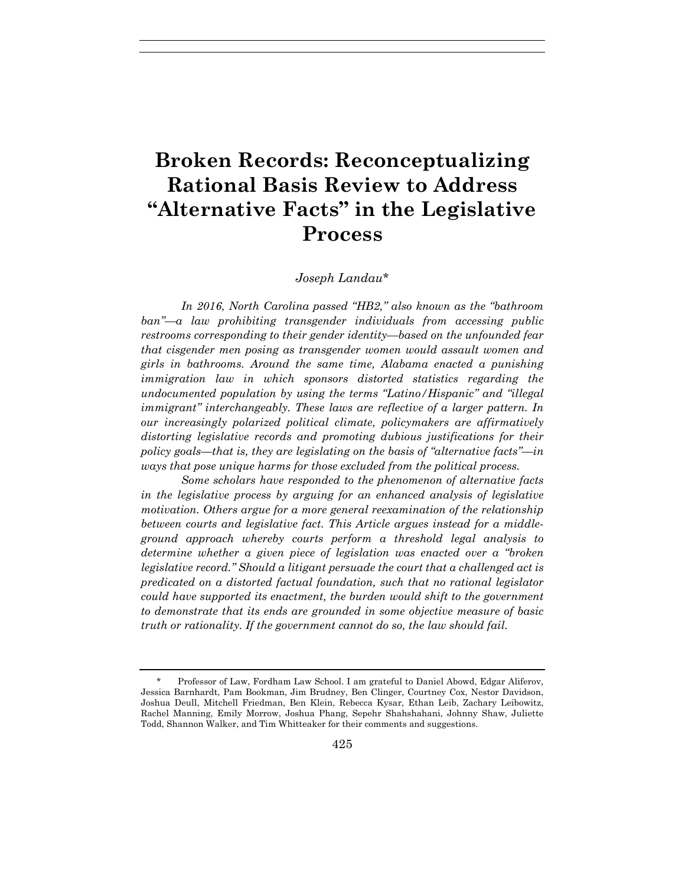# **Broken Records: Reconceptualizing Rational Basis Review to Address "Alternative Facts" in the Legislative Process**

## *Joseph Landau*\*

*In 2016, North Carolina passed "HB2," also known as the "bathroom ban"—a law prohibiting transgender individuals from accessing public restrooms corresponding to their gender identity—based on the unfounded fear that cisgender men posing as transgender women would assault women and girls in bathrooms. Around the same time, Alabama enacted a punishing immigration law in which sponsors distorted statistics regarding the undocumented population by using the terms "Latino/Hispanic" and "illegal immigrant" interchangeably. These laws are reflective of a larger pattern. In our increasingly polarized political climate, policymakers are affirmatively distorting legislative records and promoting dubious justifications for their policy goals—that is, they are legislating on the basis of "alternative facts"—in ways that pose unique harms for those excluded from the political process.* 

*Some scholars have responded to the phenomenon of alternative facts in the legislative process by arguing for an enhanced analysis of legislative motivation. Others argue for a more general reexamination of the relationship between courts and legislative fact. This Article argues instead for a middleground approach whereby courts perform a threshold legal analysis to determine whether a given piece of legislation was enacted over a "broken legislative record." Should a litigant persuade the court that a challenged act is predicated on a distorted factual foundation, such that no rational legislator could have supported its enactment, the burden would shift to the government to demonstrate that its ends are grounded in some objective measure of basic truth or rationality. If the government cannot do so, the law should fail.*

 <sup>\*</sup> Professor of Law, Fordham Law School. I am grateful to Daniel Abowd, Edgar Aliferov, Jessica Barnhardt, Pam Bookman, Jim Brudney, Ben Clinger, Courtney Cox, Nestor Davidson, Joshua Deull, Mitchell Friedman, Ben Klein, Rebecca Kysar, Ethan Leib, Zachary Leibowitz, Rachel Manning, Emily Morrow, Joshua Phang, Sepehr Shahshahani, Johnny Shaw, Juliette Todd, Shannon Walker, and Tim Whitteaker for their comments and suggestions.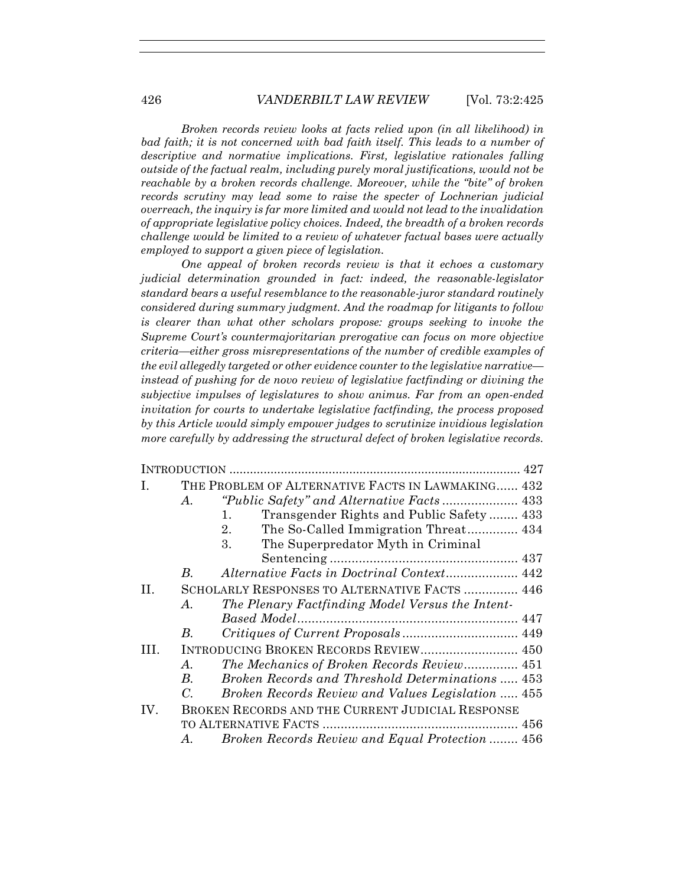*Broken records review looks at facts relied upon (in all likelihood) in*  bad faith; it is not concerned with bad faith itself. This leads to a number of *descriptive and normative implications. First, legislative rationales falling outside of the factual realm, including purely moral justifications, would not be reachable by a broken records challenge. Moreover, while the "bite" of broken records scrutiny may lead some to raise the specter of Lochnerian judicial overreach, the inquiry is far more limited and would not lead to the invalidation of appropriate legislative policy choices. Indeed, the breadth of a broken records challenge would be limited to a review of whatever factual bases were actually employed to support a given piece of legislation.* 

*One appeal of broken records review is that it echoes a customary judicial determination grounded in fact: indeed, the reasonable-legislator standard bears a useful resemblance to the reasonable-juror standard routinely considered during summary judgment. And the roadmap for litigants to follow is clearer than what other scholars propose: groups seeking to invoke the Supreme Court's countermajoritarian prerogative can focus on more objective criteria—either gross misrepresentations of the number of credible examples of the evil allegedly targeted or other evidence counter to the legislative narrative instead of pushing for de novo review of legislative factfinding or divining the subjective impulses of legislatures to show animus. Far from an open-ended invitation for courts to undertake legislative factfinding, the process proposed by this Article would simply empower judges to scrutinize invidious legislation more carefully by addressing the structural defect of broken legislative records.* 

| I.   |             | THE PROBLEM OF ALTERNATIVE FACTS IN LAWMAKING 432            |
|------|-------------|--------------------------------------------------------------|
|      | А.          | <i>"Public Safety" and Alternative Facts </i> 433            |
|      |             | Transgender Rights and Public Safety 433<br>$\mathbf{1}_{+}$ |
|      |             | The So-Called Immigration Threat 434<br>2.                   |
|      |             | The Superpredator Myth in Criminal<br>3.                     |
|      |             |                                                              |
|      | В.          | Alternative Facts in Doctrinal Context 442                   |
| H.   |             | SCHOLARLY RESPONSES TO ALTERNATIVE FACTS  446                |
|      | А.          | The Plenary Factfinding Model Versus the Intent-             |
|      |             |                                                              |
|      | В.          |                                                              |
| III. |             | INTRODUCING BROKEN RECORDS REVIEW 450                        |
|      | A.          | The Mechanics of Broken Records Review 451                   |
|      | B.          | Broken Records and Threshold Determinations  453             |
|      | $C_{\cdot}$ | Broken Records Review and Values Legislation  455            |
| IV.  |             | BROKEN RECORDS AND THE CURRENT JUDICIAL RESPONSE             |
|      |             |                                                              |
|      | А.          | Broken Records Review and Equal Protection  456              |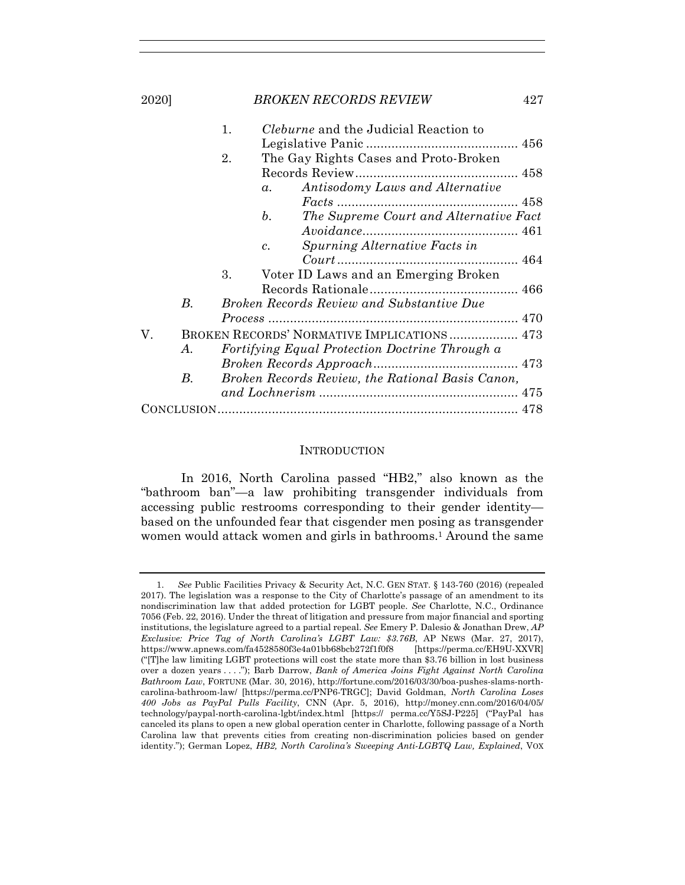|    | 1.<br><i>Cleburne</i> and the Judicial Reaction to |  |
|----|----------------------------------------------------|--|
|    |                                                    |  |
|    | The Gay Rights Cases and Proto-Broken<br>2.        |  |
|    |                                                    |  |
|    | Antisodomy Laws and Alternative<br>$\alpha$ .      |  |
|    |                                                    |  |
|    | The Supreme Court and Alternative Fact<br>b.       |  |
|    |                                                    |  |
|    | Spurning Alternative Facts in<br>$\mathcal{C}$ .   |  |
|    |                                                    |  |
|    | 3.<br>Voter ID Laws and an Emerging Broken         |  |
|    |                                                    |  |
| В. | <b>Broken Records Review and Substantive Due</b>   |  |
|    |                                                    |  |
| V. | BROKEN RECORDS' NORMATIVE IMPLICATIONS 473         |  |
| A. | Fortifying Equal Protection Doctrine Through a     |  |
|    |                                                    |  |
| B. | Broken Records Review, the Rational Basis Canon,   |  |
|    |                                                    |  |
|    |                                                    |  |

#### INTRODUCTION

In 2016, North Carolina passed "HB2," also known as the "bathroom ban"—a law prohibiting transgender individuals from accessing public restrooms corresponding to their gender identity based on the unfounded fear that cisgender men posing as transgender women would attack women and girls in bathrooms.<sup>1</sup> Around the same

 <sup>1.</sup> *See* Public Facilities Privacy & Security Act, N.C. GEN STAT. § 143-760 (2016) (repealed 2017). The legislation was a response to the City of Charlotte's passage of an amendment to its nondiscrimination law that added protection for LGBT people. *See* Charlotte, N.C., Ordinance 7056 (Feb. 22, 2016). Under the threat of litigation and pressure from major financial and sporting institutions, the legislature agreed to a partial repeal. *See* Emery P. Dalesio & Jonathan Drew, *AP Exclusive: Price Tag of North Carolina's LGBT Law: \$3.76B*, AP NEWS (Mar. 27, 2017), https://www.apnews.com/fa4528580f3e4a01bb68bcb272f1f0f8 [https://perma.cc/EH9U-XXVR] ("[T]he law limiting LGBT protections will cost the state more than \$3.76 billion in lost business over a dozen years . . . ."); Barb Darrow, *Bank of America Joins Fight Against North Carolina Bathroom Law*, FORTUNE (Mar. 30, 2016), http://fortune.com/2016/03/30/boa-pushes-slams-northcarolina-bathroom-law/ [https://perma.cc/PNP6-TRGC]; David Goldman, *North Carolina Loses 400 Jobs as PayPal Pulls Facility*, CNN (Apr. 5, 2016), http://money.cnn.com/2016/04/05/ technology/paypal-north-carolina-lgbt/index.html [https:// perma.cc/Y5SJ-P225] ("PayPal has canceled its plans to open a new global operation center in Charlotte, following passage of a North Carolina law that prevents cities from creating non-discrimination policies based on gender identity."); German Lopez, *HB2, North Carolina's Sweeping Anti-LGBTQ Law, Explained*, VOX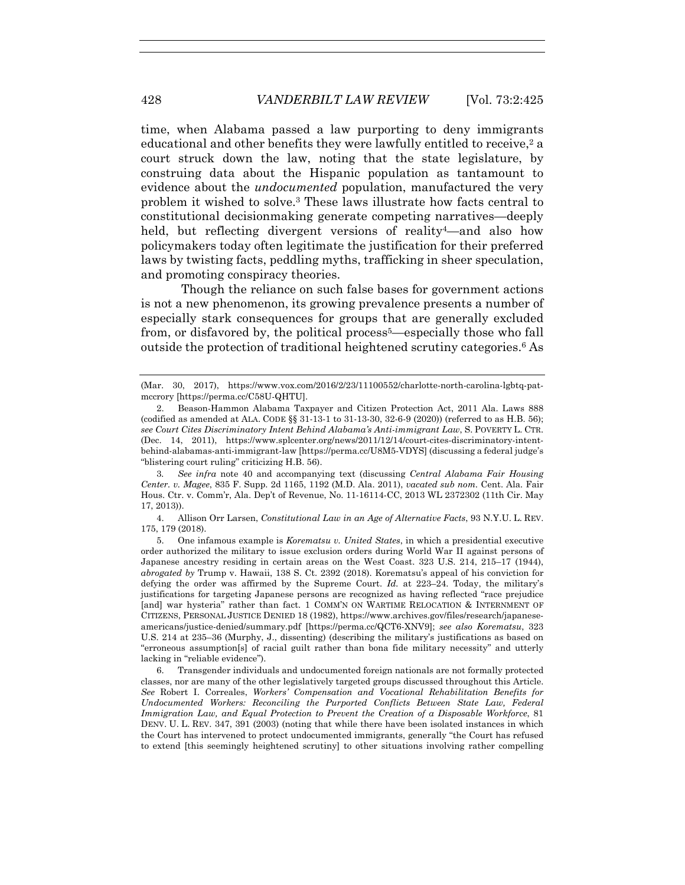time, when Alabama passed a law purporting to deny immigrants educational and other benefits they were lawfully entitled to receive,<sup>2</sup> a court struck down the law, noting that the state legislature, by construing data about the Hispanic population as tantamount to evidence about the *undocumented* population, manufactured the very problem it wished to solve.3 These laws illustrate how facts central to constitutional decisionmaking generate competing narratives—deeply held, but reflecting divergent versions of reality<sup>4</sup>—and also how policymakers today often legitimate the justification for their preferred laws by twisting facts, peddling myths, trafficking in sheer speculation, and promoting conspiracy theories.

Though the reliance on such false bases for government actions is not a new phenomenon, its growing prevalence presents a number of especially stark consequences for groups that are generally excluded from, or disfavored by, the political process<sup>5</sup>—especially those who fall outside the protection of traditional heightened scrutiny categories.6 As

3*. See infra* note 40 and accompanying text (discussing *Central Alabama Fair Housing Center. v. Magee*, 835 F. Supp. 2d 1165, 1192 (M.D. Ala. 2011), *vacated sub nom.* Cent. Ala. Fair Hous. Ctr. v. Comm'r, Ala. Dep't of Revenue, No. 11-16114-CC, 2013 WL 2372302 (11th Cir. May 17, 2013)).

 4. Allison Orr Larsen, *Constitutional Law in an Age of Alternative Facts*, 93 N.Y.U. L. REV. 175, 179 (2018).

 5. One infamous example is *Korematsu v. United States*, in which a presidential executive order authorized the military to issue exclusion orders during World War II against persons of Japanese ancestry residing in certain areas on the West Coast. 323 U.S. 214, 215–17 (1944), *abrogated by* Trump v. Hawaii, 138 S. Ct. 2392 (2018). Korematsu's appeal of his conviction for defying the order was affirmed by the Supreme Court. *Id.* at 223–24. Today, the military's justifications for targeting Japanese persons are recognized as having reflected "race prejudice [and] war hysteria" rather than fact. 1 COMM'N ON WARTIME RELOCATION & INTERNMENT OF CITIZENS, PERSONAL JUSTICE DENIED 18 (1982), https://www.archives.gov/files/research/japaneseamericans/justice-denied/summary.pdf [https://perma.cc/QCT6-XNV9]; *see also Korematsu*, 323 U.S. 214 at 235–36 (Murphy, J., dissenting) (describing the military's justifications as based on "erroneous assumption[s] of racial guilt rather than bona fide military necessity" and utterly lacking in "reliable evidence").

 6. Transgender individuals and undocumented foreign nationals are not formally protected classes, nor are many of the other legislatively targeted groups discussed throughout this Article. *See* Robert I. Correales, *Workers' Compensation and Vocational Rehabilitation Benefits for Undocumented Workers: Reconciling the Purported Conflicts Between State Law, Federal Immigration Law, and Equal Protection to Prevent the Creation of a Disposable Workforce*, 81 DENV. U. L. REV. 347, 391 (2003) (noting that while there have been isolated instances in which the Court has intervened to protect undocumented immigrants, generally "the Court has refused to extend [this seemingly heightened scrutiny] to other situations involving rather compelling

<sup>(</sup>Mar. 30, 2017), https://www.vox.com/2016/2/23/11100552/charlotte-north-carolina-lgbtq-patmccrory [https://perma.cc/C58U-QHTU].

 <sup>2.</sup> Beason-Hammon Alabama Taxpayer and Citizen Protection Act, 2011 Ala. Laws 888 (codified as amended at ALA. CODE §§ 31-13-1 to 31-13-30, 32-6-9 (2020)) (referred to as H.B. 56); *see Court Cites Discriminatory Intent Behind Alabama's Anti-immigrant Law*, S. POVERTY L. CTR. (Dec. 14, 2011), https://www.splcenter.org/news/2011/12/14/court-cites-discriminatory-intentbehind-alabamas-anti-immigrant-law [https://perma.cc/U8M5-VDYS] (discussing a federal judge's "blistering court ruling" criticizing H.B. 56).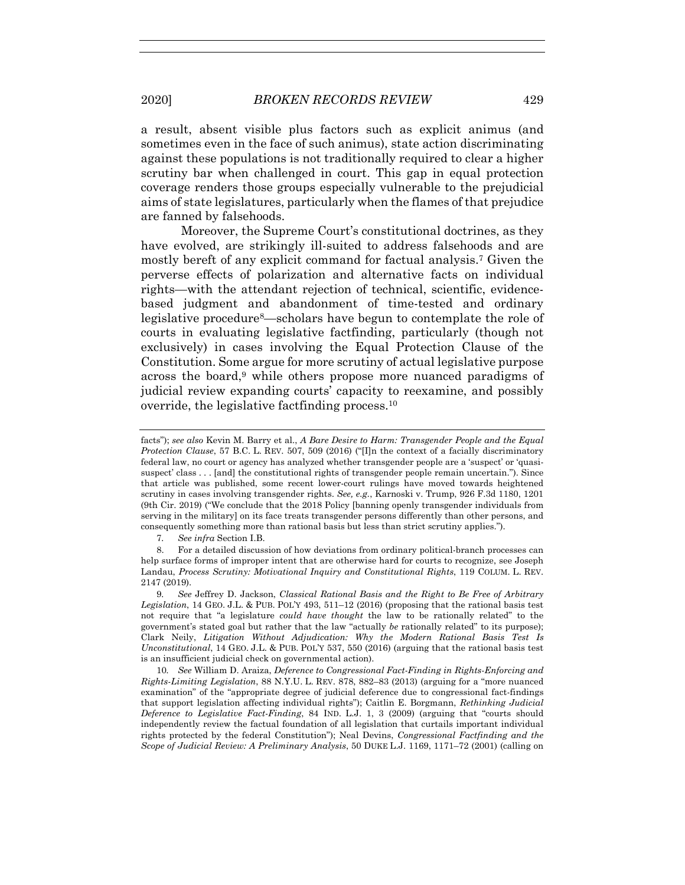a result, absent visible plus factors such as explicit animus (and sometimes even in the face of such animus), state action discriminating against these populations is not traditionally required to clear a higher scrutiny bar when challenged in court. This gap in equal protection coverage renders those groups especially vulnerable to the prejudicial aims of state legislatures, particularly when the flames of that prejudice are fanned by falsehoods.

Moreover, the Supreme Court's constitutional doctrines, as they have evolved, are strikingly ill-suited to address falsehoods and are mostly bereft of any explicit command for factual analysis.7 Given the perverse effects of polarization and alternative facts on individual rights—with the attendant rejection of technical, scientific, evidencebased judgment and abandonment of time-tested and ordinary legislative procedure8—scholars have begun to contemplate the role of courts in evaluating legislative factfinding, particularly (though not exclusively) in cases involving the Equal Protection Clause of the Constitution. Some argue for more scrutiny of actual legislative purpose across the board,9 while others propose more nuanced paradigms of judicial review expanding courts' capacity to reexamine, and possibly override, the legislative factfinding process.10

7*. See infra* Section I.B.

10*. See* William D. Araiza, *Deference to Congressional Fact-Finding in Rights-Enforcing and Rights-Limiting Legislation*, 88 N.Y.U. L. REV. 878, 882–83 (2013) (arguing for a "more nuanced examination" of the "appropriate degree of judicial deference due to congressional fact-findings that support legislation affecting individual rights"); Caitlin E. Borgmann, *Rethinking Judicial Deference to Legislative Fact-Finding*, 84 IND. L.J. 1, 3 (2009) (arguing that "courts should independently review the factual foundation of all legislation that curtails important individual rights protected by the federal Constitution"); Neal Devins, *Congressional Factfinding and the Scope of Judicial Review: A Preliminary Analysis*, 50 DUKE L.J. 1169, 1171–72 (2001) (calling on

facts"); *see also* Kevin M. Barry et al., *A Bare Desire to Harm: Transgender People and the Equal Protection Clause*, 57 B.C. L. REV. 507, 509 (2016) ("[I]n the context of a facially discriminatory federal law, no court or agency has analyzed whether transgender people are a 'suspect' or 'quasisuspect' class . . . [and] the constitutional rights of transgender people remain uncertain."). Since that article was published, some recent lower-court rulings have moved towards heightened scrutiny in cases involving transgender rights. *See, e.g.*, Karnoski v. Trump, 926 F.3d 1180, 1201 (9th Cir. 2019) ("We conclude that the 2018 Policy [banning openly transgender individuals from serving in the military] on its face treats transgender persons differently than other persons, and consequently something more than rational basis but less than strict scrutiny applies.").

 <sup>8.</sup> For a detailed discussion of how deviations from ordinary political-branch processes can help surface forms of improper intent that are otherwise hard for courts to recognize, see Joseph Landau, *Process Scrutiny: Motivational Inquiry and Constitutional Rights*, 119 COLUM. L. REV. 2147 (2019).

<sup>9</sup>*. See* Jeffrey D. Jackson, *Classical Rational Basis and the Right to Be Free of Arbitrary Legislation*, 14 GEO. J.L. & PUB. POL'Y 493, 511–12 (2016) (proposing that the rational basis test not require that "a legislature *could have thought* the law to be rationally related" to the government's stated goal but rather that the law "actually *be* rationally related" to its purpose); Clark Neily, *Litigation Without Adjudication: Why the Modern Rational Basis Test Is Unconstitutional*, 14 GEO. J.L. & PUB. POL'Y 537, 550 (2016) (arguing that the rational basis test is an insufficient judicial check on governmental action).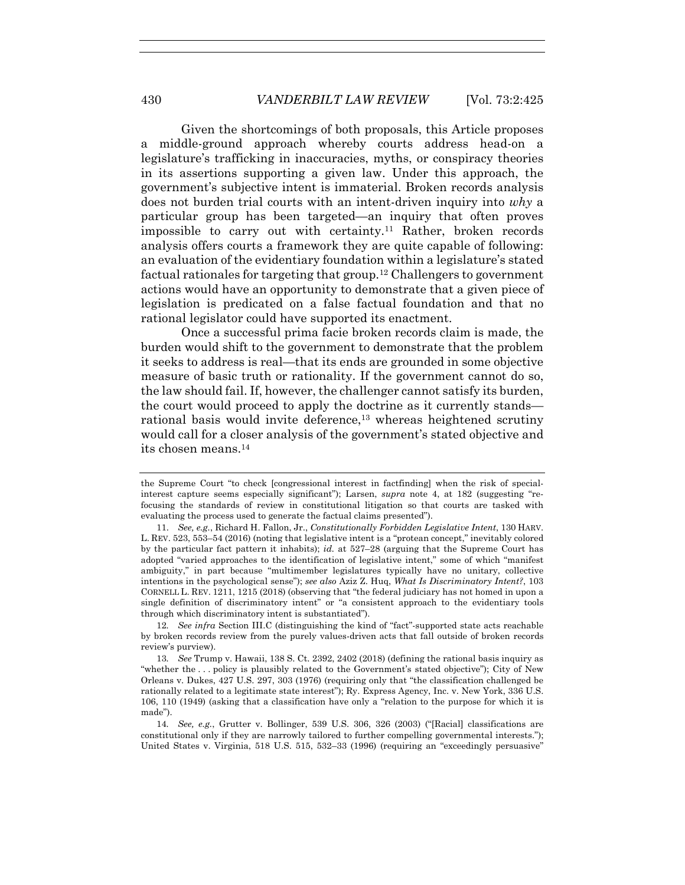Given the shortcomings of both proposals, this Article proposes a middle-ground approach whereby courts address head-on a legislature's trafficking in inaccuracies, myths, or conspiracy theories in its assertions supporting a given law. Under this approach, the government's subjective intent is immaterial. Broken records analysis does not burden trial courts with an intent-driven inquiry into *why* a particular group has been targeted—an inquiry that often proves impossible to carry out with certainty.11 Rather, broken records analysis offers courts a framework they are quite capable of following: an evaluation of the evidentiary foundation within a legislature's stated factual rationales for targeting that group.12 Challengers to government actions would have an opportunity to demonstrate that a given piece of legislation is predicated on a false factual foundation and that no rational legislator could have supported its enactment.

Once a successful prima facie broken records claim is made, the burden would shift to the government to demonstrate that the problem it seeks to address is real—that its ends are grounded in some objective measure of basic truth or rationality. If the government cannot do so, the law should fail. If, however, the challenger cannot satisfy its burden, the court would proceed to apply the doctrine as it currently stands rational basis would invite deference,<sup>13</sup> whereas heightened scrutiny would call for a closer analysis of the government's stated objective and its chosen means.14

12*. See infra* Section III.C (distinguishing the kind of "fact"-supported state acts reachable by broken records review from the purely values-driven acts that fall outside of broken records review's purview).

the Supreme Court "to check [congressional interest in factfinding] when the risk of specialinterest capture seems especially significant"); Larsen, *supra* note 4, at 182 (suggesting "refocusing the standards of review in constitutional litigation so that courts are tasked with evaluating the process used to generate the factual claims presented").

 <sup>11.</sup> *See, e.g.*, Richard H. Fallon, Jr., *Constitutionally Forbidden Legislative Intent*, 130 HARV. L. REV. 523, 553–54 (2016) (noting that legislative intent is a "protean concept," inevitably colored by the particular fact pattern it inhabits); *id.* at 527–28 (arguing that the Supreme Court has adopted "varied approaches to the identification of legislative intent," some of which "manifest ambiguity," in part because "multimember legislatures typically have no unitary, collective intentions in the psychological sense"); *see also* Aziz Z. Huq, *What Is Discriminatory Intent?*, 103 CORNELL L. REV. 1211, 1215 (2018) (observing that "the federal judiciary has not homed in upon a single definition of discriminatory intent" or "a consistent approach to the evidentiary tools through which discriminatory intent is substantiated").

<sup>13</sup>*. See* Trump v. Hawaii, 138 S. Ct. 2392, 2402 (2018) (defining the rational basis inquiry as "whether the . . . policy is plausibly related to the Government's stated objective"); City of New Orleans v. Dukes, 427 U.S. 297, 303 (1976) (requiring only that "the classification challenged be rationally related to a legitimate state interest"); Ry. Express Agency, Inc. v. New York, 336 U.S. 106, 110 (1949) (asking that a classification have only a "relation to the purpose for which it is made").

<sup>14</sup>*. See, e.g.*, Grutter v. Bollinger, 539 U.S. 306, 326 (2003) ("[Racial] classifications are constitutional only if they are narrowly tailored to further compelling governmental interests."); United States v. Virginia, 518 U.S. 515, 532–33 (1996) (requiring an "exceedingly persuasive"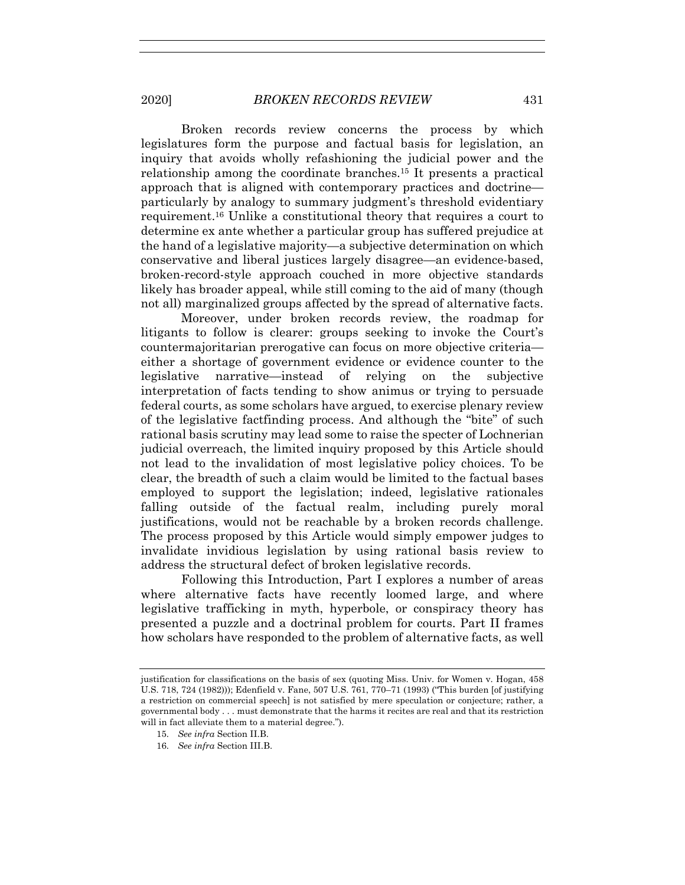Broken records review concerns the process by which legislatures form the purpose and factual basis for legislation, an inquiry that avoids wholly refashioning the judicial power and the relationship among the coordinate branches.15 It presents a practical approach that is aligned with contemporary practices and doctrine particularly by analogy to summary judgment's threshold evidentiary requirement.16 Unlike a constitutional theory that requires a court to determine ex ante whether a particular group has suffered prejudice at the hand of a legislative majority—a subjective determination on which conservative and liberal justices largely disagree—an evidence-based, broken-record-style approach couched in more objective standards likely has broader appeal, while still coming to the aid of many (though not all) marginalized groups affected by the spread of alternative facts.

Moreover, under broken records review, the roadmap for litigants to follow is clearer: groups seeking to invoke the Court's countermajoritarian prerogative can focus on more objective criteria either a shortage of government evidence or evidence counter to the legislative narrative—instead of relying on the subjective interpretation of facts tending to show animus or trying to persuade federal courts, as some scholars have argued, to exercise plenary review of the legislative factfinding process. And although the "bite" of such rational basis scrutiny may lead some to raise the specter of Lochnerian judicial overreach, the limited inquiry proposed by this Article should not lead to the invalidation of most legislative policy choices. To be clear, the breadth of such a claim would be limited to the factual bases employed to support the legislation; indeed, legislative rationales falling outside of the factual realm, including purely moral justifications, would not be reachable by a broken records challenge. The process proposed by this Article would simply empower judges to invalidate invidious legislation by using rational basis review to address the structural defect of broken legislative records.

Following this Introduction, Part I explores a number of areas where alternative facts have recently loomed large, and where legislative trafficking in myth, hyperbole, or conspiracy theory has presented a puzzle and a doctrinal problem for courts. Part II frames how scholars have responded to the problem of alternative facts, as well

justification for classifications on the basis of sex (quoting Miss. Univ. for Women v. Hogan, 458 U.S. 718, 724 (1982))); Edenfield v. Fane, 507 U.S. 761, 770–71 (1993) ("This burden [of justifying a restriction on commercial speech] is not satisfied by mere speculation or conjecture; rather, a governmental body . . . must demonstrate that the harms it recites are real and that its restriction will in fact alleviate them to a material degree.").

<sup>15.</sup> *See infra* Section II.B.

<sup>16.</sup> *See infra* Section III.B.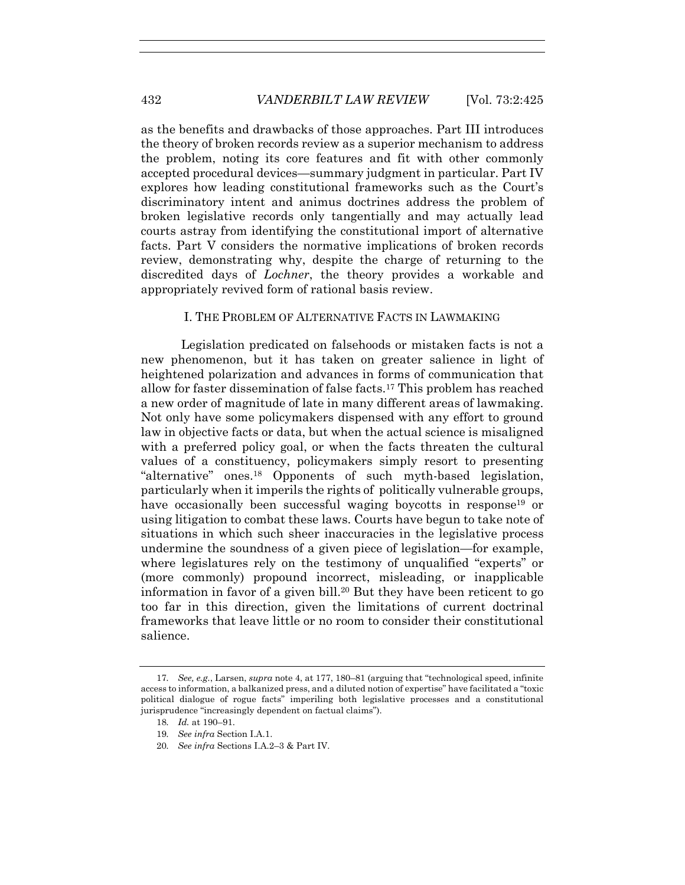as the benefits and drawbacks of those approaches. Part III introduces the theory of broken records review as a superior mechanism to address the problem, noting its core features and fit with other commonly accepted procedural devices—summary judgment in particular. Part IV explores how leading constitutional frameworks such as the Court's discriminatory intent and animus doctrines address the problem of broken legislative records only tangentially and may actually lead courts astray from identifying the constitutional import of alternative facts. Part V considers the normative implications of broken records review, demonstrating why, despite the charge of returning to the discredited days of *Lochner*, the theory provides a workable and appropriately revived form of rational basis review.

## I. THE PROBLEM OF ALTERNATIVE FACTS IN LAWMAKING

Legislation predicated on falsehoods or mistaken facts is not a new phenomenon, but it has taken on greater salience in light of heightened polarization and advances in forms of communication that allow for faster dissemination of false facts.17 This problem has reached a new order of magnitude of late in many different areas of lawmaking. Not only have some policymakers dispensed with any effort to ground law in objective facts or data, but when the actual science is misaligned with a preferred policy goal, or when the facts threaten the cultural values of a constituency, policymakers simply resort to presenting "alternative" ones.18 Opponents of such myth-based legislation, particularly when it imperils the rights of politically vulnerable groups, have occasionally been successful waging boycotts in response<sup>19</sup> or using litigation to combat these laws. Courts have begun to take note of situations in which such sheer inaccuracies in the legislative process undermine the soundness of a given piece of legislation—for example, where legislatures rely on the testimony of unqualified "experts" or (more commonly) propound incorrect, misleading, or inapplicable information in favor of a given bill.20 But they have been reticent to go too far in this direction, given the limitations of current doctrinal frameworks that leave little or no room to consider their constitutional salience.

<sup>17</sup>*. See, e.g.*, Larsen, *supra* note 4, at 177, 180–81 (arguing that "technological speed, infinite access to information, a balkanized press, and a diluted notion of expertise" have facilitated a "toxic political dialogue of rogue facts" imperiling both legislative processes and a constitutional jurisprudence "increasingly dependent on factual claims").

<sup>18</sup>*. Id.* at 190–91.

<sup>19</sup>*. See infra* Section I.A.1.

<sup>20</sup>*. See infra* Sections I.A.2–3 & Part IV.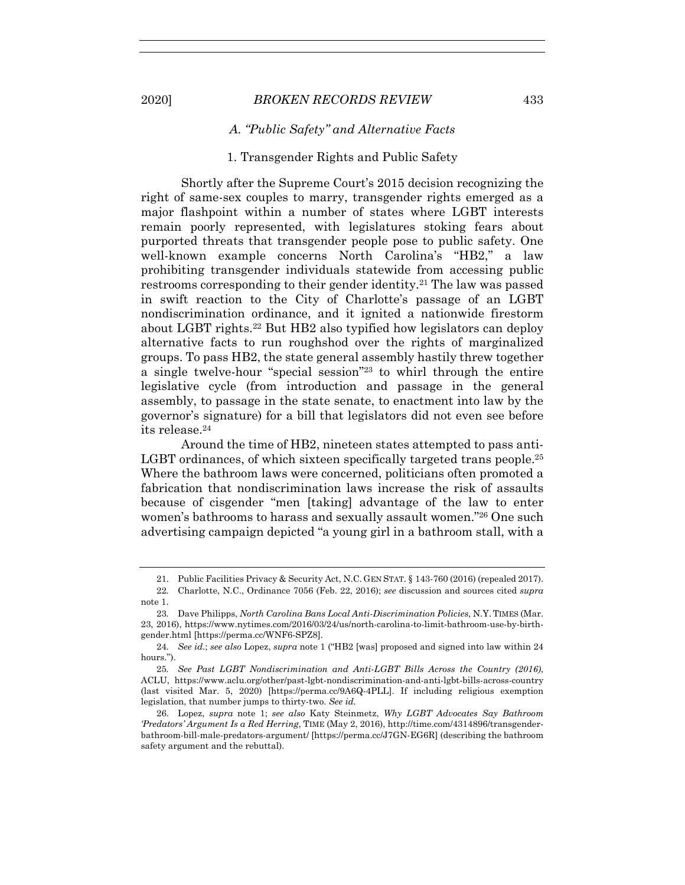## *A. "Public Safety" and Alternative Facts*

## 1. Transgender Rights and Public Safety

Shortly after the Supreme Court's 2015 decision recognizing the right of same-sex couples to marry, transgender rights emerged as a major flashpoint within a number of states where LGBT interests remain poorly represented, with legislatures stoking fears about purported threats that transgender people pose to public safety. One well-known example concerns North Carolina's "HB2," a law prohibiting transgender individuals statewide from accessing public restrooms corresponding to their gender identity.21 The law was passed in swift reaction to the City of Charlotte's passage of an LGBT nondiscrimination ordinance, and it ignited a nationwide firestorm about LGBT rights.22 But HB2 also typified how legislators can deploy alternative facts to run roughshod over the rights of marginalized groups. To pass HB2, the state general assembly hastily threw together a single twelve-hour "special session"23 to whirl through the entire legislative cycle (from introduction and passage in the general assembly, to passage in the state senate, to enactment into law by the governor's signature) for a bill that legislators did not even see before its release.24

Around the time of HB2, nineteen states attempted to pass anti-LGBT ordinances, of which sixteen specifically targeted trans people.<sup>25</sup> Where the bathroom laws were concerned, politicians often promoted a fabrication that nondiscrimination laws increase the risk of assaults because of cisgender "men [taking] advantage of the law to enter women's bathrooms to harass and sexually assault women."26 One such advertising campaign depicted "a young girl in a bathroom stall, with a

 <sup>21.</sup> Public Facilities Privacy & Security Act, N.C. GEN STAT. § 143-760 (2016) (repealed 2017).

<sup>22</sup>*.* Charlotte, N.C., Ordinance 7056 (Feb. 22, 2016); *see* discussion and sources cited *supra* note 1.

<sup>23</sup>*.* Dave Philipps, *North Carolina Bans Local Anti-Discrimination Policies*, N.Y. TIMES (Mar. 23, 2016), https://www.nytimes.com/2016/03/24/us/north-carolina-to-limit-bathroom-use-by-birthgender.html [https://perma.cc/WNF6-SPZ8].

<sup>24</sup>*. See id.*; *see also* Lopez, *supra* note 1 ("HB2 [was] proposed and signed into law within 24 hours.").

<sup>25</sup>*. See Past LGBT Nondiscrimination and Anti-LGBT Bills Across the Country (2016)*, ACLU, https://www.aclu.org/other/past-lgbt-nondiscrimination-and-anti-lgbt-bills-across-country (last visited Mar. 5, 2020) [https://perma.cc/9A6Q-4PLL]. If including religious exemption legislation, that number jumps to thirty-two. *See id.* 

 <sup>26.</sup> Lopez, *supra* note 1; *see also* Katy Steinmetz, *Why LGBT Advocates Say Bathroom 'Predators' Argument Is a Red Herring*, TIME (May 2, 2016), http://time.com/4314896/transgenderbathroom-bill-male-predators-argument/ [https://perma.cc/J7GN-EG6R] (describing the bathroom safety argument and the rebuttal).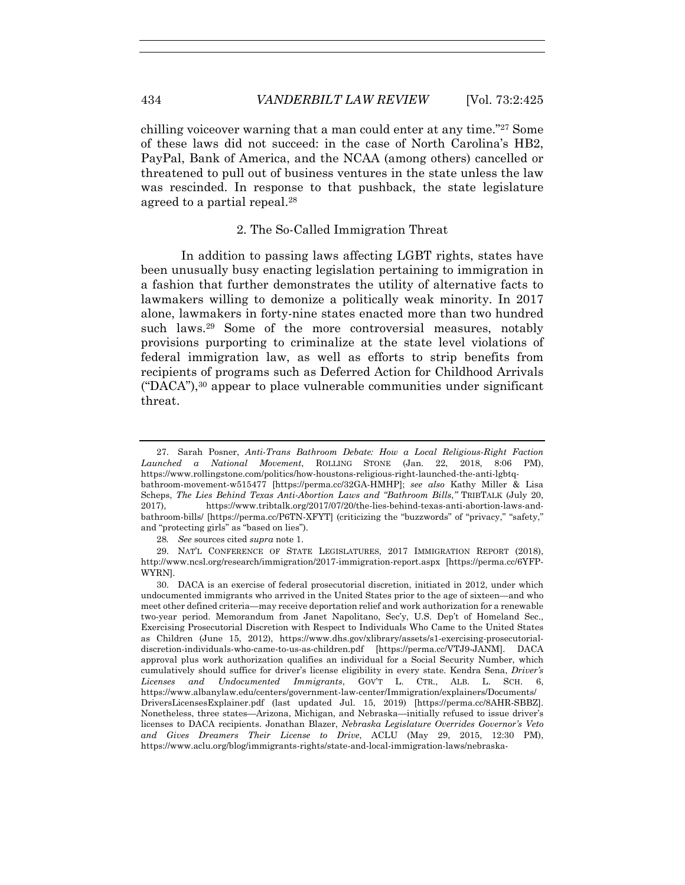chilling voiceover warning that a man could enter at any time."27 Some of these laws did not succeed: in the case of North Carolina's HB2, PayPal, Bank of America, and the NCAA (among others) cancelled or threatened to pull out of business ventures in the state unless the law was rescinded. In response to that pushback, the state legislature agreed to a partial repeal.28

#### 2. The So-Called Immigration Threat

In addition to passing laws affecting LGBT rights, states have been unusually busy enacting legislation pertaining to immigration in a fashion that further demonstrates the utility of alternative facts to lawmakers willing to demonize a politically weak minority. In 2017 alone, lawmakers in forty-nine states enacted more than two hundred such laws.<sup>29</sup> Some of the more controversial measures, notably provisions purporting to criminalize at the state level violations of federal immigration law, as well as efforts to strip benefits from recipients of programs such as Deferred Action for Childhood Arrivals ("DACA"),<sup>30</sup> appear to place vulnerable communities under significant threat.

28*. See* sources cited *supra* note 1.

 <sup>27.</sup> Sarah Posner, *Anti-Trans Bathroom Debate: How a Local Religious-Right Faction Launched a National Movement*, ROLLING STONE (Jan. 22, 2018, 8:06 PM), https://www.rollingstone.com/politics/how-houstons-religious-right-launched-the-anti-lgbtqbathroom-movement-w515477 [https://perma.cc/32GA-HMHP]; *see also* Kathy Miller & Lisa Scheps, *The Lies Behind Texas Anti-Abortion Laws and "Bathroom Bills*,*"* TRIBTALK (July 20, 2017), https://www.tribtalk.org/2017/07/20/the-lies-behind-texas-anti-abortion-laws-andbathroom-bills/ [https://perma.cc/P6TN-XFYT] (criticizing the "buzzwords" of "privacy," "safety," and "protecting girls" as "based on lies").

 <sup>29.</sup> NAT'L CONFERENCE OF STATE LEGISLATURES, 2017 IMMIGRATION REPORT (2018), http://www.ncsl.org/research/immigration/2017-immigration-report.aspx [https://perma.cc/6YFP-WYRN].

 <sup>30.</sup> DACA is an exercise of federal prosecutorial discretion, initiated in 2012, under which undocumented immigrants who arrived in the United States prior to the age of sixteen—and who meet other defined criteria—may receive deportation relief and work authorization for a renewable two-year period. Memorandum from Janet Napolitano, Sec'y, U.S. Dep't of Homeland Sec., Exercising Prosecutorial Discretion with Respect to Individuals Who Came to the United States as Children (June 15, 2012), https://www.dhs.gov/xlibrary/assets/s1-exercising-prosecutorialdiscretion-individuals-who-came-to-us-as-children.pdf [https://perma.cc/VTJ9-JANM]. DACA approval plus work authorization qualifies an individual for a Social Security Number, which cumulatively should suffice for driver's license eligibility in every state. Kendra Sena, *Driver's Licenses and Undocumented Immigrants*, GOV'T L. CTR., ALB. L. SCH. 6, https://www.albanylaw.edu/centers/government-law-center/Immigration/explainers/Documents/ DriversLicensesExplainer.pdf (last updated Jul. 15, 2019) [https://perma.cc/8AHR-SBBZ]. Nonetheless, three states—Arizona, Michigan, and Nebraska—initially refused to issue driver's licenses to DACA recipients. Jonathan Blazer, *Nebraska Legislature Overrides Governor's Veto and Gives Dreamers Their License to Drive*, ACLU (May 29, 2015, 12:30 PM), https://www.aclu.org/blog/immigrants-rights/state-and-local-immigration-laws/nebraska-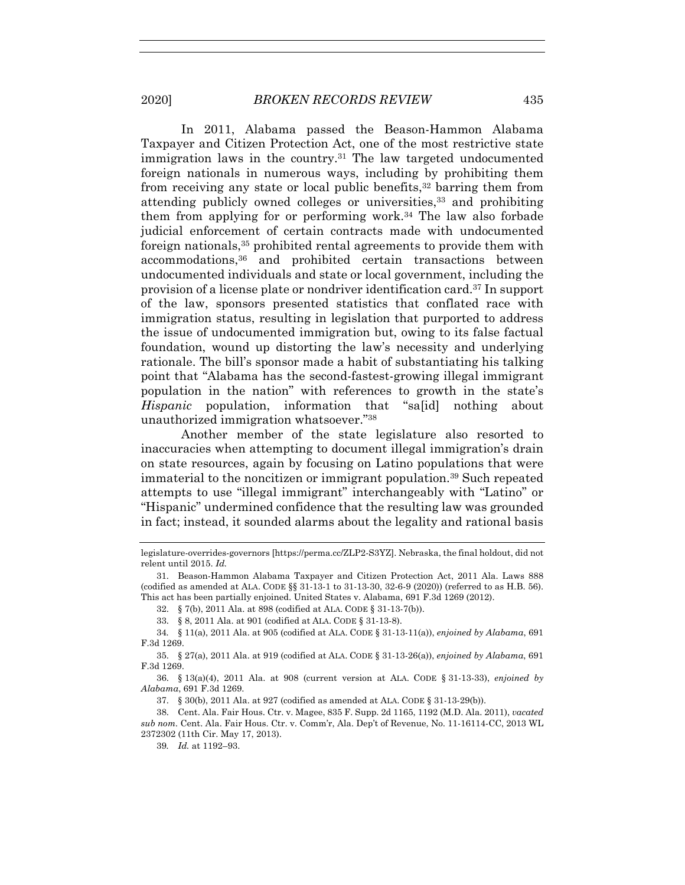In 2011, Alabama passed the Beason-Hammon Alabama Taxpayer and Citizen Protection Act, one of the most restrictive state immigration laws in the country.<sup>31</sup> The law targeted undocumented foreign nationals in numerous ways, including by prohibiting them from receiving any state or local public benefits,32 barring them from attending publicly owned colleges or universities,33 and prohibiting them from applying for or performing work.34 The law also forbade judicial enforcement of certain contracts made with undocumented foreign nationals,35 prohibited rental agreements to provide them with accommodations,36 and prohibited certain transactions between undocumented individuals and state or local government, including the provision of a license plate or nondriver identification card.37 In support of the law, sponsors presented statistics that conflated race with immigration status, resulting in legislation that purported to address the issue of undocumented immigration but, owing to its false factual foundation, wound up distorting the law's necessity and underlying rationale. The bill's sponsor made a habit of substantiating his talking point that "Alabama has the second-fastest-growing illegal immigrant population in the nation" with references to growth in the state's *Hispanic* population, information that "sa[id] nothing about unauthorized immigration whatsoever."38

Another member of the state legislature also resorted to inaccuracies when attempting to document illegal immigration's drain on state resources, again by focusing on Latino populations that were immaterial to the noncitizen or immigrant population.39 Such repeated attempts to use "illegal immigrant" interchangeably with "Latino" or "Hispanic" undermined confidence that the resulting law was grounded in fact; instead, it sounded alarms about the legality and rational basis

32. § 7(b), 2011 Ala. at 898 (codified at ALA. CODE § 31-13-7(b)).

33. § 8, 2011 Ala. at 901 (codified at ALA. CODE § 31-13-8).

34*.* § 11(a), 2011 Ala. at 905 (codified at ALA. CODE § 31-13-11(a)), *enjoined by Alabama*, 691 F.3d 1269.

 35. § 27(a), 2011 Ala. at 919 (codified at ALA. CODE § 31-13-26(a)), *enjoined by Alabama*, 691 F.3d 1269.

 36. § 13(a)(4), 2011 Ala. at 908 (current version at ALA. CODE § 31-13-33), *enjoined by Alabama*, 691 F.3d 1269.

37. § 30(b), 2011 Ala. at 927 (codified as amended at ALA. CODE § 31-13-29(b)).

39*. Id.* at 1192–93.

legislature-overrides-governors [https://perma.cc/ZLP2-S3YZ]. Nebraska, the final holdout, did not relent until 2015. *Id.*

 <sup>31.</sup> Beason-Hammon Alabama Taxpayer and Citizen Protection Act, 2011 Ala. Laws 888 (codified as amended at ALA. CODE §§ 31-13-1 to 31-13-30, 32-6-9 (2020)) (referred to as H.B. 56). This act has been partially enjoined. United States v. Alabama, 691 F.3d 1269 (2012).

 <sup>38.</sup> Cent. Ala. Fair Hous. Ctr. v. Magee, 835 F. Supp. 2d 1165, 1192 (M.D. Ala. 2011), *vacated sub nom.* Cent. Ala. Fair Hous. Ctr. v. Comm'r, Ala. Dep't of Revenue, No. 11-16114-CC, 2013 WL 2372302 (11th Cir. May 17, 2013).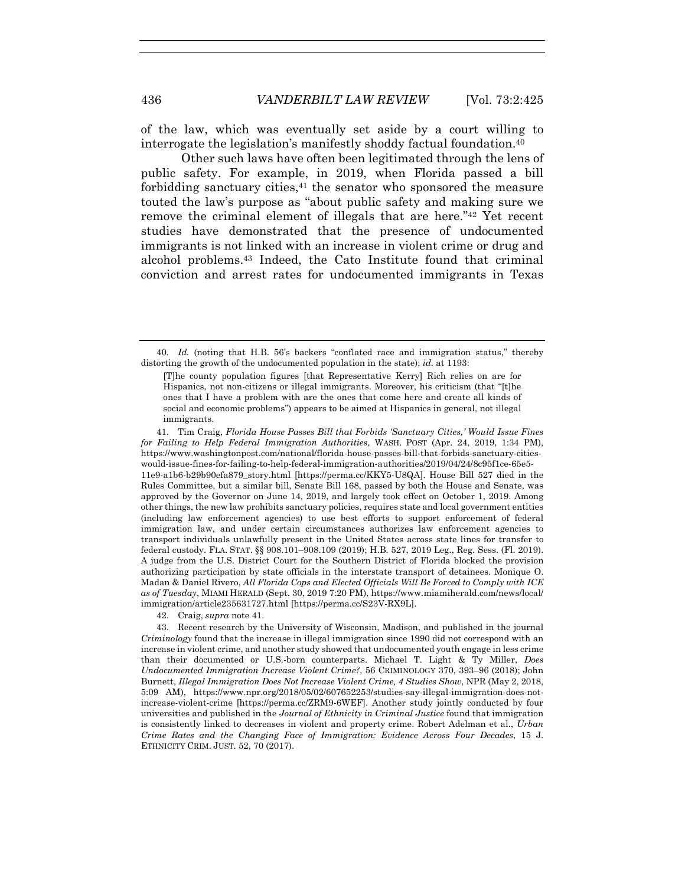of the law, which was eventually set aside by a court willing to interrogate the legislation's manifestly shoddy factual foundation.40

Other such laws have often been legitimated through the lens of public safety. For example, in 2019, when Florida passed a bill forbidding sanctuary cities, $41$  the senator who sponsored the measure touted the law's purpose as "about public safety and making sure we remove the criminal element of illegals that are here."42 Yet recent studies have demonstrated that the presence of undocumented immigrants is not linked with an increase in violent crime or drug and alcohol problems.43 Indeed, the Cato Institute found that criminal conviction and arrest rates for undocumented immigrants in Texas

 41. Tim Craig, *Florida House Passes Bill that Forbids 'Sanctuary Cities,' Would Issue Fines for Failing to Help Federal Immigration Authorities*, WASH. POST (Apr. 24, 2019, 1:34 PM), https://www.washingtonpost.com/national/florida-house-passes-bill-that-forbids-sanctuary-citieswould-issue-fines-for-failing-to-help-federal-immigration-authorities/2019/04/24/8c95f1ce-65e5- 11e9-a1b6-b29b90efa879\_story.html [https://perma.cc/KKY5-U8QA]. House Bill 527 died in the Rules Committee, but a similar bill, Senate Bill 168, passed by both the House and Senate, was approved by the Governor on June 14, 2019, and largely took effect on October 1, 2019. Among other things, the new law prohibits sanctuary policies, requires state and local government entities (including law enforcement agencies) to use best efforts to support enforcement of federal immigration law, and under certain circumstances authorizes law enforcement agencies to transport individuals unlawfully present in the United States across state lines for transfer to federal custody. FLA. STAT. §§ 908.101–908.109 (2019); H.B. 527, 2019 Leg., Reg. Sess. (Fl. 2019). A judge from the U.S. District Court for the Southern District of Florida blocked the provision authorizing participation by state officials in the interstate transport of detainees. Monique O. Madan & Daniel Rivero, *All Florida Cops and Elected Officials Will Be Forced to Comply with ICE as of Tuesday*, MIAMI HERALD (Sept. 30, 2019 7:20 PM), https://www.miamiherald.com/news/local/ immigration/article235631727.html [https://perma.cc/S23V-RX9L].

42. Craig, *supra* note 41.

 43. Recent research by the University of Wisconsin, Madison, and published in the journal *Criminology* found that the increase in illegal immigration since 1990 did not correspond with an increase in violent crime, and another study showed that undocumented youth engage in less crime than their documented or U.S.-born counterparts. Michael T. Light & Ty Miller, *Does Undocumented Immigration Increase Violent Crime?*, 56 CRIMINOLOGY 370, 393–96 (2018); John Burnett, *Illegal Immigration Does Not Increase Violent Crime, 4 Studies Show*, NPR (May 2, 2018, 5:09 AM), https://www.npr.org/2018/05/02/607652253/studies-say-illegal-immigration-does-notincrease-violent-crime [https://perma.cc/ZRM9-6WEF]. Another study jointly conducted by four universities and published in the *Journal of Ethnicity in Criminal Justice* found that immigration is consistently linked to decreases in violent and property crime. Robert Adelman et al., *Urban Crime Rates and the Changing Face of Immigration: Evidence Across Four Decades*, 15 J. ETHNICITY CRIM. JUST. 52, 70 (2017).

<sup>40</sup>*. Id.* (noting that H.B. 56's backers "conflated race and immigration status," thereby distorting the growth of the undocumented population in the state); *id.* at 1193:

<sup>[</sup>T]he county population figures [that Representative Kerry] Rich relies on are for Hispanics, not non-citizens or illegal immigrants. Moreover, his criticism (that "[t]he ones that I have a problem with are the ones that come here and create all kinds of social and economic problems") appears to be aimed at Hispanics in general, not illegal immigrants.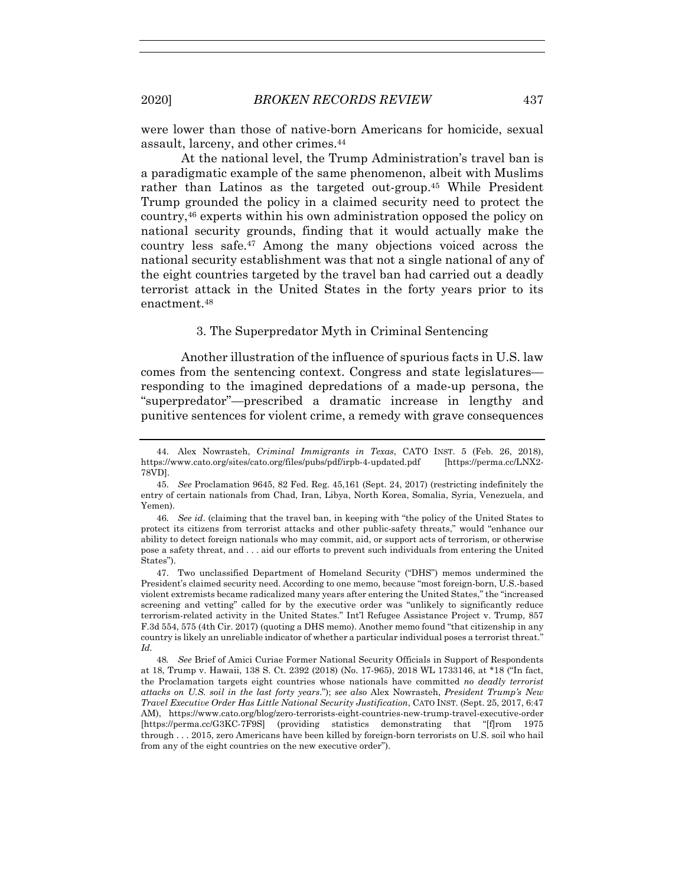were lower than those of native-born Americans for homicide, sexual assault, larceny, and other crimes.44

At the national level, the Trump Administration's travel ban is a paradigmatic example of the same phenomenon, albeit with Muslims rather than Latinos as the targeted out-group.45 While President Trump grounded the policy in a claimed security need to protect the country,46 experts within his own administration opposed the policy on national security grounds, finding that it would actually make the country less safe.47 Among the many objections voiced across the national security establishment was that not a single national of any of the eight countries targeted by the travel ban had carried out a deadly terrorist attack in the United States in the forty years prior to its enactment.48

#### 3. The Superpredator Myth in Criminal Sentencing

Another illustration of the influence of spurious facts in U.S. law comes from the sentencing context. Congress and state legislatures responding to the imagined depredations of a made-up persona, the "superpredator"—prescribed a dramatic increase in lengthy and punitive sentences for violent crime, a remedy with grave consequences

 <sup>44.</sup> Alex Nowrasteh, *Criminal Immigrants in Texas*, CATO INST. 5 (Feb. 26, 2018), https://www.cato.org/sites/cato.org/files/pubs/pdf/irpb-4-updated.pdf [https://perma.cc/LNX2-78VD].

 <sup>45.</sup> *See* Proclamation 9645, 82 Fed. Reg. 45,161 (Sept. 24, 2017) (restricting indefinitely the entry of certain nationals from Chad, Iran, Libya, North Korea, Somalia, Syria, Venezuela, and Yemen).

<sup>46</sup>*. See id*. (claiming that the travel ban, in keeping with "the policy of the United States to protect its citizens from terrorist attacks and other public-safety threats," would "enhance our ability to detect foreign nationals who may commit, aid, or support acts of terrorism, or otherwise pose a safety threat, and . . . aid our efforts to prevent such individuals from entering the United States").

 <sup>47.</sup> Two unclassified Department of Homeland Security ("DHS") memos undermined the President's claimed security need. According to one memo, because "most foreign-born, U.S.-based violent extremists became radicalized many years after entering the United States," the "increased screening and vetting" called for by the executive order was "unlikely to significantly reduce terrorism-related activity in the United States." Int'l Refugee Assistance Project v. Trump, 857 F.3d 554, 575 (4th Cir. 2017) (quoting a DHS memo). Another memo found "that citizenship in any country is likely an unreliable indicator of whether a particular individual poses a terrorist threat." *Id.*

<sup>48</sup>*. See* Brief of Amici Curiae Former National Security Officials in Support of Respondents at 18, Trump v. Hawaii, 138 S. Ct. 2392 (2018) (No. 17-965), 2018 WL 1733146, at \*18 ("In fact, the Proclamation targets eight countries whose nationals have committed *no deadly terrorist attacks on U.S. soil in the last forty years*."); *see also* Alex Nowrasteh, *President Trump's New Travel Executive Order Has Little National Security Justification*, CATO INST. (Sept. 25, 2017, 6:47 AM), https://www.cato.org/blog/zero-terrorists-eight-countries-new-trump-travel-executive-order [https://perma.cc/G3KC-7F9S] (providing statistics demonstrating that "[f]rom 1975 through . . . 2015, zero Americans have been killed by foreign-born terrorists on U.S. soil who hail from any of the eight countries on the new executive order").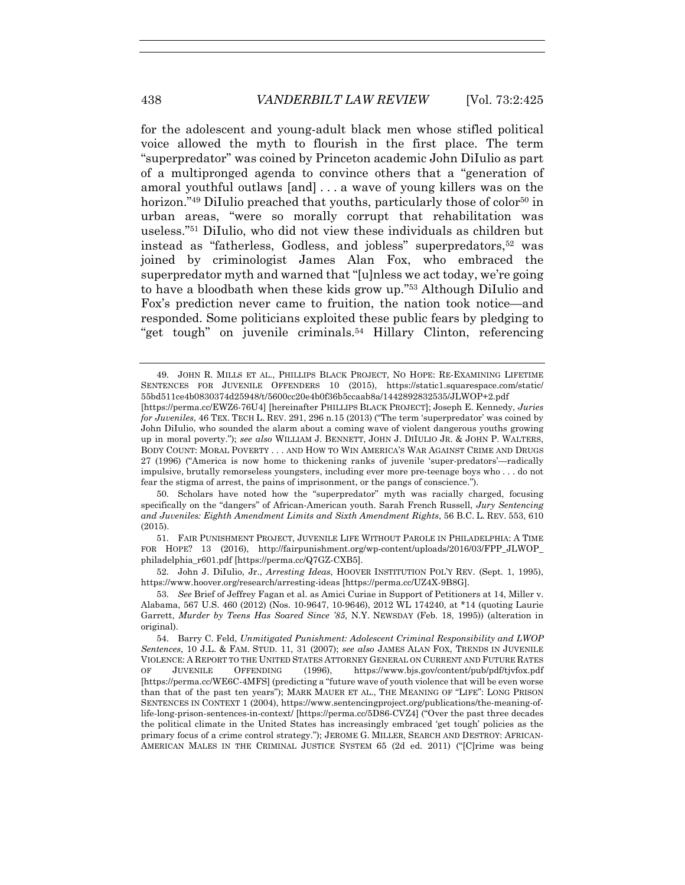for the adolescent and young-adult black men whose stifled political voice allowed the myth to flourish in the first place. The term "superpredator" was coined by Princeton academic John DiIulio as part of a multipronged agenda to convince others that a "generation of amoral youthful outlaws [and] . . . a wave of young killers was on the horizon."<sup>49</sup> DiIulio preached that youths, particularly those of color<sup>50</sup> in urban areas, "were so morally corrupt that rehabilitation was useless."51 DiIulio, who did not view these individuals as children but instead as "fatherless, Godless, and jobless" superpredators,52 was joined by criminologist James Alan Fox, who embraced the superpredator myth and warned that "[u]nless we act today, we're going to have a bloodbath when these kids grow up."53 Although DiIulio and Fox's prediction never came to fruition, the nation took notice—and responded. Some politicians exploited these public fears by pledging to "get tough" on juvenile criminals.54 Hillary Clinton, referencing

 50. Scholars have noted how the "superpredator" myth was racially charged, focusing specifically on the "dangers" of African-American youth. Sarah French Russell, *Jury Sentencing and Juveniles: Eighth Amendment Limits and Sixth Amendment Rights*, 56 B.C. L. REV. 553, 610 (2015).

 51. FAIR PUNISHMENT PROJECT, JUVENILE LIFE WITHOUT PAROLE IN PHILADELPHIA: A TIME FOR HOPE? 13 (2016), http://fairpunishment.org/wp-content/uploads/2016/03/FPP\_JLWOP\_ philadelphia\_r601.pdf [https://perma.cc/Q7GZ-CXB5].

 52. John J. DiIulio, Jr., *Arresting Ideas*, HOOVER INSTITUTION POL'Y REV. (Sept. 1, 1995), https://www.hoover.org/research/arresting-ideas [https://perma.cc/UZ4X-9B8G].

 53. *See* Brief of Jeffrey Fagan et al. as Amici Curiae in Support of Petitioners at 14, Miller v. Alabama, 567 U.S. 460 (2012) (Nos. 10-9647, 10-9646), 2012 WL 174240, at \*14 (quoting Laurie Garrett, *Murder by Teens Has Soared Since '85,* N.Y. NEWSDAY (Feb. 18, 1995)) (alteration in original).

 <sup>49.</sup> JOHN R. MILLS ET AL., PHILLIPS BLACK PROJECT, NO HOPE: RE-EXAMINING LIFETIME SENTENCES FOR JUVENILE OFFENDERS 10 (2015), https://static1.squarespace.com/static/ 55bd511ce4b0830374d25948/t/5600cc20e4b0f36b5ccaab8a/1442892832535/JLWOP+2.pdf

<sup>[</sup>https://perma.cc/EWZ6-76U4] [hereinafter PHILLIPS BLACK PROJECT]; Joseph E. Kennedy, *Juries for Juveniles*, 46 TEX. TECH L. REV. 291, 296 n.15 (2013) ("The term 'superpredator' was coined by John DiIulio, who sounded the alarm about a coming wave of violent dangerous youths growing up in moral poverty."); *see also* WILLIAM J. BENNETT, JOHN J. DIIULIO JR. & JOHN P. WALTERS, BODY COUNT: MORAL POVERTY . . . AND HOW TO WIN AMERICA'S WAR AGAINST CRIME AND DRUGS 27 (1996) ("America is now home to thickening ranks of juvenile 'super-predators'—radically impulsive, brutally remorseless youngsters, including ever more pre-teenage boys who . . . do not fear the stigma of arrest, the pains of imprisonment, or the pangs of conscience.").

 <sup>54.</sup> Barry C. Feld, *Unmitigated Punishment: Adolescent Criminal Responsibility and LWOP Sentences*, 10 J.L. & FAM. STUD. 11, 31 (2007); *see also* JAMES ALAN FOX, TRENDS IN JUVENILE VIOLENCE: A REPORT TO THE UNITED STATES ATTORNEY GENERAL ON CURRENT AND FUTURE RATES OF JUVENILE OFFENDING (1996), https://www.bjs.gov/content/pub/pdf/tjvfox.pdf [https://perma.cc/WE6C-4MFS] (predicting a "future wave of youth violence that will be even worse than that of the past ten years"); MARK MAUER ET AL., THE MEANING OF "LIFE": LONG PRISON SENTENCES IN CONTEXT 1 (2004), https://www.sentencingproject.org/publications/the-meaning-oflife-long-prison-sentences-in-context/ [https://perma.cc/5D86-CVZ4] ("Over the past three decades the political climate in the United States has increasingly embraced 'get tough' policies as the primary focus of a crime control strategy."); JEROME G. MILLER, SEARCH AND DESTROY: AFRICAN-AMERICAN MALES IN THE CRIMINAL JUSTICE SYSTEM 65 (2d ed. 2011) ("[C]rime was being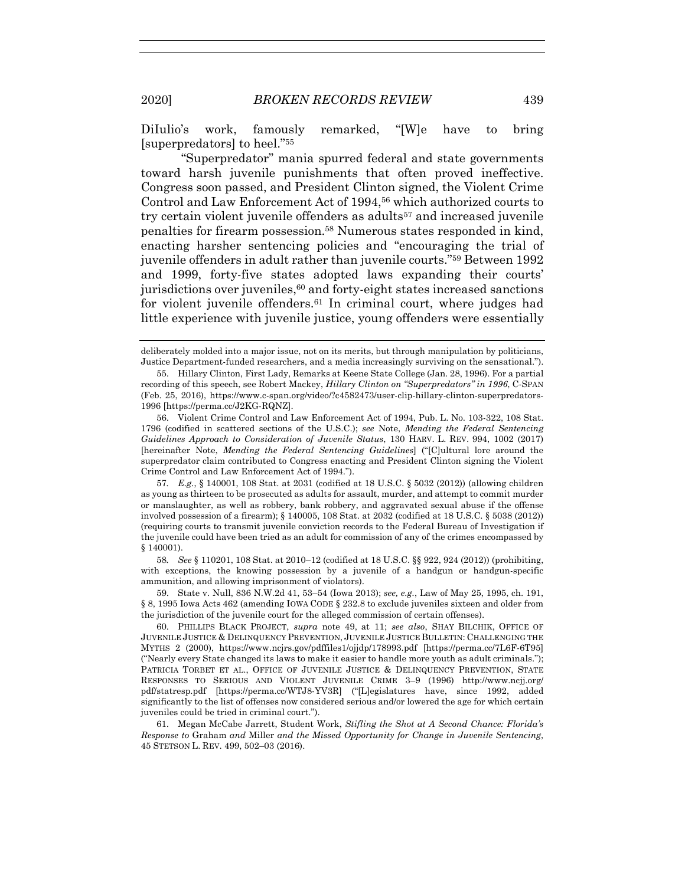DiIulio's work, famously remarked, "[W]e have to bring [superpredators] to heel."55

"Superpredator" mania spurred federal and state governments toward harsh juvenile punishments that often proved ineffective. Congress soon passed, and President Clinton signed, the Violent Crime Control and Law Enforcement Act of 1994,56 which authorized courts to try certain violent juvenile offenders as adults<sup>57</sup> and increased juvenile penalties for firearm possession.58 Numerous states responded in kind, enacting harsher sentencing policies and "encouraging the trial of juvenile offenders in adult rather than juvenile courts."59 Between 1992 and 1999, forty-five states adopted laws expanding their courts' jurisdictions over juveniles,<sup>60</sup> and forty-eight states increased sanctions for violent juvenile offenders.<sup>61</sup> In criminal court, where judges had little experience with juvenile justice, young offenders were essentially

58*. See* § 110201, 108 Stat. at 2010–12 (codified at 18 U.S.C. §§ 922, 924 (2012)) (prohibiting, with exceptions, the knowing possession by a juvenile of a handgun or handgun-specific ammunition, and allowing imprisonment of violators).

 59. State v. Null, 836 N.W.2d 41, 53–54 (Iowa 2013); *see, e.g.*, Law of May 25, 1995, ch. 191, § 8, 1995 Iowa Acts 462 (amending IOWA CODE § 232.8 to exclude juveniles sixteen and older from the jurisdiction of the juvenile court for the alleged commission of certain offenses).

 60. PHILLIPS BLACK PROJECT, *supra* note 49, at 11; *see also*, SHAY BILCHIK, OFFICE OF JUVENILE JUSTICE & DELINQUENCY PREVENTION, JUVENILE JUSTICE BULLETIN: CHALLENGING THE MYTHS 2 (2000), https://www.ncjrs.gov/pdffiles1/ojjdp/178993.pdf [https://perma.cc/7L6F-6T95] ("Nearly every State changed its laws to make it easier to handle more youth as adult criminals."); PATRICIA TORBET ET AL., OFFICE OF JUVENILE JUSTICE & DELINQUENCY PREVENTION, STATE RESPONSES TO SERIOUS AND VIOLENT JUVENILE CRIME 3–9 (1996) http://www.ncjj.org/ pdf/statresp.pdf [https://perma.cc/WTJ8-YV3R] ("[L]egislatures have, since 1992, added significantly to the list of offenses now considered serious and/or lowered the age for which certain juveniles could be tried in criminal court.").

 61. Megan McCabe Jarrett, Student Work, *Stifling the Shot at A Second Chance: Florida's Response to* Graham *and* Miller *and the Missed Opportunity for Change in Juvenile Sentencing*, 45 STETSON L. REV. 499, 502–03 (2016).

deliberately molded into a major issue, not on its merits, but through manipulation by politicians, Justice Department-funded researchers, and a media increasingly surviving on the sensational.").

 <sup>55.</sup> Hillary Clinton, First Lady, Remarks at Keene State College (Jan. 28, 1996). For a partial recording of this speech, see Robert Mackey, *Hillary Clinton on "Superpredators" in 1996*, C-SPAN (Feb. 25, 2016), https://www.c-span.org/video/?c4582473/user-clip-hillary-clinton-superpredators-1996 [https://perma.cc/J2KG-RQNZ].

 <sup>56.</sup> Violent Crime Control and Law Enforcement Act of 1994, Pub. L. No. 103-322, 108 Stat. 1796 (codified in scattered sections of the U.S.C.); *see* Note, *Mending the Federal Sentencing Guidelines Approach to Consideration of Juvenile Status*, 130 HARV. L. REV. 994, 1002 (2017) [hereinafter Note, *Mending the Federal Sentencing Guidelines*] ("[C]ultural lore around the superpredator claim contributed to Congress enacting and President Clinton signing the Violent Crime Control and Law Enforcement Act of 1994.").

<sup>57</sup>*. E.g.*, § 140001, 108 Stat. at 2031 (codified at 18 U.S.C. § 5032 (2012)) (allowing children as young as thirteen to be prosecuted as adults for assault, murder, and attempt to commit murder or manslaughter, as well as robbery, bank robbery, and aggravated sexual abuse if the offense involved possession of a firearm); § 140005, 108 Stat. at 2032 (codified at 18 U.S.C. § 5038 (2012)) (requiring courts to transmit juvenile conviction records to the Federal Bureau of Investigation if the juvenile could have been tried as an adult for commission of any of the crimes encompassed by § 140001).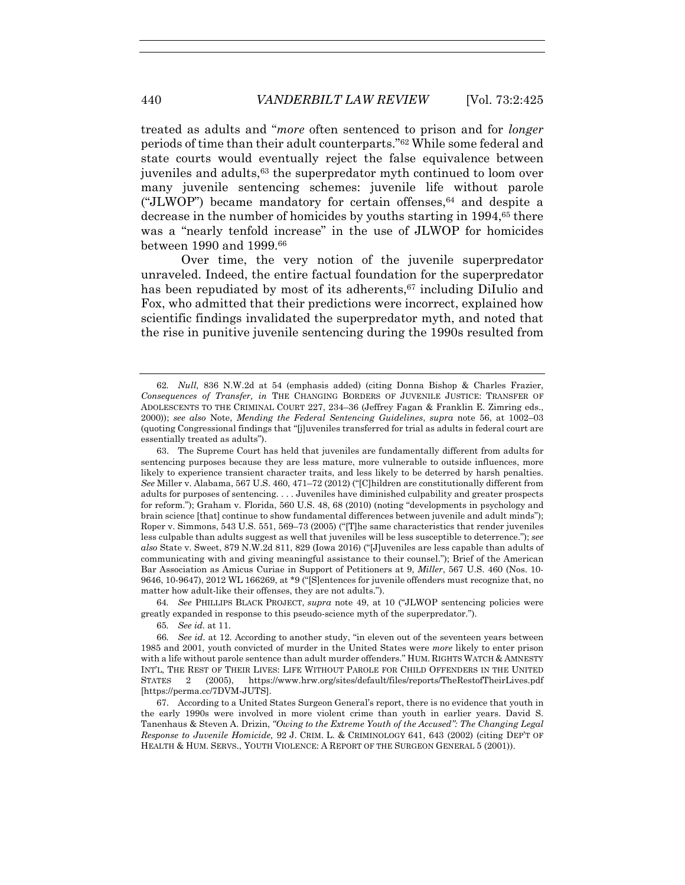treated as adults and "*more* often sentenced to prison and for *longer* periods of time than their adult counterparts."62 While some federal and state courts would eventually reject the false equivalence between juveniles and adults,63 the superpredator myth continued to loom over many juvenile sentencing schemes: juvenile life without parole ("JLWOP") became mandatory for certain offenses,  $64$  and despite a decrease in the number of homicides by youths starting in 1994,<sup>65</sup> there was a "nearly tenfold increase" in the use of JLWOP for homicides between 1990 and 1999.66

Over time, the very notion of the juvenile superpredator unraveled. Indeed, the entire factual foundation for the superpredator has been repudiated by most of its adherents,<sup>67</sup> including DiIulio and Fox, who admitted that their predictions were incorrect, explained how scientific findings invalidated the superpredator myth, and noted that the rise in punitive juvenile sentencing during the 1990s resulted from

64*. See* PHILLIPS BLACK PROJECT, *supra* note 49, at 10 ("JLWOP sentencing policies were greatly expanded in response to this pseudo-science myth of the superpredator.").

65*. See id.* at 11.

66*. See id.* at 12. According to another study, "in eleven out of the seventeen years between 1985 and 2001, youth convicted of murder in the United States were *more* likely to enter prison with a life without parole sentence than adult murder offenders." HUM. RIGHTS WATCH & AMNESTY INT'L, THE REST OF THEIR LIVES: LIFE WITHOUT PAROLE FOR CHILD OFFENDERS IN THE UNITED STATES 2 (2005), https://www.hrw.org/sites/default/files/reports/TheRestofTheirLives.pdf [https://perma.cc/7DVM-JUTS].

 67. According to a United States Surgeon General's report, there is no evidence that youth in the early 1990s were involved in more violent crime than youth in earlier years. David S. Tanenhaus & Steven A. Drizin, *"Owing to the Extreme Youth of the Accused": The Changing Legal Response to Juvenile Homicide,* 92 J. CRIM. L. & CRIMINOLOGY 641, 643 (2002) (citing DEP'T OF HEALTH & HUM. SERVS., YOUTH VIOLENCE: A REPORT OF THE SURGEON GENERAL 5 (2001)).

<sup>62</sup>*. Null,* 836 N.W.2d at 54 (emphasis added) (citing Donna Bishop & Charles Frazier, *Consequences of Transfer, in* THE CHANGING BORDERS OF JUVENILE JUSTICE: TRANSFER OF ADOLESCENTS TO THE CRIMINAL COURT 227, 234–36 (Jeffrey Fagan & Franklin E. Zimring eds., 2000)); *see also* Note, *Mending the Federal Sentencing Guidelines*, *supra* note 56, at 1002–03 (quoting Congressional findings that "[j]uveniles transferred for trial as adults in federal court are essentially treated as adults").

 <sup>63.</sup> The Supreme Court has held that juveniles are fundamentally different from adults for sentencing purposes because they are less mature, more vulnerable to outside influences, more likely to experience transient character traits, and less likely to be deterred by harsh penalties. *See* Miller v. Alabama, 567 U.S. 460, 471–72 (2012) ("[C]hildren are constitutionally different from adults for purposes of sentencing. . . . Juveniles have diminished culpability and greater prospects for reform."); Graham v. Florida, 560 U.S. 48, 68 (2010) (noting "developments in psychology and brain science [that] continue to show fundamental differences between juvenile and adult minds"); Roper v. Simmons, 543 U.S. 551, 569–73 (2005) ("[T]he same characteristics that render juveniles less culpable than adults suggest as well that juveniles will be less susceptible to deterrence."); *see also* State v. Sweet, 879 N.W.2d 811, 829 (Iowa 2016) ("[J]uveniles are less capable than adults of communicating with and giving meaningful assistance to their counsel."); Brief of the American Bar Association as Amicus Curiae in Support of Petitioners at 9, *Miller*, 567 U.S. 460 (Nos. 10- 9646, 10-9647), 2012 WL 166269, at \*9 ("[S]entences for juvenile offenders must recognize that, no matter how adult-like their offenses, they are not adults.").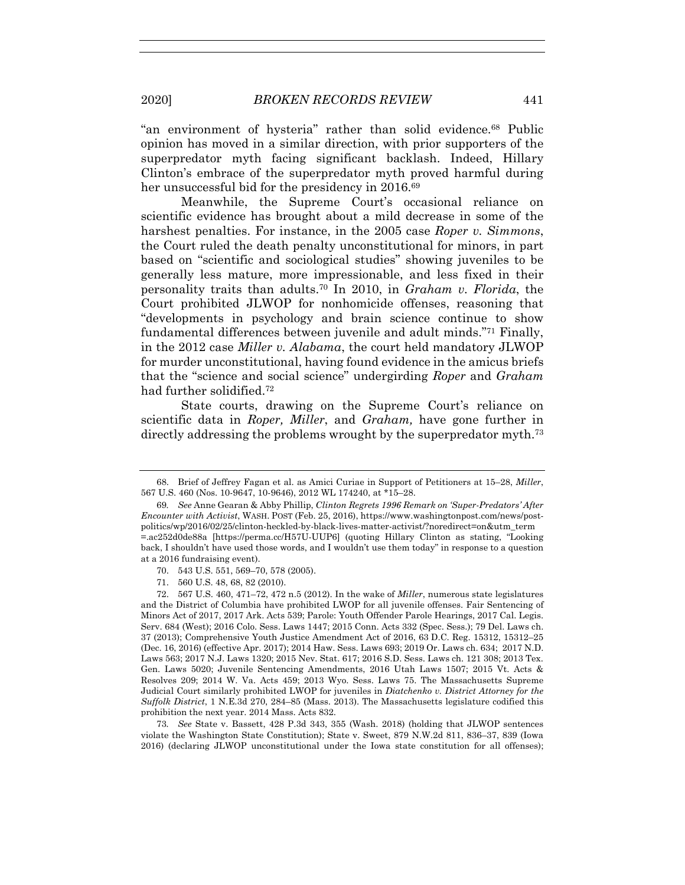"an environment of hysteria" rather than solid evidence.68 Public opinion has moved in a similar direction, with prior supporters of the superpredator myth facing significant backlash. Indeed, Hillary Clinton's embrace of the superpredator myth proved harmful during her unsuccessful bid for the presidency in 2016.<sup>69</sup>

Meanwhile, the Supreme Court's occasional reliance on scientific evidence has brought about a mild decrease in some of the harshest penalties. For instance, in the 2005 case *Roper v. Simmons*, the Court ruled the death penalty unconstitutional for minors, in part based on "scientific and sociological studies" showing juveniles to be generally less mature, more impressionable, and less fixed in their personality traits than adults.70 In 2010, in *Graham v. Florida*, the Court prohibited JLWOP for nonhomicide offenses, reasoning that "developments in psychology and brain science continue to show fundamental differences between juvenile and adult minds."71 Finally, in the 2012 case *Miller v. Alabama*, the court held mandatory JLWOP for murder unconstitutional, having found evidence in the amicus briefs that the "science and social science" undergirding *Roper* and *Graham* had further solidified.72

State courts, drawing on the Supreme Court's reliance on scientific data in *Roper, Miller*, and *Graham,* have gone further in directly addressing the problems wrought by the superpredator myth.73

71. 560 U.S. 48, 68, 82 (2010).

73*. See* State v. Bassett, 428 P.3d 343, 355 (Wash. 2018) (holding that JLWOP sentences violate the Washington State Constitution); State v. Sweet, 879 N.W.2d 811, 836–37, 839 (Iowa 2016) (declaring JLWOP unconstitutional under the Iowa state constitution for all offenses);

 <sup>68.</sup> Brief of Jeffrey Fagan et al. as Amici Curiae in Support of Petitioners at 15–28, *Miller*, 567 U.S. 460 (Nos. 10-9647, 10-9646), 2012 WL 174240, at \*15–28.

<sup>69</sup>*. See* Anne Gearan & Abby Phillip, *Clinton Regrets 1996 Remark on 'Super-Predators' After Encounter with Activist*, WASH. POST (Feb. 25, 2016), https://www.washingtonpost.com/news/postpolitics/wp/2016/02/25/clinton-heckled-by-black-lives-matter-activist/?noredirect=on&utm\_term =.ac252d0de88a [https://perma.cc/H57U-UUP6] (quoting Hillary Clinton as stating, "Looking back, I shouldn't have used those words, and I wouldn't use them today" in response to a question at a 2016 fundraising event).

 <sup>70. 543</sup> U.S. 551, 569–70, 578 (2005).

 <sup>72. 567</sup> U.S. 460, 471–72, 472 n.5 (2012). In the wake of *Miller*, numerous state legislatures and the District of Columbia have prohibited LWOP for all juvenile offenses. Fair Sentencing of Minors Act of 2017, 2017 Ark. Acts 539; Parole: Youth Offender Parole Hearings, 2017 Cal. Legis. Serv. 684 (West); 2016 Colo. Sess. Laws 1447; 2015 Conn. Acts 332 (Spec. Sess.); 79 Del. Laws ch. 37 (2013); Comprehensive Youth Justice Amendment Act of 2016, 63 D.C. Reg. 15312, 15312–25 (Dec. 16, 2016) (effective Apr. 2017); 2014 Haw. Sess. Laws 693; 2019 Or. Laws ch. 634; 2017 N.D. Laws 563; 2017 N.J. Laws 1320; 2015 Nev. Stat. 617; 2016 S.D. Sess. Laws ch. 121 308; 2013 Tex. Gen. Laws 5020; Juvenile Sentencing Amendments, 2016 Utah Laws 1507; 2015 Vt. Acts & Resolves 209; 2014 W. Va. Acts 459; 2013 Wyo. Sess. Laws 75. The Massachusetts Supreme Judicial Court similarly prohibited LWOP for juveniles in *Diatchenko v. District Attorney for the Suffolk District*, 1 N.E.3d 270, 284–85 (Mass. 2013). The Massachusetts legislature codified this prohibition the next year. 2014 Mass. Acts 832.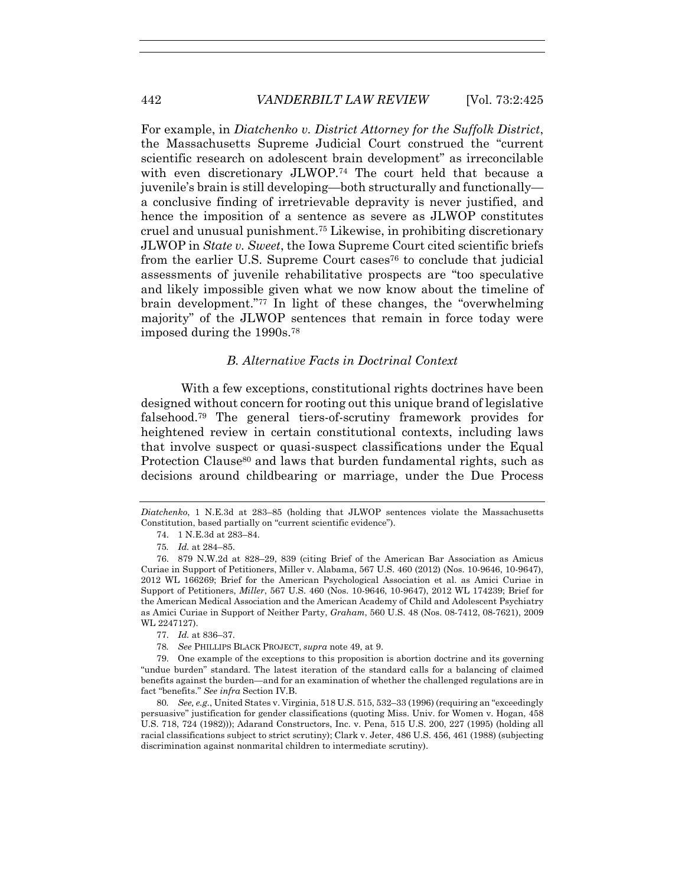For example, in *Diatchenko v. District Attorney for the Suffolk District*, the Massachusetts Supreme Judicial Court construed the "current scientific research on adolescent brain development" as irreconcilable with even discretionary JLWOP.<sup>74</sup> The court held that because a juvenile's brain is still developing—both structurally and functionally a conclusive finding of irretrievable depravity is never justified, and hence the imposition of a sentence as severe as JLWOP constitutes cruel and unusual punishment.75 Likewise, in prohibiting discretionary JLWOP in *State v. Sweet*, the Iowa Supreme Court cited scientific briefs from the earlier U.S. Supreme Court cases<sup>76</sup> to conclude that judicial assessments of juvenile rehabilitative prospects are "too speculative and likely impossible given what we now know about the timeline of brain development."77 In light of these changes, the "overwhelming majority" of the JLWOP sentences that remain in force today were imposed during the 1990s.78

# *B. Alternative Facts in Doctrinal Context*

With a few exceptions, constitutional rights doctrines have been designed without concern for rooting out this unique brand of legislative falsehood.79 The general tiers-of-scrutiny framework provides for heightened review in certain constitutional contexts, including laws that involve suspect or quasi-suspect classifications under the Equal Protection Clause<sup>80</sup> and laws that burden fundamental rights, such as decisions around childbearing or marriage, under the Due Process

*Diatchenko*, 1 N.E.3d at 283–85 (holding that JLWOP sentences violate the Massachusetts Constitution, based partially on "current scientific evidence").

 <sup>74. 1</sup> N.E.3d at 283–84.

<sup>75</sup>*. Id.* at 284–85.

 <sup>76. 879</sup> N.W.2d at 828–29, 839 (citing Brief of the American Bar Association as Amicus Curiae in Support of Petitioners, Miller v. Alabama, 567 U.S. 460 (2012) (Nos. 10-9646, 10-9647), 2012 WL 166269; Brief for the American Psychological Association et al. as Amici Curiae in Support of Petitioners, *Miller*, 567 U.S. 460 (Nos. 10-9646, 10-9647), 2012 WL 174239; Brief for the American Medical Association and the American Academy of Child and Adolescent Psychiatry as Amici Curiae in Support of Neither Party, *Graham*, 560 U.S. 48 (Nos. 08-7412, 08-7621), 2009 WL 2247127).

 <sup>77.</sup> *Id.* at 836–37.

<sup>78</sup>*. See* PHILLIPS BLACK PROJECT, *supra* note 49, at 9.

 <sup>79.</sup> One example of the exceptions to this proposition is abortion doctrine and its governing "undue burden" standard. The latest iteration of the standard calls for a balancing of claimed benefits against the burden—and for an examination of whether the challenged regulations are in fact "benefits." *See infra* Section IV.B.

<sup>80</sup>*. See, e.g.*, United States v. Virginia, 518 U.S. 515, 532–33 (1996) (requiring an "exceedingly persuasive" justification for gender classifications (quoting Miss. Univ. for Women v. Hogan, 458 U.S. 718, 724 (1982))); Adarand Constructors, Inc. v. Pena, 515 U.S. 200, 227 (1995) (holding all racial classifications subject to strict scrutiny); Clark v. Jeter, 486 U.S. 456, 461 (1988) (subjecting discrimination against nonmarital children to intermediate scrutiny).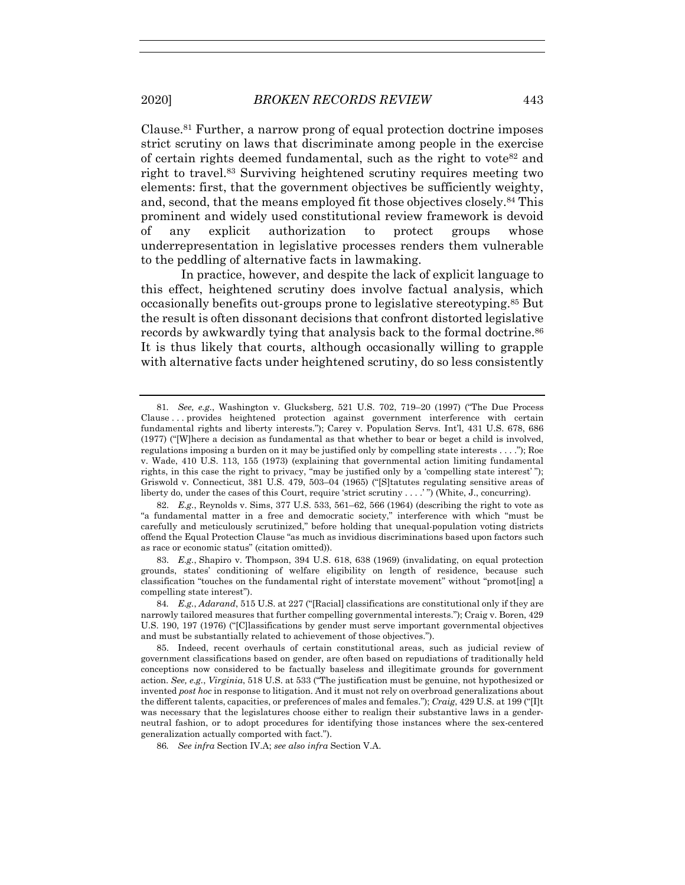Clause.81 Further, a narrow prong of equal protection doctrine imposes strict scrutiny on laws that discriminate among people in the exercise of certain rights deemed fundamental, such as the right to vote<sup>82</sup> and right to travel.83 Surviving heightened scrutiny requires meeting two elements: first, that the government objectives be sufficiently weighty, and, second, that the means employed fit those objectives closely.84 This prominent and widely used constitutional review framework is devoid of any explicit authorization to protect groups whose underrepresentation in legislative processes renders them vulnerable to the peddling of alternative facts in lawmaking.

In practice, however, and despite the lack of explicit language to this effect, heightened scrutiny does involve factual analysis, which occasionally benefits out-groups prone to legislative stereotyping.85 But the result is often dissonant decisions that confront distorted legislative records by awkwardly tying that analysis back to the formal doctrine.<sup>86</sup> It is thus likely that courts, although occasionally willing to grapple with alternative facts under heightened scrutiny, do so less consistently

<sup>81</sup>*. See, e.g.*, Washington v. Glucksberg, 521 U.S. 702, 719–20 (1997) ("The Due Process Clause . . . provides heightened protection against government interference with certain fundamental rights and liberty interests."); Carey v. Population Servs. Int'l, 431 U.S. 678, 686 (1977) ("[W]here a decision as fundamental as that whether to bear or beget a child is involved, regulations imposing a burden on it may be justified only by compelling state interests . . . ."); Roe v. Wade, 410 U.S. 113, 155 (1973) (explaining that governmental action limiting fundamental rights, in this case the right to privacy, "may be justified only by a 'compelling state interest' "); Griswold v. Connecticut, 381 U.S. 479, 503–04 (1965) ("[S]tatutes regulating sensitive areas of liberty do, under the cases of this Court, require 'strict scrutiny . . . .' ") (White, J., concurring).

 <sup>82.</sup> *E.g.*, Reynolds v. Sims, 377 U.S. 533, 561–62, 566 (1964) (describing the right to vote as "a fundamental matter in a free and democratic society," interference with which "must be carefully and meticulously scrutinized," before holding that unequal-population voting districts offend the Equal Protection Clause "as much as invidious discriminations based upon factors such as race or economic status" (citation omitted)).

 <sup>83.</sup> *E.g.*, Shapiro v. Thompson, 394 U.S. 618, 638 (1969) (invalidating, on equal protection grounds, states' conditioning of welfare eligibility on length of residence, because such classification "touches on the fundamental right of interstate movement" without "promot[ing] a compelling state interest").

<sup>84</sup>*. E.g.*, *Adarand*, 515 U.S. at 227 ("[Racial] classifications are constitutional only if they are narrowly tailored measures that further compelling governmental interests."); Craig v. Boren, 429 U.S. 190, 197 (1976) ("[C]lassifications by gender must serve important governmental objectives and must be substantially related to achievement of those objectives.").

 <sup>85.</sup> Indeed, recent overhauls of certain constitutional areas, such as judicial review of government classifications based on gender, are often based on repudiations of traditionally held conceptions now considered to be factually baseless and illegitimate grounds for government action. *See, e.g.*, *Virginia*, 518 U.S. at 533 ("The justification must be genuine, not hypothesized or invented *post hoc* in response to litigation. And it must not rely on overbroad generalizations about the different talents, capacities, or preferences of males and females."); *Craig*, 429 U.S. at 199 ("[I]t was necessary that the legislatures choose either to realign their substantive laws in a genderneutral fashion, or to adopt procedures for identifying those instances where the sex-centered generalization actually comported with fact.").

<sup>86</sup>*. See infra* Section IV.A; *see also infra* Section V.A.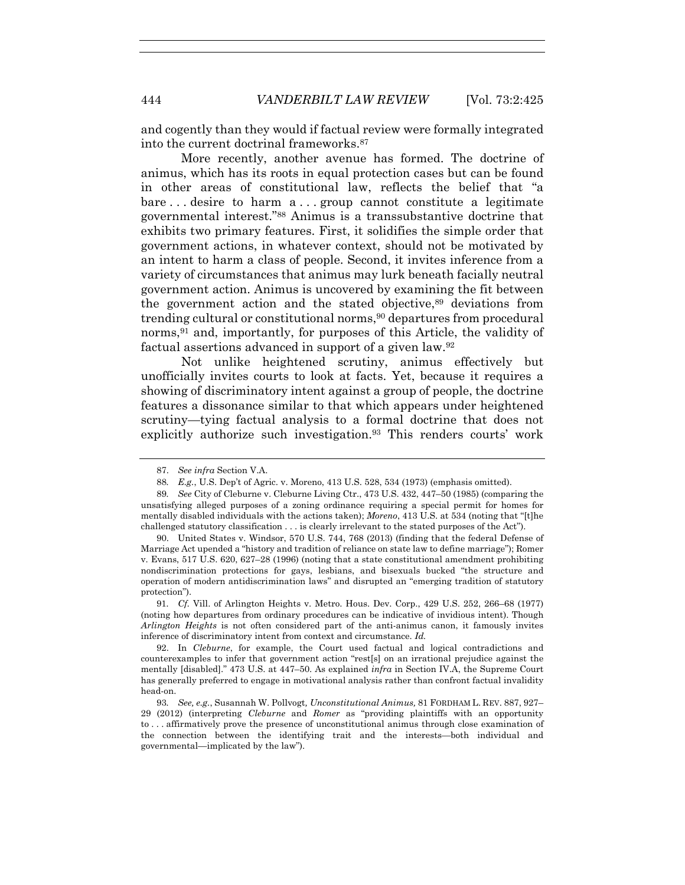and cogently than they would if factual review were formally integrated into the current doctrinal frameworks.87

More recently, another avenue has formed. The doctrine of animus, which has its roots in equal protection cases but can be found in other areas of constitutional law, reflects the belief that "a bare . . . desire to harm a . . . group cannot constitute a legitimate governmental interest."88 Animus is a transsubstantive doctrine that exhibits two primary features. First, it solidifies the simple order that government actions, in whatever context, should not be motivated by an intent to harm a class of people. Second, it invites inference from a variety of circumstances that animus may lurk beneath facially neutral government action. Animus is uncovered by examining the fit between the government action and the stated objective,89 deviations from trending cultural or constitutional norms,<sup>90</sup> departures from procedural norms,<sup>91</sup> and, importantly, for purposes of this Article, the validity of factual assertions advanced in support of a given law.92

Not unlike heightened scrutiny, animus effectively but unofficially invites courts to look at facts. Yet, because it requires a showing of discriminatory intent against a group of people, the doctrine features a dissonance similar to that which appears under heightened scrutiny—tying factual analysis to a formal doctrine that does not explicitly authorize such investigation.<sup>93</sup> This renders courts' work

 <sup>87.</sup> *See infra* Section V.A.

<sup>88</sup>*. E.g.*, U.S. Dep't of Agric. v. Moreno, 413 U.S. 528, 534 (1973) (emphasis omitted).

<sup>89</sup>*. See* City of Cleburne v. Cleburne Living Ctr., 473 U.S. 432, 447–50 (1985) (comparing the unsatisfying alleged purposes of a zoning ordinance requiring a special permit for homes for mentally disabled individuals with the actions taken); *Moreno*, 413 U.S. at 534 (noting that "[t]he challenged statutory classification . . . is clearly irrelevant to the stated purposes of the Act").

 <sup>90.</sup> United States v. Windsor, 570 U.S. 744, 768 (2013) (finding that the federal Defense of Marriage Act upended a "history and tradition of reliance on state law to define marriage"); Romer v. Evans, 517 U.S. 620, 627–28 (1996) (noting that a state constitutional amendment prohibiting nondiscrimination protections for gays, lesbians, and bisexuals bucked "the structure and operation of modern antidiscrimination laws" and disrupted an "emerging tradition of statutory protection").

<sup>91</sup>*. Cf.* Vill. of Arlington Heights v. Metro. Hous. Dev. Corp., 429 U.S. 252, 266–68 (1977) (noting how departures from ordinary procedures can be indicative of invidious intent). Though *Arlington Heights* is not often considered part of the anti-animus canon, it famously invites inference of discriminatory intent from context and circumstance. *Id.*

 <sup>92.</sup> In *Cleburne*, for example, the Court used factual and logical contradictions and counterexamples to infer that government action "rest[s] on an irrational prejudice against the mentally [disabled]." 473 U.S. at 447–50. As explained *infra* in Section IV.A, the Supreme Court has generally preferred to engage in motivational analysis rather than confront factual invalidity head-on.

<sup>93</sup>*. See, e.g.*, Susannah W. Pollvogt*, Unconstitutional Animus,* 81 FORDHAM L. REV. 887, 927– 29 (2012) (interpreting *Cleburne* and *Romer* as "providing plaintiffs with an opportunity to . . . affirmatively prove the presence of unconstitutional animus through close examination of the connection between the identifying trait and the interests—both individual and governmental—implicated by the law").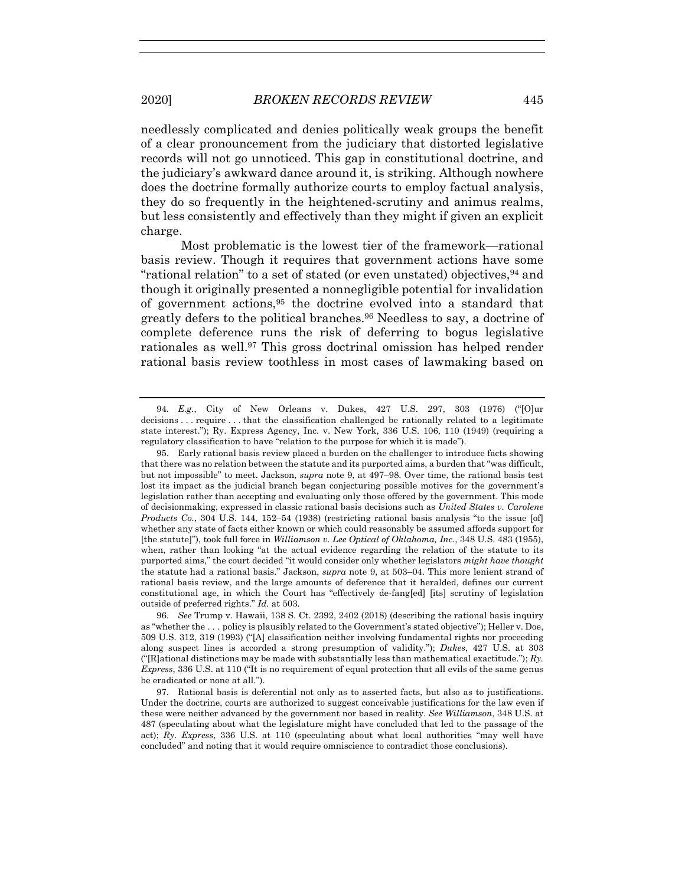needlessly complicated and denies politically weak groups the benefit of a clear pronouncement from the judiciary that distorted legislative records will not go unnoticed. This gap in constitutional doctrine, and the judiciary's awkward dance around it, is striking. Although nowhere does the doctrine formally authorize courts to employ factual analysis, they do so frequently in the heightened-scrutiny and animus realms, but less consistently and effectively than they might if given an explicit charge.

Most problematic is the lowest tier of the framework—rational basis review. Though it requires that government actions have some "rational relation" to a set of stated (or even unstated) objectives,94 and though it originally presented a nonnegligible potential for invalidation of government actions,95 the doctrine evolved into a standard that greatly defers to the political branches.96 Needless to say, a doctrine of complete deference runs the risk of deferring to bogus legislative rationales as well.97 This gross doctrinal omission has helped render rational basis review toothless in most cases of lawmaking based on

96*. See* Trump v. Hawaii, 138 S. Ct. 2392, 2402 (2018) (describing the rational basis inquiry as "whether the . . . policy is plausibly related to the Government's stated objective"); Heller v. Doe, 509 U.S. 312, 319 (1993) ("[A] classification neither involving fundamental rights nor proceeding along suspect lines is accorded a strong presumption of validity."); *Dukes*, 427 U.S. at 303 ("[R]ational distinctions may be made with substantially less than mathematical exactitude."); *Ry. Express*, 336 U.S. at 110 ("It is no requirement of equal protection that all evils of the same genus be eradicated or none at all.").

 97. Rational basis is deferential not only as to asserted facts, but also as to justifications. Under the doctrine, courts are authorized to suggest conceivable justifications for the law even if these were neither advanced by the government nor based in reality. *See Williamson*, 348 U.S. at 487 (speculating about what the legislature might have concluded that led to the passage of the act); *Ry. Express*, 336 U.S. at 110 (speculating about what local authorities "may well have concluded" and noting that it would require omniscience to contradict those conclusions).

<sup>94</sup>*. E.g.*, City of New Orleans v. Dukes, 427 U.S. 297, 303 (1976) ("[O]ur decisions . . . require . . . that the classification challenged be rationally related to a legitimate state interest."); Ry. Express Agency, Inc. v. New York, 336 U.S. 106, 110 (1949) (requiring a regulatory classification to have "relation to the purpose for which it is made").

 <sup>95.</sup> Early rational basis review placed a burden on the challenger to introduce facts showing that there was no relation between the statute and its purported aims, a burden that "was difficult, but not impossible" to meet. Jackson, *supra* note 9, at 497–98. Over time, the rational basis test lost its impact as the judicial branch began conjecturing possible motives for the government's legislation rather than accepting and evaluating only those offered by the government. This mode of decisionmaking, expressed in classic rational basis decisions such as *United States v. Carolene Products Co.*, 304 U.S. 144, 152–54 (1938) (restricting rational basis analysis "to the issue [of] whether any state of facts either known or which could reasonably be assumed affords support for [the statute]"), took full force in *Williamson v. Lee Optical of Oklahoma, Inc.*, 348 U.S. 483 (1955), when, rather than looking "at the actual evidence regarding the relation of the statute to its purported aims," the court decided "it would consider only whether legislators *might have thought* the statute had a rational basis." Jackson, *supra* note 9, at 503–04. This more lenient strand of rational basis review, and the large amounts of deference that it heralded, defines our current constitutional age, in which the Court has "effectively de-fang[ed] [its] scrutiny of legislation outside of preferred rights." *Id.* at 503.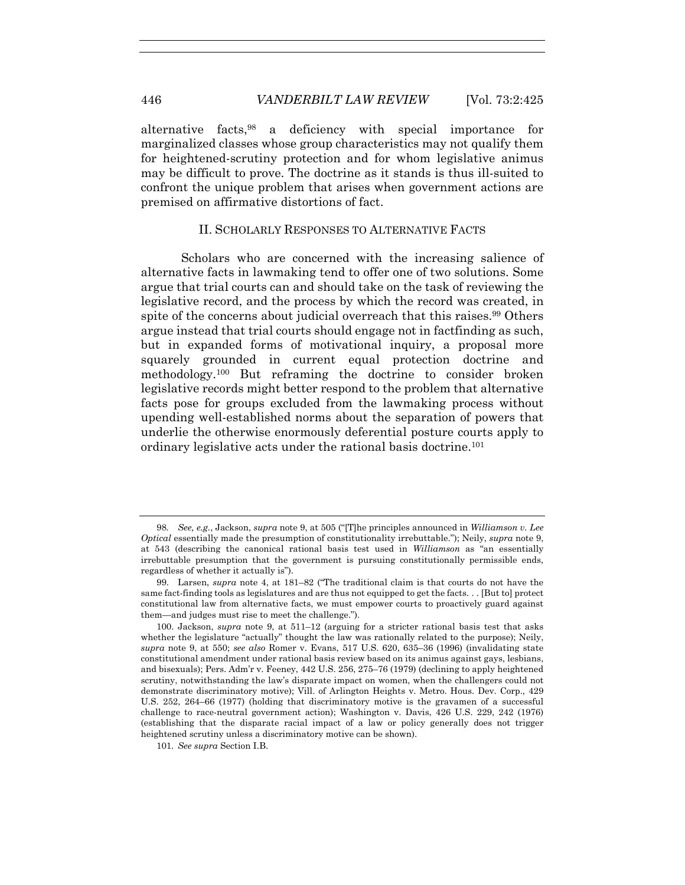alternative facts,98 a deficiency with special importance for marginalized classes whose group characteristics may not qualify them for heightened-scrutiny protection and for whom legislative animus may be difficult to prove. The doctrine as it stands is thus ill-suited to confront the unique problem that arises when government actions are premised on affirmative distortions of fact.

## II. SCHOLARLY RESPONSES TO ALTERNATIVE FACTS

Scholars who are concerned with the increasing salience of alternative facts in lawmaking tend to offer one of two solutions. Some argue that trial courts can and should take on the task of reviewing the legislative record, and the process by which the record was created, in spite of the concerns about judicial overreach that this raises.<sup>99</sup> Others argue instead that trial courts should engage not in factfinding as such, but in expanded forms of motivational inquiry, a proposal more squarely grounded in current equal protection doctrine and methodology.100 But reframing the doctrine to consider broken legislative records might better respond to the problem that alternative facts pose for groups excluded from the lawmaking process without upending well-established norms about the separation of powers that underlie the otherwise enormously deferential posture courts apply to ordinary legislative acts under the rational basis doctrine.101

<sup>98</sup>*. See, e.g.*, Jackson, *supra* note 9, at 505 ("[T]he principles announced in *Williamson v. Lee Optical* essentially made the presumption of constitutionality irrebuttable."); Neily, *supra* note 9, at 543 (describing the canonical rational basis test used in *Williamson* as "an essentially irrebuttable presumption that the government is pursuing constitutionally permissible ends, regardless of whether it actually is").

 <sup>99.</sup> Larsen, *supra* note 4, at 181–82 ("The traditional claim is that courts do not have the same fact-finding tools as legislatures and are thus not equipped to get the facts. . . [But to] protect constitutional law from alternative facts, we must empower courts to proactively guard against them—and judges must rise to meet the challenge.").

 <sup>100.</sup> Jackson, *supra* note 9, at 511–12 (arguing for a stricter rational basis test that asks whether the legislature "actually" thought the law was rationally related to the purpose); Neily, *supra* note 9, at 550; *see also* Romer v. Evans, 517 U.S. 620, 635–36 (1996) (invalidating state constitutional amendment under rational basis review based on its animus against gays, lesbians, and bisexuals); Pers. Adm'r v. Feeney, 442 U.S. 256, 275–76 (1979) (declining to apply heightened scrutiny, notwithstanding the law's disparate impact on women, when the challengers could not demonstrate discriminatory motive); Vill. of Arlington Heights v. Metro. Hous. Dev. Corp., 429 U.S. 252, 264–66 (1977) (holding that discriminatory motive is the gravamen of a successful challenge to race-neutral government action); Washington v. Davis, 426 U.S. 229, 242 (1976) (establishing that the disparate racial impact of a law or policy generally does not trigger heightened scrutiny unless a discriminatory motive can be shown).

<sup>101</sup>*. See supra* Section I.B.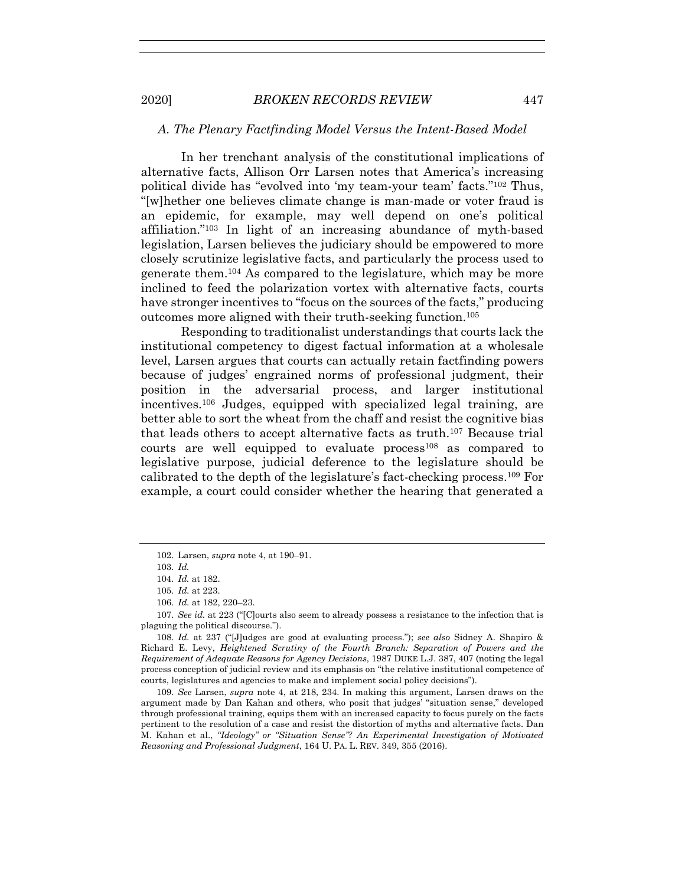#### *A. The Plenary Factfinding Model Versus the Intent-Based Model*

In her trenchant analysis of the constitutional implications of alternative facts, Allison Orr Larsen notes that America's increasing political divide has "evolved into 'my team-your team' facts."102 Thus, "[w]hether one believes climate change is man-made or voter fraud is an epidemic, for example, may well depend on one's political affiliation."103 In light of an increasing abundance of myth-based legislation, Larsen believes the judiciary should be empowered to more closely scrutinize legislative facts, and particularly the process used to generate them.104 As compared to the legislature, which may be more inclined to feed the polarization vortex with alternative facts, courts have stronger incentives to "focus on the sources of the facts," producing outcomes more aligned with their truth-seeking function.105

Responding to traditionalist understandings that courts lack the institutional competency to digest factual information at a wholesale level, Larsen argues that courts can actually retain factfinding powers because of judges' engrained norms of professional judgment, their position in the adversarial process, and larger institutional incentives.106 Judges, equipped with specialized legal training, are better able to sort the wheat from the chaff and resist the cognitive bias that leads others to accept alternative facts as truth.107 Because trial courts are well equipped to evaluate process<sup>108</sup> as compared to legislative purpose, judicial deference to the legislature should be calibrated to the depth of the legislature's fact-checking process.109 For example, a court could consider whether the hearing that generated a

108*. Id.* at 237 ("[J]udges are good at evaluating process."); *see also* Sidney A. Shapiro & Richard E. Levy, *Heightened Scrutiny of the Fourth Branch: Separation of Powers and the Requirement of Adequate Reasons for Agency Decisions*, 1987 DUKE L.J. 387, 407 (noting the legal process conception of judicial review and its emphasis on "the relative institutional competence of courts, legislatures and agencies to make and implement social policy decisions").

109*. See* Larsen, *supra* note 4, at 218, 234. In making this argument, Larsen draws on the argument made by Dan Kahan and others, who posit that judges' "situation sense," developed through professional training, equips them with an increased capacity to focus purely on the facts pertinent to the resolution of a case and resist the distortion of myths and alternative facts. Dan M. Kahan et al., *"Ideology" or "Situation Sense"? An Experimental Investigation of Motivated Reasoning and Professional Judgment*, 164 U. PA. L. REV. 349, 355 (2016).

 <sup>102.</sup> Larsen, *supra* note 4, at 190–91.

<sup>103</sup>*. Id.*

<sup>104</sup>*. Id.* at 182.

<sup>105</sup>*. Id.* at 223.

<sup>106</sup>*. Id.* at 182, 220–23.

<sup>107</sup>*. See id.* at 223 ("[C]ourts also seem to already possess a resistance to the infection that is plaguing the political discourse.").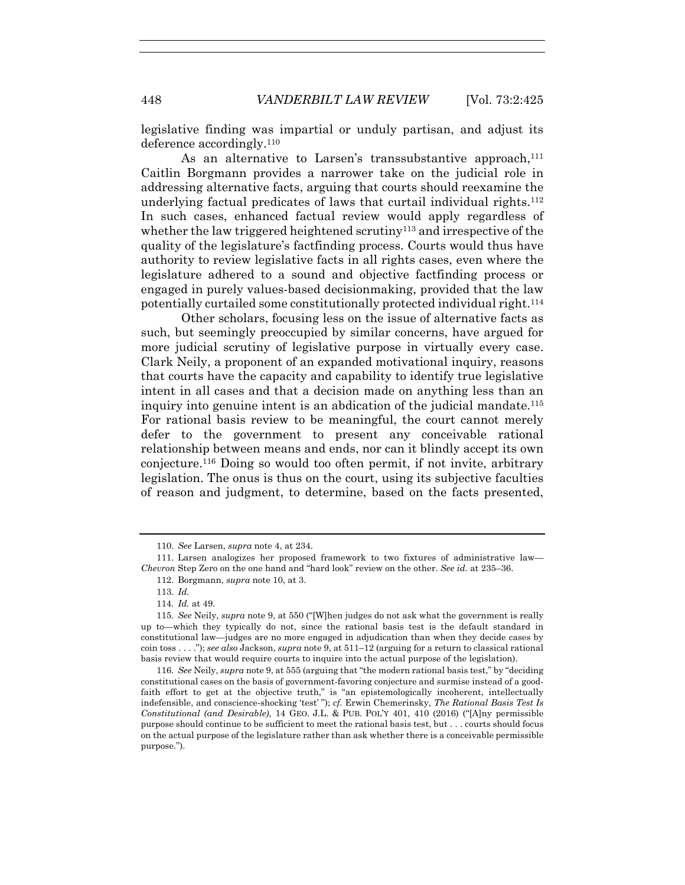legislative finding was impartial or unduly partisan, and adjust its deference accordingly.110

As an alternative to Larsen's transsubstantive approach.<sup>111</sup> Caitlin Borgmann provides a narrower take on the judicial role in addressing alternative facts, arguing that courts should reexamine the underlying factual predicates of laws that curtail individual rights.<sup>112</sup> In such cases, enhanced factual review would apply regardless of whether the law triggered heightened scrutiny<sup>113</sup> and irrespective of the quality of the legislature's factfinding process. Courts would thus have authority to review legislative facts in all rights cases, even where the legislature adhered to a sound and objective factfinding process or engaged in purely values-based decisionmaking, provided that the law potentially curtailed some constitutionally protected individual right.114

Other scholars, focusing less on the issue of alternative facts as such, but seemingly preoccupied by similar concerns, have argued for more judicial scrutiny of legislative purpose in virtually every case. Clark Neily, a proponent of an expanded motivational inquiry, reasons that courts have the capacity and capability to identify true legislative intent in all cases and that a decision made on anything less than an inquiry into genuine intent is an abdication of the judicial mandate.115 For rational basis review to be meaningful, the court cannot merely defer to the government to present any conceivable rational relationship between means and ends, nor can it blindly accept its own conjecture.116 Doing so would too often permit, if not invite, arbitrary legislation. The onus is thus on the court, using its subjective faculties of reason and judgment, to determine, based on the facts presented,

 <sup>110.</sup> *See* Larsen, *supra* note 4, at 234.

 <sup>111.</sup> Larsen analogizes her proposed framework to two fixtures of administrative law— *Chevron* Step Zero on the one hand and "hard look" review on the other. *See id.* at 235–36.

 <sup>112.</sup> Borgmann, *supra* note 10, at 3.

<sup>113</sup>*. Id.*

<sup>114</sup>*. Id.* at 49.

<sup>115</sup>*. See* Neily, *supra* note 9, at 550 ("[W]hen judges do not ask what the government is really up to—which they typically do not, since the rational basis test is the default standard in constitutional law—judges are no more engaged in adjudication than when they decide cases by coin toss . . . ."); *see also* Jackson, *supra* note 9, at 511–12 (arguing for a return to classical rational basis review that would require courts to inquire into the actual purpose of the legislation).

<sup>116</sup>*. See* Neily, *supra* note 9, at 555 (arguing that "the modern rational basis test," by "deciding constitutional cases on the basis of government-favoring conjecture and surmise instead of a goodfaith effort to get at the objective truth," is "an epistemologically incoherent, intellectually indefensible, and conscience-shocking 'test' "); *cf.* Erwin Chemerinsky, *The Rational Basis Test Is Constitutional (and Desirable)*, 14 GEO. J.L. & PUB. POL'Y 401, 410 (2016) ("[A]ny permissible purpose should continue to be sufficient to meet the rational basis test, but . . . courts should focus on the actual purpose of the legislature rather than ask whether there is a conceivable permissible purpose.").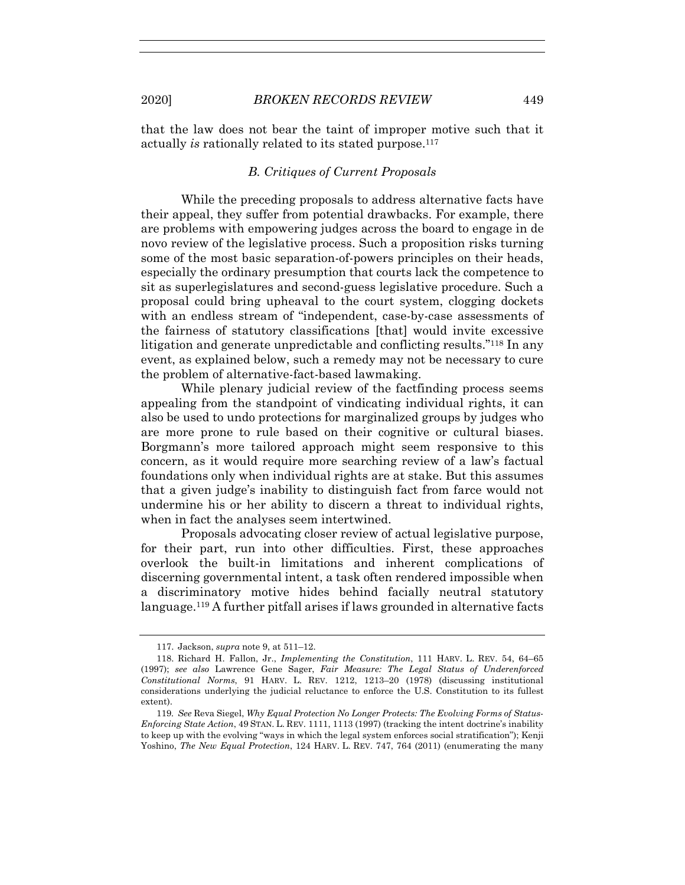that the law does not bear the taint of improper motive such that it actually *is* rationally related to its stated purpose.<sup>117</sup>

# *B. Critiques of Current Proposals*

While the preceding proposals to address alternative facts have their appeal, they suffer from potential drawbacks. For example, there are problems with empowering judges across the board to engage in de novo review of the legislative process. Such a proposition risks turning some of the most basic separation-of-powers principles on their heads, especially the ordinary presumption that courts lack the competence to sit as superlegislatures and second-guess legislative procedure. Such a proposal could bring upheaval to the court system, clogging dockets with an endless stream of "independent, case-by-case assessments of the fairness of statutory classifications [that] would invite excessive litigation and generate unpredictable and conflicting results."118 In any event, as explained below, such a remedy may not be necessary to cure the problem of alternative-fact-based lawmaking.

While plenary judicial review of the factfinding process seems appealing from the standpoint of vindicating individual rights, it can also be used to undo protections for marginalized groups by judges who are more prone to rule based on their cognitive or cultural biases. Borgmann's more tailored approach might seem responsive to this concern, as it would require more searching review of a law's factual foundations only when individual rights are at stake. But this assumes that a given judge's inability to distinguish fact from farce would not undermine his or her ability to discern a threat to individual rights, when in fact the analyses seem intertwined.

Proposals advocating closer review of actual legislative purpose, for their part, run into other difficulties. First, these approaches overlook the built-in limitations and inherent complications of discerning governmental intent, a task often rendered impossible when a discriminatory motive hides behind facially neutral statutory language.119 A further pitfall arises if laws grounded in alternative facts

 <sup>117.</sup> Jackson, *supra* note 9, at 511–12.

 <sup>118.</sup> Richard H. Fallon, Jr., *Implementing the Constitution*, 111 HARV. L. REV. 54, 64–65 (1997); *see also* Lawrence Gene Sager, *Fair Measure: The Legal Status of Underenforced Constitutional Norms*, 91 HARV. L. REV. 1212, 1213–20 (1978) (discussing institutional considerations underlying the judicial reluctance to enforce the U.S. Constitution to its fullest extent).

<sup>119</sup>*. See* Reva Siegel, *Why Equal Protection No Longer Protects: The Evolving Forms of Status-Enforcing State Action*, 49 STAN. L. REV. 1111, 1113 (1997) (tracking the intent doctrine's inability to keep up with the evolving "ways in which the legal system enforces social stratification"); Kenji Yoshino, *The New Equal Protection*, 124 HARV. L. REV. 747, 764 (2011) (enumerating the many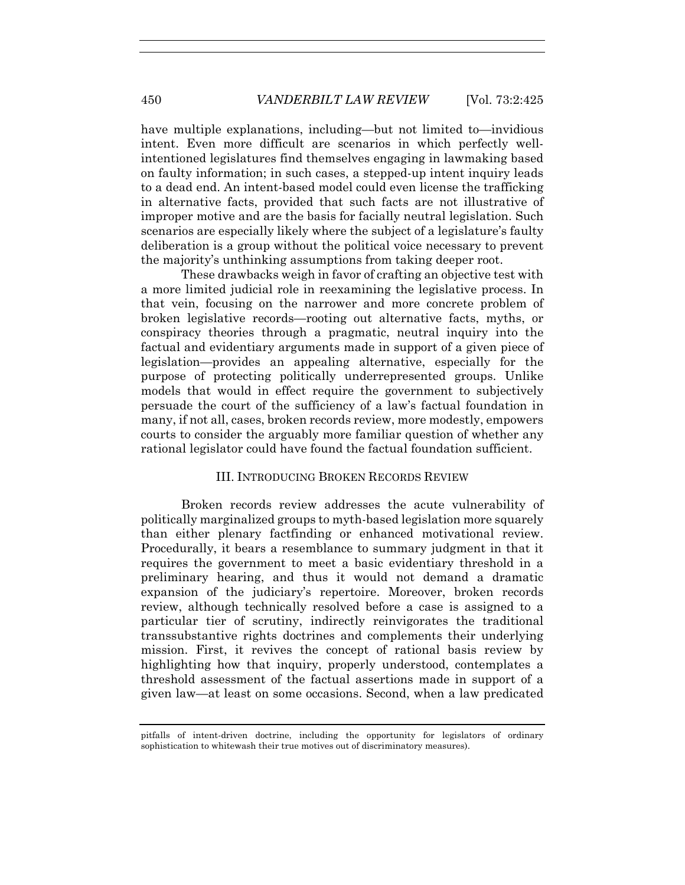have multiple explanations, including—but not limited to—invidious intent. Even more difficult are scenarios in which perfectly wellintentioned legislatures find themselves engaging in lawmaking based on faulty information; in such cases, a stepped-up intent inquiry leads to a dead end. An intent-based model could even license the trafficking in alternative facts, provided that such facts are not illustrative of improper motive and are the basis for facially neutral legislation. Such scenarios are especially likely where the subject of a legislature's faulty deliberation is a group without the political voice necessary to prevent the majority's unthinking assumptions from taking deeper root.

These drawbacks weigh in favor of crafting an objective test with a more limited judicial role in reexamining the legislative process. In that vein, focusing on the narrower and more concrete problem of broken legislative records—rooting out alternative facts, myths, or conspiracy theories through a pragmatic, neutral inquiry into the factual and evidentiary arguments made in support of a given piece of legislation—provides an appealing alternative, especially for the purpose of protecting politically underrepresented groups. Unlike models that would in effect require the government to subjectively persuade the court of the sufficiency of a law's factual foundation in many, if not all, cases, broken records review, more modestly, empowers courts to consider the arguably more familiar question of whether any rational legislator could have found the factual foundation sufficient.

# III. INTRODUCING BROKEN RECORDS REVIEW

Broken records review addresses the acute vulnerability of politically marginalized groups to myth-based legislation more squarely than either plenary factfinding or enhanced motivational review. Procedurally, it bears a resemblance to summary judgment in that it requires the government to meet a basic evidentiary threshold in a preliminary hearing, and thus it would not demand a dramatic expansion of the judiciary's repertoire. Moreover, broken records review, although technically resolved before a case is assigned to a particular tier of scrutiny, indirectly reinvigorates the traditional transsubstantive rights doctrines and complements their underlying mission. First, it revives the concept of rational basis review by highlighting how that inquiry, properly understood, contemplates a threshold assessment of the factual assertions made in support of a given law—at least on some occasions. Second, when a law predicated

pitfalls of intent-driven doctrine, including the opportunity for legislators of ordinary sophistication to whitewash their true motives out of discriminatory measures).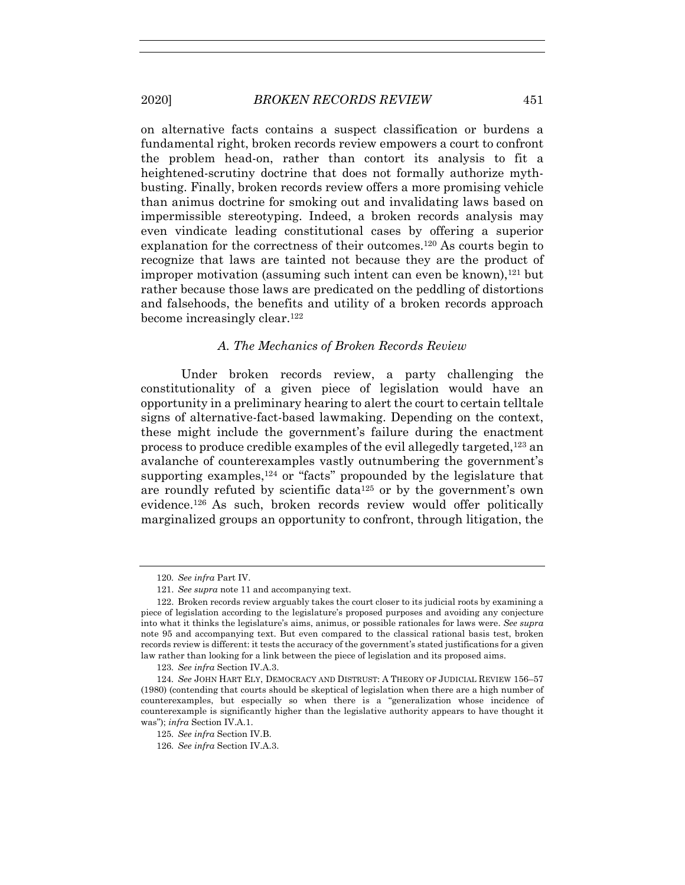on alternative facts contains a suspect classification or burdens a fundamental right, broken records review empowers a court to confront the problem head-on, rather than contort its analysis to fit a heightened-scrutiny doctrine that does not formally authorize mythbusting. Finally, broken records review offers a more promising vehicle than animus doctrine for smoking out and invalidating laws based on impermissible stereotyping. Indeed, a broken records analysis may even vindicate leading constitutional cases by offering a superior explanation for the correctness of their outcomes.120 As courts begin to recognize that laws are tainted not because they are the product of improper motivation (assuming such intent can even be known), $121$  but rather because those laws are predicated on the peddling of distortions and falsehoods, the benefits and utility of a broken records approach become increasingly clear.<sup>122</sup>

## *A. The Mechanics of Broken Records Review*

Under broken records review, a party challenging the constitutionality of a given piece of legislation would have an opportunity in a preliminary hearing to alert the court to certain telltale signs of alternative-fact-based lawmaking. Depending on the context, these might include the government's failure during the enactment process to produce credible examples of the evil allegedly targeted,123 an avalanche of counterexamples vastly outnumbering the government's supporting examples,<sup>124</sup> or "facts" propounded by the legislature that are roundly refuted by scientific data125 or by the government's own evidence.126 As such, broken records review would offer politically marginalized groups an opportunity to confront, through litigation, the

<sup>120</sup>*. See infra* Part IV.

 <sup>121.</sup> *See supra* note 11 and accompanying text.

 <sup>122.</sup> Broken records review arguably takes the court closer to its judicial roots by examining a piece of legislation according to the legislature's proposed purposes and avoiding any conjecture into what it thinks the legislature's aims, animus, or possible rationales for laws were. *See supra*  note 95 and accompanying text. But even compared to the classical rational basis test, broken records review is different: it tests the accuracy of the government's stated justifications for a given law rather than looking for a link between the piece of legislation and its proposed aims.

<sup>123</sup>*. See infra* Section IV.A.3.

<sup>124</sup>*. See* JOHN HART ELY, DEMOCRACY AND DISTRUST: A THEORY OF JUDICIAL REVIEW 156–57 (1980) (contending that courts should be skeptical of legislation when there are a high number of counterexamples, but especially so when there is a "generalization whose incidence of counterexample is significantly higher than the legislative authority appears to have thought it was"); *infra* Section IV.A.1.

<sup>125</sup>*. See infra* Section IV.B.

<sup>126</sup>*. See infra* Section IV.A.3.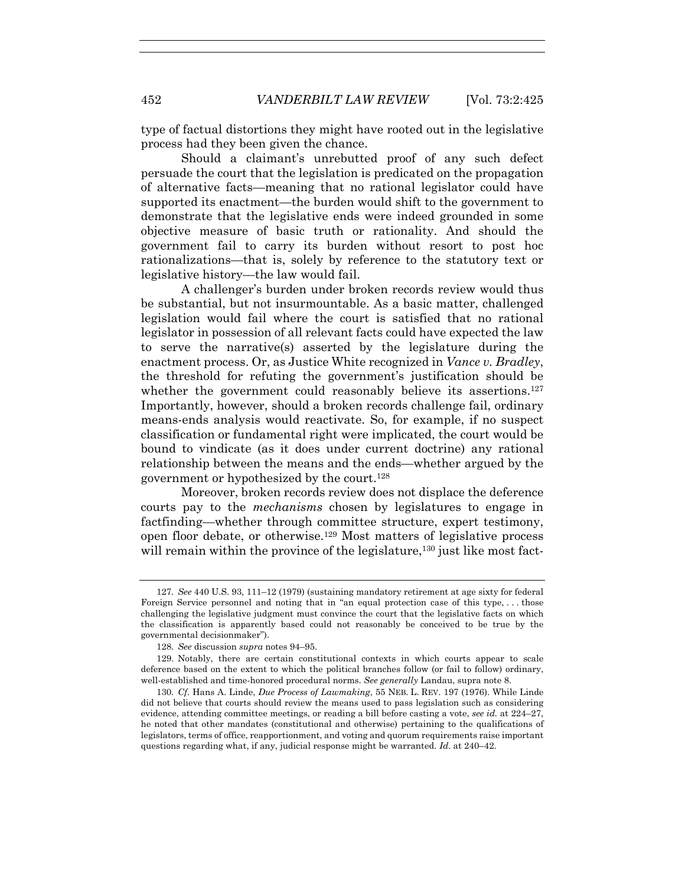type of factual distortions they might have rooted out in the legislative process had they been given the chance.

Should a claimant's unrebutted proof of any such defect persuade the court that the legislation is predicated on the propagation of alternative facts—meaning that no rational legislator could have supported its enactment—the burden would shift to the government to demonstrate that the legislative ends were indeed grounded in some objective measure of basic truth or rationality. And should the government fail to carry its burden without resort to post hoc rationalizations—that is, solely by reference to the statutory text or legislative history—the law would fail.

A challenger's burden under broken records review would thus be substantial, but not insurmountable. As a basic matter, challenged legislation would fail where the court is satisfied that no rational legislator in possession of all relevant facts could have expected the law to serve the narrative(s) asserted by the legislature during the enactment process. Or, as Justice White recognized in *Vance v. Bradley*, the threshold for refuting the government's justification should be whether the government could reasonably believe its assertions.<sup>127</sup> Importantly, however, should a broken records challenge fail, ordinary means-ends analysis would reactivate. So, for example, if no suspect classification or fundamental right were implicated, the court would be bound to vindicate (as it does under current doctrine) any rational relationship between the means and the ends—whether argued by the government or hypothesized by the court.128

Moreover, broken records review does not displace the deference courts pay to the *mechanisms* chosen by legislatures to engage in factfinding—whether through committee structure, expert testimony, open floor debate, or otherwise.129 Most matters of legislative process will remain within the province of the legislature,  $130$  just like most fact-

<sup>127</sup>*. See* 440 U.S. 93, 111–12 (1979) (sustaining mandatory retirement at age sixty for federal Foreign Service personnel and noting that in "an equal protection case of this type, ... those challenging the legislative judgment must convince the court that the legislative facts on which the classification is apparently based could not reasonably be conceived to be true by the governmental decisionmaker").

<sup>128</sup>*. See* discussion *supra* notes 94–95.

 <sup>129.</sup> Notably, there are certain constitutional contexts in which courts appear to scale deference based on the extent to which the political branches follow (or fail to follow) ordinary, well-established and time-honored procedural norms. *See generally* Landau, supra note 8.

<sup>130</sup>*. Cf*. Hans A. Linde, *Due Process of Lawmaking*, 55 NEB. L. REV. 197 (1976). While Linde did not believe that courts should review the means used to pass legislation such as considering evidence, attending committee meetings, or reading a bill before casting a vote, *see id.* at 224–27, he noted that other mandates (constitutional and otherwise) pertaining to the qualifications of legislators, terms of office, reapportionment, and voting and quorum requirements raise important questions regarding what, if any, judicial response might be warranted. *Id*. at 240–42.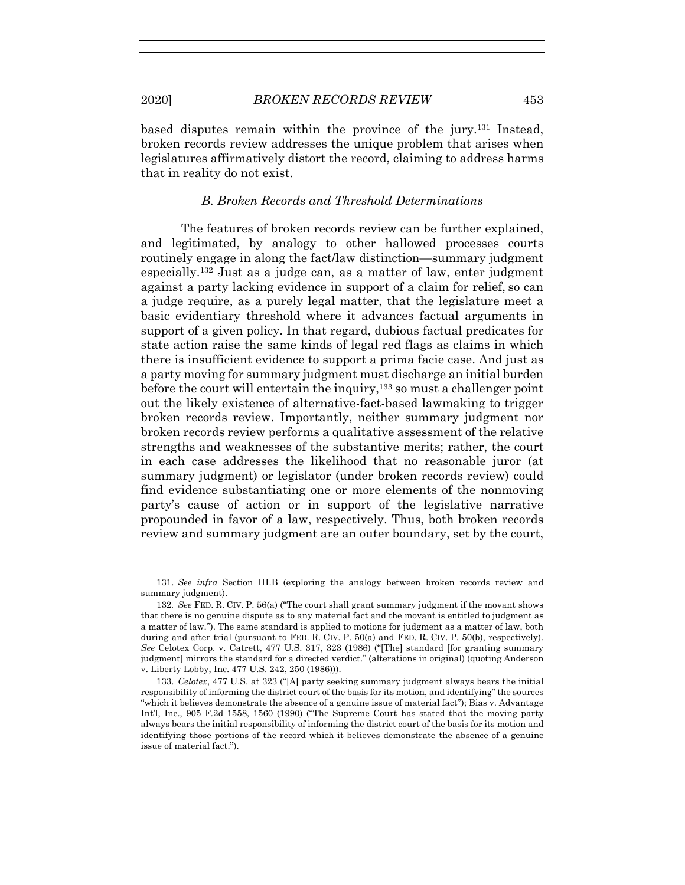based disputes remain within the province of the jury.131 Instead, broken records review addresses the unique problem that arises when legislatures affirmatively distort the record, claiming to address harms that in reality do not exist.

## *B. Broken Records and Threshold Determinations*

The features of broken records review can be further explained, and legitimated, by analogy to other hallowed processes courts routinely engage in along the fact/law distinction—summary judgment especially.132 Just as a judge can, as a matter of law, enter judgment against a party lacking evidence in support of a claim for relief, so can a judge require, as a purely legal matter, that the legislature meet a basic evidentiary threshold where it advances factual arguments in support of a given policy. In that regard, dubious factual predicates for state action raise the same kinds of legal red flags as claims in which there is insufficient evidence to support a prima facie case. And just as a party moving for summary judgment must discharge an initial burden before the court will entertain the inquiry,  $133$  so must a challenger point out the likely existence of alternative-fact-based lawmaking to trigger broken records review. Importantly, neither summary judgment nor broken records review performs a qualitative assessment of the relative strengths and weaknesses of the substantive merits; rather, the court in each case addresses the likelihood that no reasonable juror (at summary judgment) or legislator (under broken records review) could find evidence substantiating one or more elements of the nonmoving party's cause of action or in support of the legislative narrative propounded in favor of a law, respectively. Thus, both broken records review and summary judgment are an outer boundary, set by the court,

 <sup>131.</sup> *See infra* Section III.B (exploring the analogy between broken records review and summary judgment).

<sup>132</sup>*. See* FED. R. CIV. P. 56(a) ("The court shall grant summary judgment if the movant shows that there is no genuine dispute as to any material fact and the movant is entitled to judgment as a matter of law."). The same standard is applied to motions for judgment as a matter of law, both during and after trial (pursuant to FED. R. CIV. P. 50(a) and FED. R. CIV. P. 50(b), respectively). *See* Celotex Corp. v. Catrett, 477 U.S. 317, 323 (1986) ("[The] standard [for granting summary judgment] mirrors the standard for a directed verdict." (alterations in original) (quoting Anderson v. Liberty Lobby, Inc. 477 U.S. 242, 250 (1986))).

 <sup>133.</sup> *Celotex*, 477 U.S. at 323 ("[A] party seeking summary judgment always bears the initial responsibility of informing the district court of the basis for its motion, and identifying" the sources "which it believes demonstrate the absence of a genuine issue of material fact"); Bias v. Advantage Int'l, Inc., 905 F.2d 1558, 1560 (1990) ("The Supreme Court has stated that the moving party always bears the initial responsibility of informing the district court of the basis for its motion and identifying those portions of the record which it believes demonstrate the absence of a genuine issue of material fact.").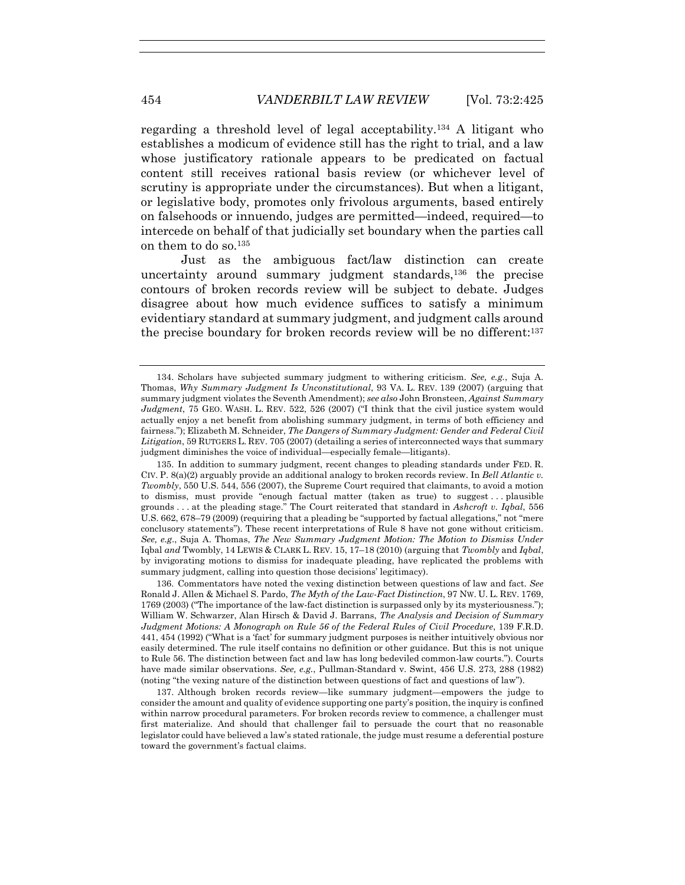regarding a threshold level of legal acceptability.134 A litigant who establishes a modicum of evidence still has the right to trial, and a law whose justificatory rationale appears to be predicated on factual content still receives rational basis review (or whichever level of scrutiny is appropriate under the circumstances). But when a litigant, or legislative body, promotes only frivolous arguments, based entirely on falsehoods or innuendo, judges are permitted—indeed, required—to intercede on behalf of that judicially set boundary when the parties call on them to do so.135

Just as the ambiguous fact/law distinction can create uncertainty around summary judgment standards,136 the precise contours of broken records review will be subject to debate. Judges disagree about how much evidence suffices to satisfy a minimum evidentiary standard at summary judgment, and judgment calls around the precise boundary for broken records review will be no different:137

 136. Commentators have noted the vexing distinction between questions of law and fact. *See*  Ronald J. Allen & Michael S. Pardo, *The Myth of the Law-Fact Distinction*, 97 NW. U. L. REV. 1769, 1769 (2003) ("The importance of the law-fact distinction is surpassed only by its mysteriousness."); William W. Schwarzer, Alan Hirsch & David J. Barrans, *The Analysis and Decision of Summary Judgment Motions: A Monograph on Rule 56 of the Federal Rules of Civil Procedure*, 139 F.R.D. 441, 454 (1992) ("What is a 'fact' for summary judgment purposes is neither intuitively obvious nor easily determined. The rule itself contains no definition or other guidance. But this is not unique to Rule 56. The distinction between fact and law has long bedeviled common-law courts."). Courts have made similar observations. *See, e.g.*, Pullman-Standard v. Swint, 456 U.S. 273, 288 (1982) (noting "the vexing nature of the distinction between questions of fact and questions of law").

 137. Although broken records review—like summary judgment—empowers the judge to consider the amount and quality of evidence supporting one party's position, the inquiry is confined within narrow procedural parameters. For broken records review to commence, a challenger must first materialize. And should that challenger fail to persuade the court that no reasonable legislator could have believed a law's stated rationale, the judge must resume a deferential posture toward the government's factual claims.

 <sup>134.</sup> Scholars have subjected summary judgment to withering criticism. *See, e.g.*, Suja A. Thomas, *Why Summary Judgment Is Unconstitutional*, 93 VA. L. REV. 139 (2007) (arguing that summary judgment violates the Seventh Amendment); *see also* John Bronsteen, *Against Summary Judgment*, 75 GEO. WASH. L. REV. 522, 526 (2007) ("I think that the civil justice system would actually enjoy a net benefit from abolishing summary judgment, in terms of both efficiency and fairness."); Elizabeth M. Schneider, *The Dangers of Summary Judgment: Gender and Federal Civil Litigation*, 59 RUTGERS L. REV. 705 (2007) (detailing a series of interconnected ways that summary judgment diminishes the voice of individual—especially female—litigants).

 <sup>135.</sup> In addition to summary judgment, recent changes to pleading standards under FED. R. CIV. P. 8(a)(2) arguably provide an additional analogy to broken records review. In *Bell Atlantic v. Twombly*, 550 U.S. 544, 556 (2007), the Supreme Court required that claimants, to avoid a motion to dismiss, must provide "enough factual matter (taken as true) to suggest . . . plausible grounds . . . at the pleading stage." The Court reiterated that standard in *Ashcroft v. Iqbal*, 556 U.S. 662, 678–79 (2009) (requiring that a pleading be "supported by factual allegations," not "mere conclusory statements"). These recent interpretations of Rule 8 have not gone without criticism. *See, e.g*., Suja A. Thomas, *The New Summary Judgment Motion: The Motion to Dismiss Under*  Iqbal *and* Twombly, 14 LEWIS & CLARK L. REV. 15, 17–18 (2010) (arguing that *Twombly* and *Iqbal*, by invigorating motions to dismiss for inadequate pleading, have replicated the problems with summary judgment, calling into question those decisions' legitimacy).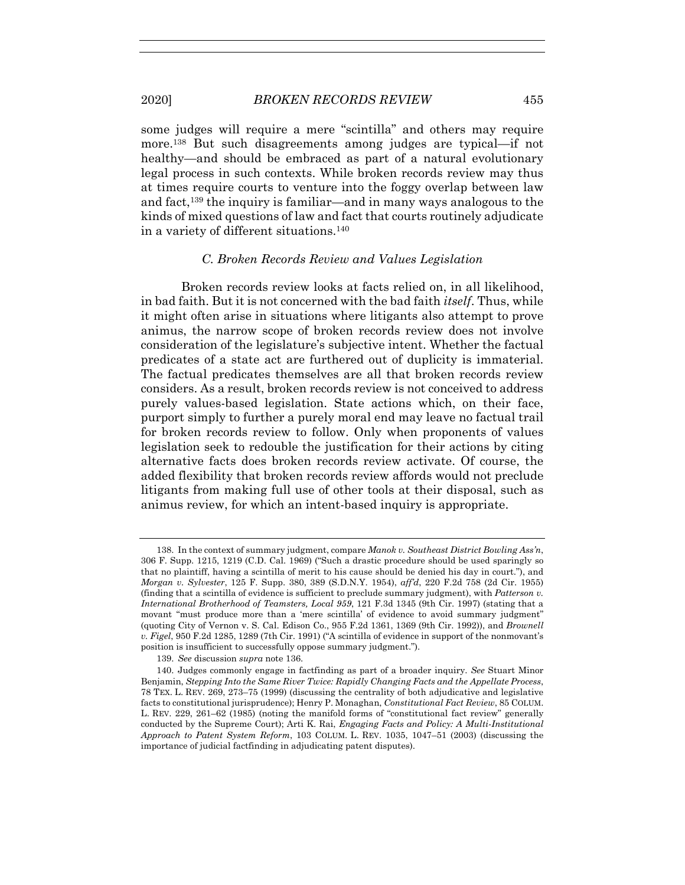some judges will require a mere "scintilla" and others may require more.138 But such disagreements among judges are typical—if not healthy—and should be embraced as part of a natural evolutionary legal process in such contexts. While broken records review may thus at times require courts to venture into the foggy overlap between law and fact,139 the inquiry is familiar—and in many ways analogous to the kinds of mixed questions of law and fact that courts routinely adjudicate in a variety of different situations.140

## *C. Broken Records Review and Values Legislation*

Broken records review looks at facts relied on, in all likelihood, in bad faith. But it is not concerned with the bad faith *itself*. Thus, while it might often arise in situations where litigants also attempt to prove animus, the narrow scope of broken records review does not involve consideration of the legislature's subjective intent. Whether the factual predicates of a state act are furthered out of duplicity is immaterial. The factual predicates themselves are all that broken records review considers. As a result, broken records review is not conceived to address purely values-based legislation. State actions which, on their face, purport simply to further a purely moral end may leave no factual trail for broken records review to follow. Only when proponents of values legislation seek to redouble the justification for their actions by citing alternative facts does broken records review activate. Of course, the added flexibility that broken records review affords would not preclude litigants from making full use of other tools at their disposal, such as animus review, for which an intent-based inquiry is appropriate.

139. *See* discussion *supra* note 136.

 <sup>138.</sup> In the context of summary judgment, compare *Manok v. Southeast District Bowling Ass'n*, 306 F. Supp. 1215, 1219 (C.D. Cal. 1969) ("Such a drastic procedure should be used sparingly so that no plaintiff, having a scintilla of merit to his cause should be denied his day in court."), and *Morgan v. Sylvester*, 125 F. Supp. 380, 389 (S.D.N.Y. 1954), *aff'd*, 220 F.2d 758 (2d Cir. 1955) (finding that a scintilla of evidence is sufficient to preclude summary judgment), with *Patterson v. International Brotherhood of Teamsters, Local 959*, 121 F.3d 1345 (9th Cir. 1997) (stating that a movant "must produce more than a 'mere scintilla' of evidence to avoid summary judgment" (quoting City of Vernon v. S. Cal. Edison Co., 955 F.2d 1361, 1369 (9th Cir. 1992)), and *Brownell v. Figel*, 950 F.2d 1285, 1289 (7th Cir. 1991) ("A scintilla of evidence in support of the nonmovant's position is insufficient to successfully oppose summary judgment.").

 <sup>140.</sup> Judges commonly engage in factfinding as part of a broader inquiry. *See* Stuart Minor Benjamin, *Stepping Into the Same River Twice: Rapidly Changing Facts and the Appellate Process*, 78 TEX. L. REV. 269, 273–75 (1999) (discussing the centrality of both adjudicative and legislative facts to constitutional jurisprudence); Henry P. Monaghan, *Constitutional Fact Review*, 85 COLUM. L. REV. 229, 261–62 (1985) (noting the manifold forms of "constitutional fact review" generally conducted by the Supreme Court); Arti K. Rai, *Engaging Facts and Policy: A Multi-Institutional Approach to Patent System Reform*, 103 COLUM. L. REV. 1035, 1047–51 (2003) (discussing the importance of judicial factfinding in adjudicating patent disputes).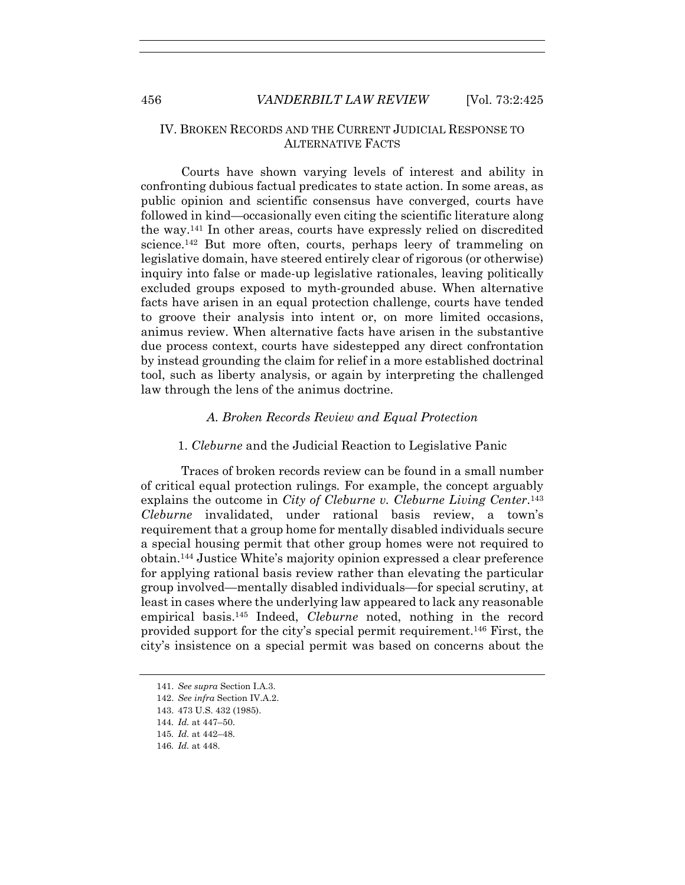# IV. BROKEN RECORDS AND THE CURRENT JUDICIAL RESPONSE TO ALTERNATIVE FACTS

Courts have shown varying levels of interest and ability in confronting dubious factual predicates to state action. In some areas, as public opinion and scientific consensus have converged, courts have followed in kind—occasionally even citing the scientific literature along the way.141 In other areas, courts have expressly relied on discredited science.<sup>142</sup> But more often, courts, perhaps leery of trammeling on legislative domain, have steered entirely clear of rigorous (or otherwise) inquiry into false or made-up legislative rationales, leaving politically excluded groups exposed to myth-grounded abuse. When alternative facts have arisen in an equal protection challenge, courts have tended to groove their analysis into intent or, on more limited occasions, animus review. When alternative facts have arisen in the substantive due process context, courts have sidestepped any direct confrontation by instead grounding the claim for relief in a more established doctrinal tool, such as liberty analysis, or again by interpreting the challenged law through the lens of the animus doctrine.

## *A. Broken Records Review and Equal Protection*

## 1. *Cleburne* and the Judicial Reaction to Legislative Panic

Traces of broken records review can be found in a small number of critical equal protection rulings*.* For example, the concept arguably explains the outcome in *City of Cleburne v. Cleburne Living Center*.143 *Cleburne* invalidated, under rational basis review, a town's requirement that a group home for mentally disabled individuals secure a special housing permit that other group homes were not required to obtain.144 Justice White's majority opinion expressed a clear preference for applying rational basis review rather than elevating the particular group involved—mentally disabled individuals—for special scrutiny, at least in cases where the underlying law appeared to lack any reasonable empirical basis.145 Indeed, *Cleburne* noted, nothing in the record provided support for the city's special permit requirement.146 First, the city's insistence on a special permit was based on concerns about the

 <sup>141.</sup> *See supra* Section I.A.3.

 <sup>142.</sup> *See infra* Section IV.A.2.

 <sup>143. 473</sup> U.S. 432 (1985).

<sup>144</sup>*. Id.* at 447–50.

<sup>145</sup>*. Id.* at 442–48.

<sup>146</sup>*. Id.* at 448.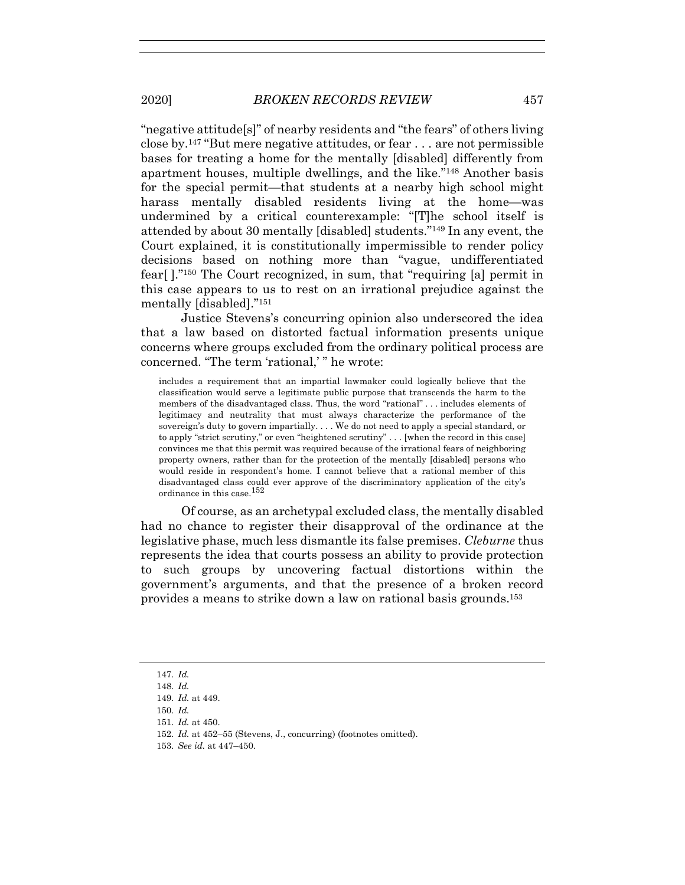"negative attitude[s]" of nearby residents and "the fears" of others living close by.147 "But mere negative attitudes, or fear . . . are not permissible bases for treating a home for the mentally [disabled] differently from apartment houses, multiple dwellings, and the like."148 Another basis for the special permit—that students at a nearby high school might harass mentally disabled residents living at the home—was undermined by a critical counterexample: "[T]he school itself is attended by about 30 mentally [disabled] students."149 In any event, the Court explained, it is constitutionally impermissible to render policy decisions based on nothing more than "vague, undifferentiated fear[ ]."150 The Court recognized, in sum, that "requiring [a] permit in this case appears to us to rest on an irrational prejudice against the mentally [disabled]."151

Justice Stevens's concurring opinion also underscored the idea that a law based on distorted factual information presents unique concerns where groups excluded from the ordinary political process are concerned. "The term 'rational,' " he wrote:

includes a requirement that an impartial lawmaker could logically believe that the classification would serve a legitimate public purpose that transcends the harm to the members of the disadvantaged class. Thus, the word "rational" . . . includes elements of legitimacy and neutrality that must always characterize the performance of the sovereign's duty to govern impartially. . . . We do not need to apply a special standard, or to apply "strict scrutiny," or even "heightened scrutiny" . . . [when the record in this case] convinces me that this permit was required because of the irrational fears of neighboring property owners, rather than for the protection of the mentally [disabled] persons who would reside in respondent's home. I cannot believe that a rational member of this disadvantaged class could ever approve of the discriminatory application of the city's ordinance in this case.<sup>152</sup>

Of course, as an archetypal excluded class, the mentally disabled had no chance to register their disapproval of the ordinance at the legislative phase, much less dismantle its false premises. *Cleburne* thus represents the idea that courts possess an ability to provide protection to such groups by uncovering factual distortions within the government's arguments, and that the presence of a broken record provides a means to strike down a law on rational basis grounds.153

- 150*. Id.*
- 151*. Id.* at 450.
- 152*. Id.* at 452–55 (Stevens, J., concurring) (footnotes omitted).
- 153*. See id.* at 447–450.

<sup>147</sup>*. Id.*

<sup>148</sup>*. Id.*

<sup>149</sup>*. Id.* at 449.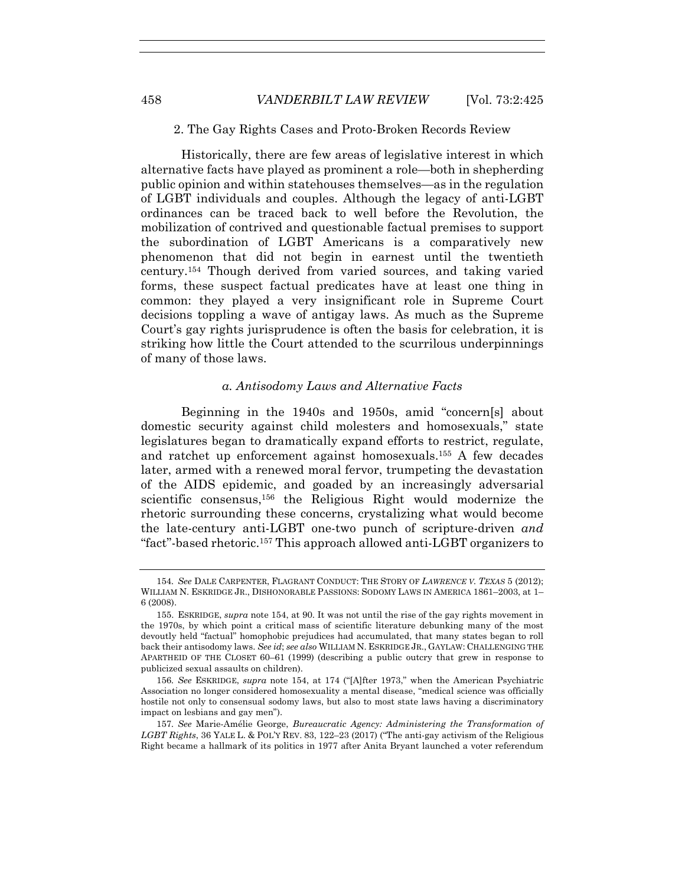Historically, there are few areas of legislative interest in which alternative facts have played as prominent a role—both in shepherding public opinion and within statehouses themselves—as in the regulation of LGBT individuals and couples. Although the legacy of anti-LGBT ordinances can be traced back to well before the Revolution, the mobilization of contrived and questionable factual premises to support the subordination of LGBT Americans is a comparatively new phenomenon that did not begin in earnest until the twentieth century.154 Though derived from varied sources, and taking varied forms, these suspect factual predicates have at least one thing in common: they played a very insignificant role in Supreme Court decisions toppling a wave of antigay laws. As much as the Supreme Court's gay rights jurisprudence is often the basis for celebration, it is striking how little the Court attended to the scurrilous underpinnings of many of those laws.

#### *a. Antisodomy Laws and Alternative Facts*

Beginning in the 1940s and 1950s, amid "concern[s] about domestic security against child molesters and homosexuals," state legislatures began to dramatically expand efforts to restrict, regulate, and ratchet up enforcement against homosexuals.155 A few decades later, armed with a renewed moral fervor, trumpeting the devastation of the AIDS epidemic, and goaded by an increasingly adversarial scientific consensus,156 the Religious Right would modernize the rhetoric surrounding these concerns, crystalizing what would become the late-century anti-LGBT one-two punch of scripture-driven *and* "fact"-based rhetoric.157 This approach allowed anti-LGBT organizers to

<sup>154</sup>*. See* DALE CARPENTER, FLAGRANT CONDUCT: THE STORY OF *LAWRENCE V. TEXAS* 5 (2012); WILLIAM N. ESKRIDGE JR., DISHONORABLE PASSIONS: SODOMY LAWS IN AMERICA 1861–2003, at 1– 6 (2008).

 <sup>155.</sup> ESKRIDGE, *supra* note 154, at 90. It was not until the rise of the gay rights movement in the 1970s, by which point a critical mass of scientific literature debunking many of the most devoutly held "factual" homophobic prejudices had accumulated, that many states began to roll back their antisodomy laws. *See id*; *see also* WILLIAM N. ESKRIDGE JR., GAYLAW: CHALLENGING THE APARTHEID OF THE CLOSET 60–61 (1999) (describing a public outcry that grew in response to publicized sexual assaults on children).

<sup>156</sup>*. See* ESKRIDGE, *supra* note 154, at 174 ("[A]fter 1973," when the American Psychiatric Association no longer considered homosexuality a mental disease, "medical science was officially hostile not only to consensual sodomy laws, but also to most state laws having a discriminatory impact on lesbians and gay men").

<sup>157</sup>*. See* Marie-Amélie George, *Bureaucratic Agency: Administering the Transformation of LGBT Rights*, 36 YALE L. & POL'Y REV. 83, 122–23 (2017) ("The anti-gay activism of the Religious Right became a hallmark of its politics in 1977 after Anita Bryant launched a voter referendum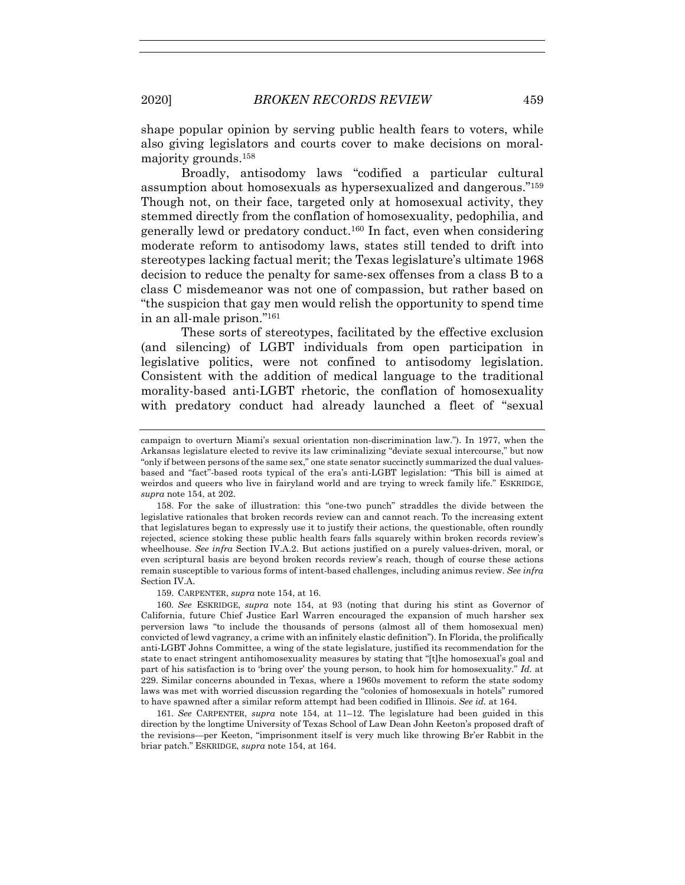shape popular opinion by serving public health fears to voters, while also giving legislators and courts cover to make decisions on moralmajority grounds.158

Broadly, antisodomy laws "codified a particular cultural assumption about homosexuals as hypersexualized and dangerous."159 Though not, on their face, targeted only at homosexual activity, they stemmed directly from the conflation of homosexuality, pedophilia, and generally lewd or predatory conduct.160 In fact, even when considering moderate reform to antisodomy laws, states still tended to drift into stereotypes lacking factual merit; the Texas legislature's ultimate 1968 decision to reduce the penalty for same-sex offenses from a class B to a class C misdemeanor was not one of compassion, but rather based on "the suspicion that gay men would relish the opportunity to spend time in an all-male prison."161

These sorts of stereotypes, facilitated by the effective exclusion (and silencing) of LGBT individuals from open participation in legislative politics, were not confined to antisodomy legislation. Consistent with the addition of medical language to the traditional morality-based anti-LGBT rhetoric, the conflation of homosexuality with predatory conduct had already launched a fleet of "sexual

 158. For the sake of illustration: this "one-two punch" straddles the divide between the legislative rationales that broken records review can and cannot reach. To the increasing extent that legislatures began to expressly use it to justify their actions, the questionable, often roundly rejected, science stoking these public health fears falls squarely within broken records review's wheelhouse. *See infra* Section IV.A.2. But actions justified on a purely values-driven, moral, or even scriptural basis are beyond broken records review's reach, though of course these actions remain susceptible to various forms of intent-based challenges, including animus review. *See infra*  Section IV.A.

159. CARPENTER, *supra* note 154, at 16.

160*. See* ESKRIDGE, *supra* note 154, at 93 (noting that during his stint as Governor of California, future Chief Justice Earl Warren encouraged the expansion of much harsher sex perversion laws "to include the thousands of persons (almost all of them homosexual men) convicted of lewd vagrancy, a crime with an infinitely elastic definition"). In Florida, the prolifically anti-LGBT Johns Committee, a wing of the state legislature, justified its recommendation for the state to enact stringent antihomosexuality measures by stating that "[t]he homosexual's goal and part of his satisfaction is to 'bring over' the young person, to hook him for homosexuality." *Id.* at 229. Similar concerns abounded in Texas, where a 1960s movement to reform the state sodomy laws was met with worried discussion regarding the "colonies of homosexuals in hotels" rumored to have spawned after a similar reform attempt had been codified in Illinois. *See id.* at 164.

161*. See* CARPENTER, *supra* note 154, at 11–12. The legislature had been guided in this direction by the longtime University of Texas School of Law Dean John Keeton's proposed draft of the revisions—per Keeton, "imprisonment itself is very much like throwing Br'er Rabbit in the briar patch." ESKRIDGE, *supra* note 154, at 164.

campaign to overturn Miami's sexual orientation non-discrimination law."). In 1977, when the Arkansas legislature elected to revive its law criminalizing "deviate sexual intercourse," but now "only if between persons of the same sex," one state senator succinctly summarized the dual valuesbased and "fact"-based roots typical of the era's anti-LGBT legislation: "This bill is aimed at weirdos and queers who live in fairyland world and are trying to wreck family life." ESKRIDGE, *supra* note 154, at 202.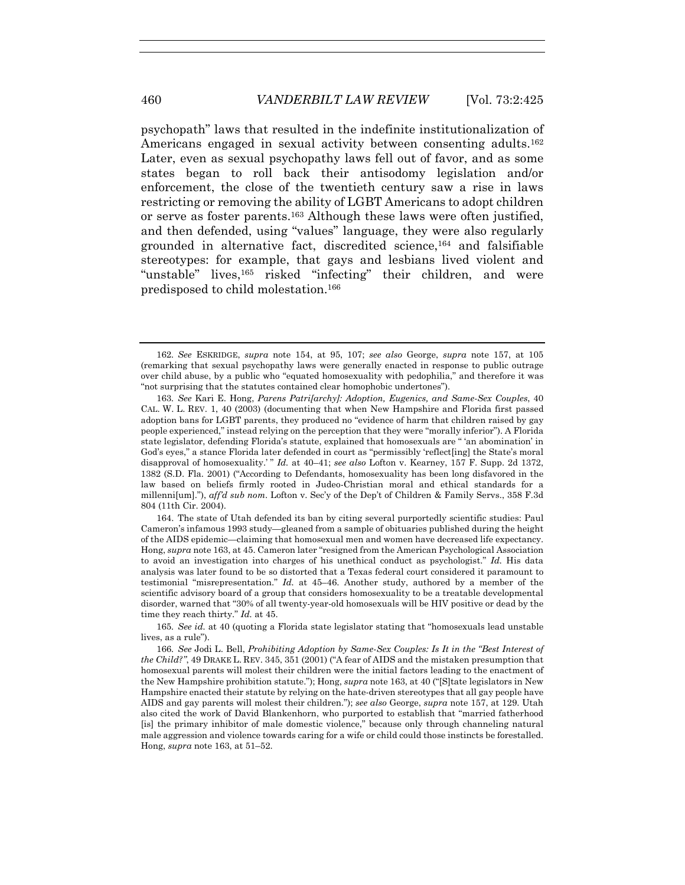psychopath" laws that resulted in the indefinite institutionalization of Americans engaged in sexual activity between consenting adults.162 Later, even as sexual psychopathy laws fell out of favor, and as some states began to roll back their antisodomy legislation and/or enforcement, the close of the twentieth century saw a rise in laws restricting or removing the ability of LGBT Americans to adopt children or serve as foster parents.163 Although these laws were often justified, and then defended, using "values" language, they were also regularly grounded in alternative fact, discredited science,164 and falsifiable stereotypes: for example, that gays and lesbians lived violent and "unstable" lives,165 risked "infecting" their children, and were predisposed to child molestation.166

 164. The state of Utah defended its ban by citing several purportedly scientific studies: Paul Cameron's infamous 1993 study—gleaned from a sample of obituaries published during the height of the AIDS epidemic—claiming that homosexual men and women have decreased life expectancy. Hong, *supra* note 163, at 45. Cameron later "resigned from the American Psychological Association to avoid an investigation into charges of his unethical conduct as psychologist." *Id.* His data analysis was later found to be so distorted that a Texas federal court considered it paramount to testimonial "misrepresentation." *Id.* at 45–46. Another study, authored by a member of the scientific advisory board of a group that considers homosexuality to be a treatable developmental disorder, warned that "30% of all twenty-year-old homosexuals will be HIV positive or dead by the time they reach thirty." *Id.* at 45.

165*. See id.* at 40 (quoting a Florida state legislator stating that "homosexuals lead unstable lives, as a rule").

166*. See* Jodi L. Bell, *Prohibiting Adoption by Same-Sex Couples: Is It in the "Best Interest of the Child?"*, 49 DRAKE L. REV. 345, 351 (2001) ("A fear of AIDS and the mistaken presumption that homosexual parents will molest their children were the initial factors leading to the enactment of the New Hampshire prohibition statute."); Hong, *supra* note 163, at 40 ("[S]tate legislators in New Hampshire enacted their statute by relying on the hate-driven stereotypes that all gay people have AIDS and gay parents will molest their children."); *see also* George, *supra* note 157, at 129. Utah also cited the work of David Blankenhorn, who purported to establish that "married fatherhood [is] the primary inhibitor of male domestic violence," because only through channeling natural male aggression and violence towards caring for a wife or child could those instincts be forestalled. Hong, *supra* note 163, at 51–52.

<sup>162</sup>*. See* ESKRIDGE, *supra* note 154, at 95, 107; *see also* George, *supra* note 157, at 105 (remarking that sexual psychopathy laws were generally enacted in response to public outrage over child abuse, by a public who "equated homosexuality with pedophilia," and therefore it was "not surprising that the statutes contained clear homophobic undertones").

<sup>163</sup>*. See* Kari E. Hong, *Parens Patri[archy]: Adoption, Eugenics, and Same-Sex Couples*, 40 CAL. W. L. REV. 1, 40 (2003) (documenting that when New Hampshire and Florida first passed adoption bans for LGBT parents, they produced no "evidence of harm that children raised by gay people experienced," instead relying on the perception that they were "morally inferior"). A Florida state legislator, defending Florida's statute, explained that homosexuals are " 'an abomination' in God's eyes," a stance Florida later defended in court as "permissibly 'reflect[ing] the State's moral disapproval of homosexuality.' " *Id.* at 40–41; *see also* Lofton v. Kearney, 157 F. Supp. 2d 1372, 1382 (S.D. Fla. 2001) ("According to Defendants, homosexuality has been long disfavored in the law based on beliefs firmly rooted in Judeo-Christian moral and ethical standards for a millenni[um]."), *aff'd sub nom*. Lofton v. Sec'y of the Dep't of Children & Family Servs., 358 F.3d 804 (11th Cir. 2004).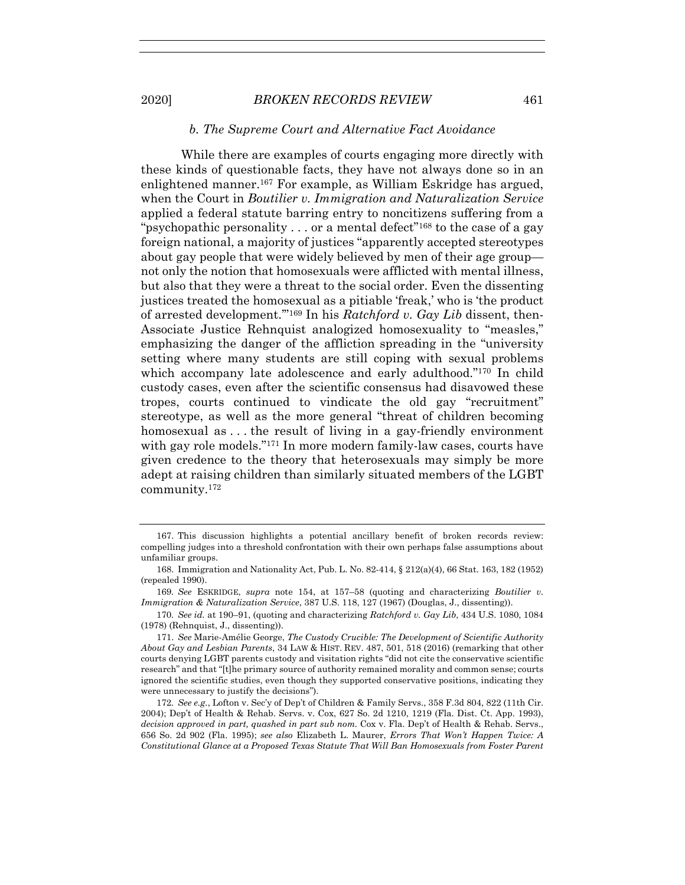#### *b. The Supreme Court and Alternative Fact Avoidance*

While there are examples of courts engaging more directly with these kinds of questionable facts, they have not always done so in an enlightened manner.167 For example, as William Eskridge has argued, when the Court in *Boutilier v. Immigration and Naturalization Service* applied a federal statute barring entry to noncitizens suffering from a "psychopathic personality  $\dots$  or a mental defect"<sup>168</sup> to the case of a gay foreign national, a majority of justices "apparently accepted stereotypes about gay people that were widely believed by men of their age group not only the notion that homosexuals were afflicted with mental illness, but also that they were a threat to the social order. Even the dissenting justices treated the homosexual as a pitiable 'freak,' who is 'the product of arrested development.'"169 In his *Ratchford v. Gay Lib* dissent, then-Associate Justice Rehnquist analogized homosexuality to "measles," emphasizing the danger of the affliction spreading in the "university setting where many students are still coping with sexual problems which accompany late adolescence and early adulthood."<sup>170</sup> In child custody cases, even after the scientific consensus had disavowed these tropes, courts continued to vindicate the old gay "recruitment" stereotype, as well as the more general "threat of children becoming homosexual as ... the result of living in a gay-friendly environment with gay role models."171 In more modern family-law cases, courts have given credence to the theory that heterosexuals may simply be more adept at raising children than similarly situated members of the LGBT community.172

 <sup>167.</sup> This discussion highlights a potential ancillary benefit of broken records review: compelling judges into a threshold confrontation with their own perhaps false assumptions about unfamiliar groups.

 <sup>168.</sup> Immigration and Nationality Act, Pub. L. No. 82-414, § 212(a)(4), 66 Stat. 163, 182 (1952) (repealed 1990).

<sup>169</sup>*. See* ESKRIDGE, *supra* note 154, at 157–58 (quoting and characterizing *Boutilier v. Immigration & Naturalization Service*, 387 U.S. 118, 127 (1967) (Douglas, J., dissenting)).

<sup>170</sup>*. See id.* at 190–91, (quoting and characterizing *Ratchford v. Gay Lib*, 434 U.S. 1080, 1084 (1978) (Rehnquist, J., dissenting)).

 <sup>171.</sup> *See* Marie-Amélie George, *The Custody Crucible: The Development of Scientific Authority About Gay and Lesbian Parents*, 34 LAW & HIST. REV. 487, 501, 518 (2016) (remarking that other courts denying LGBT parents custody and visitation rights "did not cite the conservative scientific research" and that "[t]he primary source of authority remained morality and common sense; courts ignored the scientific studies, even though they supported conservative positions, indicating they were unnecessary to justify the decisions").

<sup>172</sup>*. See e.g.*, Lofton v. Sec'y of Dep't of Children & Family Servs., 358 F.3d 804, 822 (11th Cir. 2004); Dep't of Health & Rehab. Servs. v. Cox, 627 So. 2d 1210, 1219 (Fla. Dist. Ct. App. 1993), decision approved in part, quashed in part sub nom. Cox v. Fla. Dep't of Health & Rehab. Servs., 656 So. 2d 902 (Fla. 1995); *see also* Elizabeth L. Maurer, *Errors That Won't Happen Twice: A Constitutional Glance at a Proposed Texas Statute That Will Ban Homosexuals from Foster Parent*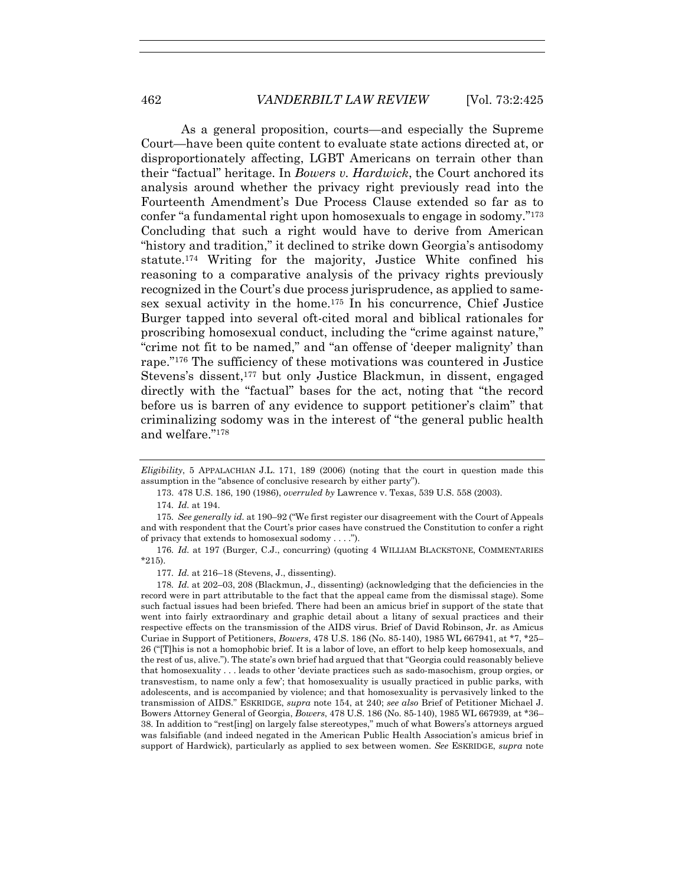As a general proposition, courts—and especially the Supreme Court—have been quite content to evaluate state actions directed at, or disproportionately affecting, LGBT Americans on terrain other than their "factual" heritage. In *Bowers v. Hardwick*, the Court anchored its analysis around whether the privacy right previously read into the Fourteenth Amendment's Due Process Clause extended so far as to confer "a fundamental right upon homosexuals to engage in sodomy."173 Concluding that such a right would have to derive from American "history and tradition," it declined to strike down Georgia's antisodomy statute.174 Writing for the majority, Justice White confined his reasoning to a comparative analysis of the privacy rights previously recognized in the Court's due process jurisprudence, as applied to samesex sexual activity in the home.175 In his concurrence, Chief Justice Burger tapped into several oft-cited moral and biblical rationales for proscribing homosexual conduct, including the "crime against nature," "crime not fit to be named," and "an offense of 'deeper malignity' than rape."176 The sufficiency of these motivations was countered in Justice Stevens's dissent,<sup>177</sup> but only Justice Blackmun, in dissent, engaged directly with the "factual" bases for the act, noting that "the record before us is barren of any evidence to support petitioner's claim" that criminalizing sodomy was in the interest of "the general public health and welfare."178

176*. Id.* at 197 (Burger, C.J., concurring) (quoting 4 WILLIAM BLACKSTONE, COMMENTARIES \*215).

*Eligibility*, 5 APPALACHIAN J.L. 171, 189 (2006) (noting that the court in question made this assumption in the "absence of conclusive research by either party").

 <sup>173. 478</sup> U.S. 186, 190 (1986), *overruled by* Lawrence v. Texas, 539 U.S. 558 (2003).

<sup>174</sup>*. Id.* at 194.

<sup>175</sup>*. See generally id.* at 190–92 ("We first register our disagreement with the Court of Appeals and with respondent that the Court's prior cases have construed the Constitution to confer a right of privacy that extends to homosexual sodomy . . . .").

<sup>177</sup>*. Id.* at 216–18 (Stevens, J., dissenting).

<sup>178</sup>*. Id.* at 202–03, 208 (Blackmun, J., dissenting) (acknowledging that the deficiencies in the record were in part attributable to the fact that the appeal came from the dismissal stage). Some such factual issues had been briefed. There had been an amicus brief in support of the state that went into fairly extraordinary and graphic detail about a litany of sexual practices and their respective effects on the transmission of the AIDS virus. Brief of David Robinson, Jr. as Amicus Curiae in Support of Petitioners, *Bowers*, 478 U.S. 186 (No. 85-140), 1985 WL 667941, at \*7, \*25– 26 ("[T]his is not a homophobic brief. It is a labor of love, an effort to help keep homosexuals, and the rest of us, alive."). The state's own brief had argued that that "Georgia could reasonably believe that homosexuality . . . leads to other 'deviate practices such as sado-masochism, group orgies, or transvestism, to name only a few'; that homosexuality is usually practiced in public parks, with adolescents, and is accompanied by violence; and that homosexuality is pervasively linked to the transmission of AIDS." ESKRIDGE, *supra* note 154, at 240; *see also* Brief of Petitioner Michael J. Bowers Attorney General of Georgia, *Bowers*, 478 U.S. 186 (No. 85-140), 1985 WL 667939, at \*36– 38. In addition to "rest[ing] on largely false stereotypes," much of what Bowers's attorneys argued was falsifiable (and indeed negated in the American Public Health Association's amicus brief in support of Hardwick), particularly as applied to sex between women. *See* ESKRIDGE, *supra* note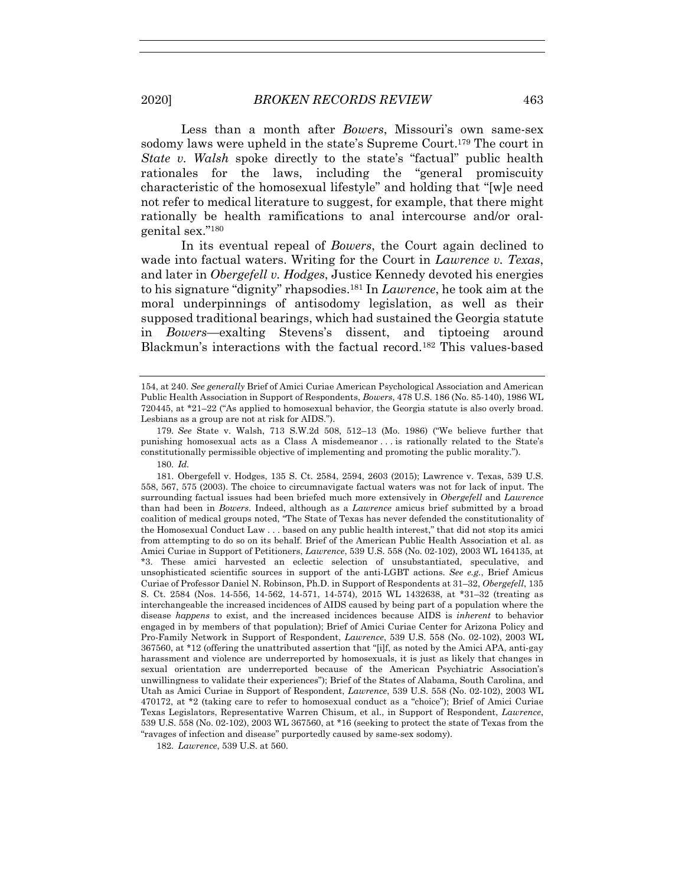Less than a month after *Bowers*, Missouri's own same-sex sodomy laws were upheld in the state's Supreme Court.179 The court in *State v. Walsh* spoke directly to the state's "factual" public health rationales for the laws, including the "general promiscuity characteristic of the homosexual lifestyle" and holding that "[w]e need not refer to medical literature to suggest, for example, that there might rationally be health ramifications to anal intercourse and/or oralgenital sex."180

In its eventual repeal of *Bowers*, the Court again declined to wade into factual waters. Writing for the Court in *Lawrence v. Texas*, and later in *Obergefell v. Hodges*, Justice Kennedy devoted his energies to his signature "dignity" rhapsodies.181 In *Lawrence*, he took aim at the moral underpinnings of antisodomy legislation, as well as their supposed traditional bearings, which had sustained the Georgia statute in *Bowers*—exalting Stevens's dissent, and tiptoeing around Blackmun's interactions with the factual record.182 This values-based

182*. Lawrence*, 539 U.S. at 560.

<sup>154,</sup> at 240. *See generally* Brief of Amici Curiae American Psychological Association and American Public Health Association in Support of Respondents, *Bowers*, 478 U.S. 186 (No. 85-140), 1986 WL 720445, at \*21–22 ("As applied to homosexual behavior, the Georgia statute is also overly broad. Lesbians as a group are not at risk for AIDS.").

<sup>179</sup>*. See* State v. Walsh, 713 S.W.2d 508, 512–13 (Mo. 1986) ("We believe further that punishing homosexual acts as a Class A misdemeanor . . . is rationally related to the State's constitutionally permissible objective of implementing and promoting the public morality.").

<sup>180</sup>*. Id.*

 <sup>181.</sup> Obergefell v. Hodges, 135 S. Ct. 2584, 2594, 2603 (2015); Lawrence v. Texas, 539 U.S. 558, 567, 575 (2003). The choice to circumnavigate factual waters was not for lack of input. The surrounding factual issues had been briefed much more extensively in *Obergefell* and *Lawrence* than had been in *Bowers*. Indeed, although as a *Lawrence* amicus brief submitted by a broad coalition of medical groups noted, "The State of Texas has never defended the constitutionality of the Homosexual Conduct Law . . . based on any public health interest," that did not stop its amici from attempting to do so on its behalf. Brief of the American Public Health Association et al. as Amici Curiae in Support of Petitioners, *Lawrence*, 539 U.S. 558 (No. 02-102), 2003 WL 164135, at \*3. These amici harvested an eclectic selection of unsubstantiated, speculative, and unsophisticated scientific sources in support of the anti-LGBT actions. *See e.g.*, Brief Amicus Curiae of Professor Daniel N. Robinson, Ph.D. in Support of Respondents at 31–32, *Obergefell*, 135 S. Ct. 2584 (Nos. 14-556, 14-562, 14-571, 14-574), 2015 WL 1432638, at \*31–32 (treating as interchangeable the increased incidences of AIDS caused by being part of a population where the disease *happens* to exist, and the increased incidences because AIDS is *inherent* to behavior engaged in by members of that population); Brief of Amici Curiae Center for Arizona Policy and Pro-Family Network in Support of Respondent, *Lawrence*, 539 U.S. 558 (No. 02-102), 2003 WL 367560, at \*12 (offering the unattributed assertion that "[i]f, as noted by the Amici APA, anti-gay harassment and violence are underreported by homosexuals, it is just as likely that changes in sexual orientation are underreported because of the American Psychiatric Association's unwillingness to validate their experiences"); Brief of the States of Alabama, South Carolina, and Utah as Amici Curiae in Support of Respondent, *Lawrence*, 539 U.S. 558 (No. 02-102), 2003 WL 470172, at \*2 (taking care to refer to homosexual conduct as a "choice"); Brief of Amici Curiae Texas Legislators, Representative Warren Chisum, et al., in Support of Respondent, *Lawrence*, 539 U.S. 558 (No. 02-102), 2003 WL 367560, at \*16 (seeking to protect the state of Texas from the "ravages of infection and disease" purportedly caused by same-sex sodomy).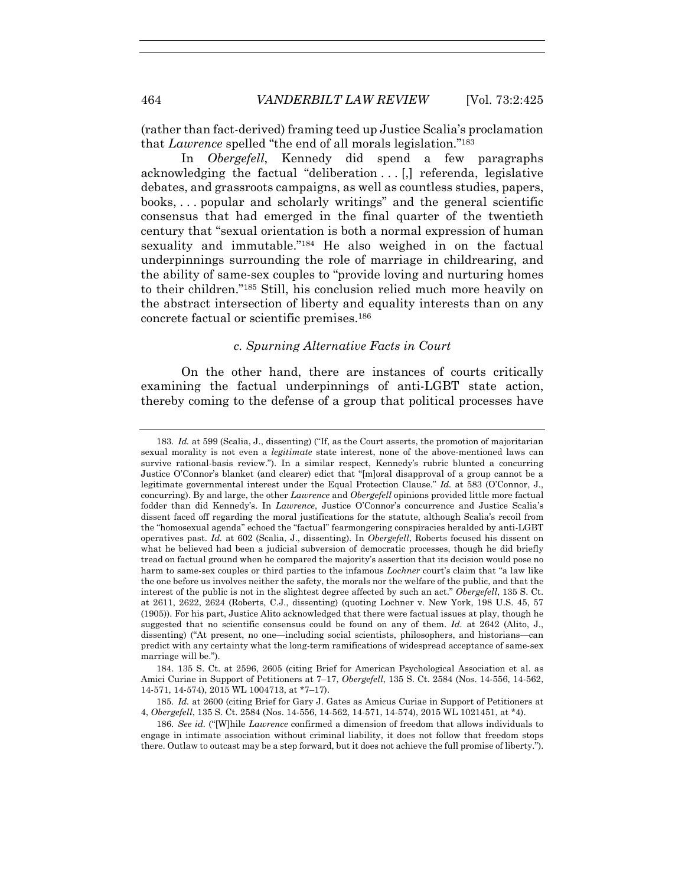(rather than fact-derived) framing teed up Justice Scalia's proclamation that *Lawrence* spelled "the end of all morals legislation."183

In *Obergefell*, Kennedy did spend a few paragraphs acknowledging the factual "deliberation . . . [,] referenda, legislative debates, and grassroots campaigns, as well as countless studies, papers, books, . . . popular and scholarly writings" and the general scientific consensus that had emerged in the final quarter of the twentieth century that "sexual orientation is both a normal expression of human sexuality and immutable."184 He also weighed in on the factual underpinnings surrounding the role of marriage in childrearing, and the ability of same-sex couples to "provide loving and nurturing homes to their children."185 Still, his conclusion relied much more heavily on the abstract intersection of liberty and equality interests than on any concrete factual or scientific premises.186

#### *c. Spurning Alternative Facts in Court*

On the other hand, there are instances of courts critically examining the factual underpinnings of anti-LGBT state action, thereby coming to the defense of a group that political processes have

 184. 135 S. Ct. at 2596, 2605 (citing Brief for American Psychological Association et al. as Amici Curiae in Support of Petitioners at 7–17, *Obergefell*, 135 S. Ct. 2584 (Nos. 14-556, 14-562, 14-571, 14-574), 2015 WL 1004713, at \*7–17).

<sup>183</sup>*. Id.* at 599 (Scalia, J., dissenting) ("If, as the Court asserts, the promotion of majoritarian sexual morality is not even a *legitimate* state interest, none of the above-mentioned laws can survive rational-basis review."). In a similar respect, Kennedy's rubric blunted a concurring Justice O'Connor's blanket (and clearer) edict that "[m]oral disapproval of a group cannot be a legitimate governmental interest under the Equal Protection Clause." *Id.* at 583 (O'Connor, J., concurring). By and large, the other *Lawrence* and *Obergefell* opinions provided little more factual fodder than did Kennedy's. In *Lawrence*, Justice O'Connor's concurrence and Justice Scalia's dissent faced off regarding the moral justifications for the statute, although Scalia's recoil from the "homosexual agenda" echoed the "factual" fearmongering conspiracies heralded by anti-LGBT operatives past. *Id.* at 602 (Scalia, J., dissenting). In *Obergefell*, Roberts focused his dissent on what he believed had been a judicial subversion of democratic processes, though he did briefly tread on factual ground when he compared the majority's assertion that its decision would pose no harm to same-sex couples or third parties to the infamous *Lochner* court's claim that "a law like the one before us involves neither the safety, the morals nor the welfare of the public, and that the interest of the public is not in the slightest degree affected by such an act." *Obergefell*, 135 S. Ct. at 2611, 2622, 2624 (Roberts, C.J., dissenting) (quoting Lochner v. New York, 198 U.S. 45, 57 (1905)). For his part, Justice Alito acknowledged that there were factual issues at play, though he suggested that no scientific consensus could be found on any of them. *Id.* at 2642 (Alito, J., dissenting) ("At present, no one—including social scientists, philosophers, and historians—can predict with any certainty what the long-term ramifications of widespread acceptance of same-sex marriage will be.").

<sup>185</sup>*. Id.* at 2600 (citing Brief for Gary J. Gates as Amicus Curiae in Support of Petitioners at 4, *Obergefell*, 135 S. Ct. 2584 (Nos. 14-556, 14-562, 14-571, 14-574), 2015 WL 1021451, at \*4).

<sup>186</sup>*. See id.* ("[W]hile *Lawrence* confirmed a dimension of freedom that allows individuals to engage in intimate association without criminal liability, it does not follow that freedom stops there. Outlaw to outcast may be a step forward, but it does not achieve the full promise of liberty.").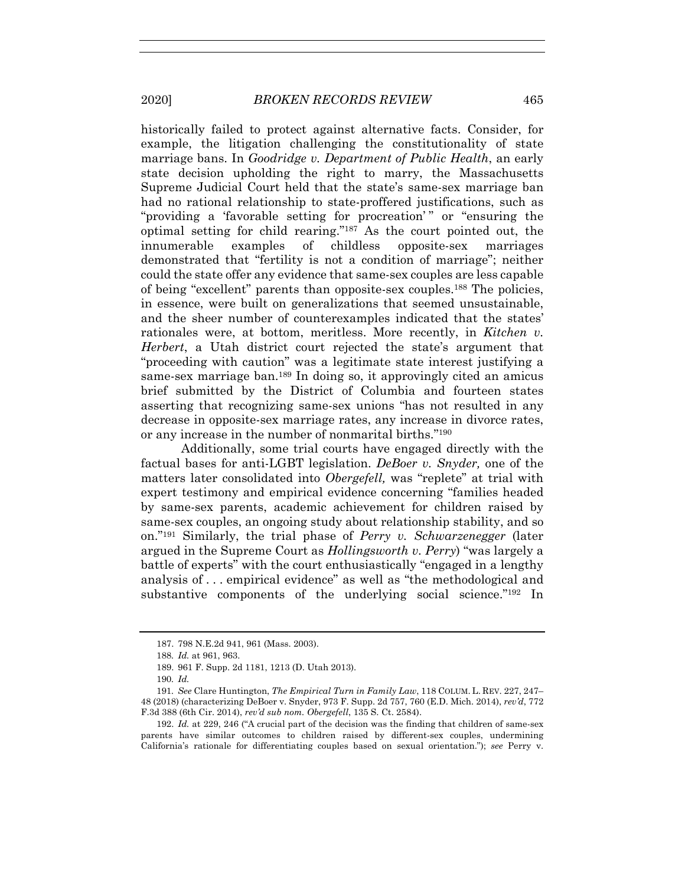historically failed to protect against alternative facts. Consider, for example, the litigation challenging the constitutionality of state marriage bans. In *Goodridge v. Department of Public Health*, an early state decision upholding the right to marry, the Massachusetts Supreme Judicial Court held that the state's same-sex marriage ban had no rational relationship to state-proffered justifications, such as "providing a 'favorable setting for procreation'" or "ensuring the optimal setting for child rearing."187 As the court pointed out, the innumerable examples of childless opposite-sex marriages demonstrated that "fertility is not a condition of marriage"; neither could the state offer any evidence that same-sex couples are less capable of being "excellent" parents than opposite-sex couples.188 The policies, in essence, were built on generalizations that seemed unsustainable, and the sheer number of counterexamples indicated that the states' rationales were, at bottom, meritless. More recently, in *Kitchen v. Herbert*, a Utah district court rejected the state's argument that "proceeding with caution" was a legitimate state interest justifying a same-sex marriage ban.189 In doing so, it approvingly cited an amicus brief submitted by the District of Columbia and fourteen states asserting that recognizing same-sex unions "has not resulted in any decrease in opposite-sex marriage rates, any increase in divorce rates, or any increase in the number of nonmarital births."190

Additionally, some trial courts have engaged directly with the factual bases for anti-LGBT legislation. *DeBoer v. Snyder,* one of the matters later consolidated into *Obergefell,* was "replete" at trial with expert testimony and empirical evidence concerning "families headed by same-sex parents, academic achievement for children raised by same-sex couples, an ongoing study about relationship stability, and so on."191 Similarly, the trial phase of *Perry v. Schwarzenegger* (later argued in the Supreme Court as *Hollingsworth v. Perry*) "was largely a battle of experts" with the court enthusiastically "engaged in a lengthy analysis of . . . empirical evidence" as well as "the methodological and substantive components of the underlying social science."192 In

 <sup>187. 798</sup> N.E.2d 941, 961 (Mass. 2003).

<sup>188</sup>*. Id.* at 961, 963.

 <sup>189. 961</sup> F. Supp. 2d 1181, 1213 (D. Utah 2013).

<sup>190</sup>*. Id.*

<sup>191</sup>*. See* Clare Huntington, *The Empirical Turn in Family Law*, 118 COLUM. L. REV. 227, 247– 48 (2018) (characterizing DeBoer v. Snyder, 973 F. Supp. 2d 757, 760 (E.D. Mich. 2014), *rev'd*, 772 F.3d 388 (6th Cir. 2014), *rev'd sub nom. Obergefell*, 135 S. Ct. 2584).

 <sup>192.</sup> *Id.* at 229, 246 ("A crucial part of the decision was the finding that children of same-sex parents have similar outcomes to children raised by different-sex couples, undermining California's rationale for differentiating couples based on sexual orientation."); *see* Perry v.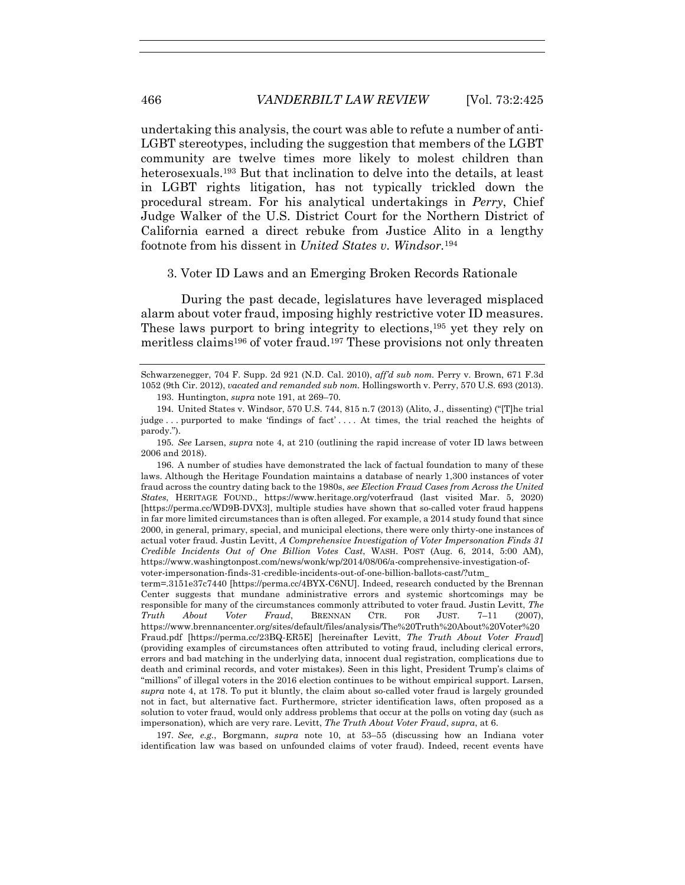undertaking this analysis, the court was able to refute a number of anti-LGBT stereotypes, including the suggestion that members of the LGBT community are twelve times more likely to molest children than heterosexuals.193 But that inclination to delve into the details, at least in LGBT rights litigation, has not typically trickled down the procedural stream. For his analytical undertakings in *Perry*, Chief Judge Walker of the U.S. District Court for the Northern District of California earned a direct rebuke from Justice Alito in a lengthy footnote from his dissent in *United States v. Windsor.*<sup>194</sup>

## 3. Voter ID Laws and an Emerging Broken Records Rationale

During the past decade, legislatures have leveraged misplaced alarm about voter fraud, imposing highly restrictive voter ID measures. These laws purport to bring integrity to elections,<sup>195</sup> yet they rely on meritless claims<sup>196</sup> of voter fraud.<sup>197</sup> These provisions not only threaten

195*. See* Larsen, *supra* note 4, at 210 (outlining the rapid increase of voter ID laws between 2006 and 2018).

 196. A number of studies have demonstrated the lack of factual foundation to many of these laws. Although the Heritage Foundation maintains a database of nearly 1,300 instances of voter fraud across the country dating back to the 1980s, *see Election Fraud Cases from Across the United States*, HERITAGE FOUND., https://www.heritage.org/voterfraud (last visited Mar. 5, 2020) [https://perma.cc/WD9B-DVX3], multiple studies have shown that so-called voter fraud happens in far more limited circumstances than is often alleged. For example, a 2014 study found that since 2000, in general, primary, special, and municipal elections, there were only thirty-one instances of actual voter fraud. Justin Levitt, *A Comprehensive Investigation of Voter Impersonation Finds 31 Credible Incidents Out of One Billion Votes Cast*, WASH. POST (Aug. 6, 2014, 5:00 AM), https://www.washingtonpost.com/news/wonk/wp/2014/08/06/a-comprehensive-investigation-ofvoter-impersonation-finds-31-credible-incidents-out-of-one-billion-ballots-cast/?utm\_

term=.3151e37c7440 [https://perma.cc/4BYX-C6NU]. Indeed, research conducted by the Brennan Center suggests that mundane administrative errors and systemic shortcomings may be responsible for many of the circumstances commonly attributed to voter fraud. Justin Levitt, *The Truth About Voter Fraud*, BRENNAN CTR. FOR JUST. 7–11 (2007), https://www.brennancenter.org/sites/default/files/analysis/The%20Truth%20About%20Voter%20 Fraud.pdf [https://perma.cc/23BQ-ER5E] [hereinafter Levitt, *The Truth About Voter Fraud*] (providing examples of circumstances often attributed to voting fraud, including clerical errors, errors and bad matching in the underlying data, innocent dual registration, complications due to death and criminal records, and voter mistakes). Seen in this light, President Trump's claims of "millions" of illegal voters in the 2016 election continues to be without empirical support. Larsen, *supra* note 4, at 178. To put it bluntly, the claim about so-called voter fraud is largely grounded not in fact, but alternative fact. Furthermore, stricter identification laws, often proposed as a solution to voter fraud, would only address problems that occur at the polls on voting day (such as impersonation), which are very rare. Levitt, *The Truth About Voter Fraud*, *supra*, at 6.

197*. See, e.g.*, Borgmann, *supra* note 10, at 53–55 (discussing how an Indiana voter identification law was based on unfounded claims of voter fraud). Indeed, recent events have

Schwarzenegger, 704 F. Supp. 2d 921 (N.D. Cal. 2010), *aff'd sub nom.* Perry v. Brown, 671 F.3d 1052 (9th Cir. 2012), *vacated and remanded sub nom.* Hollingsworth v. Perry, 570 U.S. 693 (2013).

 <sup>193.</sup> Huntington, *supra* note 191, at 269–70.

<sup>194</sup>*.* United States v. Windsor, 570 U.S. 744, 815 n.7 (2013) (Alito, J., dissenting) ("[T]he trial judge . . . purported to make 'findings of fact' . . . . At times, the trial reached the heights of parody.").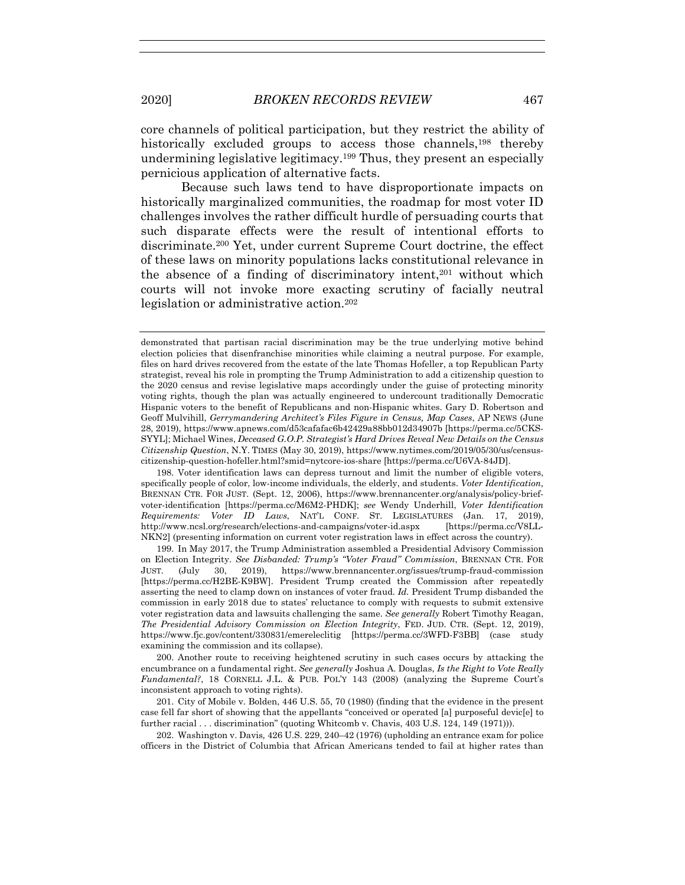core channels of political participation, but they restrict the ability of historically excluded groups to access those channels,198 thereby undermining legislative legitimacy.<sup>199</sup> Thus, they present an especially pernicious application of alternative facts.

Because such laws tend to have disproportionate impacts on historically marginalized communities, the roadmap for most voter ID challenges involves the rather difficult hurdle of persuading courts that such disparate effects were the result of intentional efforts to discriminate.200 Yet, under current Supreme Court doctrine, the effect of these laws on minority populations lacks constitutional relevance in the absence of a finding of discriminatory intent,201 without which courts will not invoke more exacting scrutiny of facially neutral legislation or administrative action.202

 198. Voter identification laws can depress turnout and limit the number of eligible voters, specifically people of color, low-income individuals, the elderly, and students. *Voter Identification,* BRENNAN CTR. FOR JUST. (Sept. 12, 2006), https://www.brennancenter.org/analysis/policy-briefvoter-identification [https://perma.cc/M6M2-PHDK]; *see* Wendy Underhill, *Voter Identification Requirements: Voter ID Laws*, NAT'L CONF. ST. LEGISLATURES (Jan. 17, 2019), http://www.ncsl.org/research/elections-and-campaigns/voter-id.aspx [https://perma.cc/V8LL-NKN2] (presenting information on current voter registration laws in effect across the country).

 199. In May 2017, the Trump Administration assembled a Presidential Advisory Commission on Election Integrity. *See Disbanded: Trump's "Voter Fraud" Commission*, BRENNAN CTR. FOR JUST. (July 30, 2019), https://www.brennancenter.org/issues/trump-fraud-commission [https://perma.cc/H2BE-K9BW]. President Trump created the Commission after repeatedly asserting the need to clamp down on instances of voter fraud. *Id.* President Trump disbanded the commission in early 2018 due to states' reluctance to comply with requests to submit extensive voter registration data and lawsuits challenging the same. *See generally* Robert Timothy Reagan, *The Presidential Advisory Commission on Election Integrity*, FED. JUD. CTR. (Sept. 12, 2019), https://www.fjc.gov/content/330831/emereleclitig [https://perma.cc/3WFD-F3BB] (case study examining the commission and its collapse).

 200. Another route to receiving heightened scrutiny in such cases occurs by attacking the encumbrance on a fundamental right. *See generally* Joshua A. Douglas, *Is the Right to Vote Really Fundamental?*, 18 CORNELL J.L. & PUB. POL'Y 143 (2008) (analyzing the Supreme Court's inconsistent approach to voting rights).

 201. City of Mobile v. Bolden, 446 U.S. 55, 70 (1980) (finding that the evidence in the present case fell far short of showing that the appellants "conceived or operated [a] purposeful devic[e] to further racial . . . discrimination" (quoting Whitcomb v. Chavis, 403 U.S. 124, 149 (1971))).

 202. Washington v. Davis*,* 426 U.S. 229, 240–42 (1976) (upholding an entrance exam for police officers in the District of Columbia that African Americans tended to fail at higher rates than

demonstrated that partisan racial discrimination may be the true underlying motive behind election policies that disenfranchise minorities while claiming a neutral purpose. For example, files on hard drives recovered from the estate of the late Thomas Hofeller, a top Republican Party strategist, reveal his role in prompting the Trump Administration to add a citizenship question to the 2020 census and revise legislative maps accordingly under the guise of protecting minority voting rights, though the plan was actually engineered to undercount traditionally Democratic Hispanic voters to the benefit of Republicans and non-Hispanic whites. Gary D. Robertson and Geoff Mulvihill, *Gerrymandering Architect's Files Figure in Census, Map Cases*, AP NEWS (June 28, 2019), https://www.apnews.com/d53cafafac6b42429a88bb012d34907b [https://perma.cc/5CKS-SYYL]; Michael Wines, *Deceased G.O.P. Strategist's Hard Drives Reveal New Details on the Census Citizenship Question*, N.Y. TIMES (May 30, 2019), https://www.nytimes.com/2019/05/30/us/censuscitizenship-question-hofeller.html?smid=nytcore-ios-share [https://perma.cc/U6VA-84JD].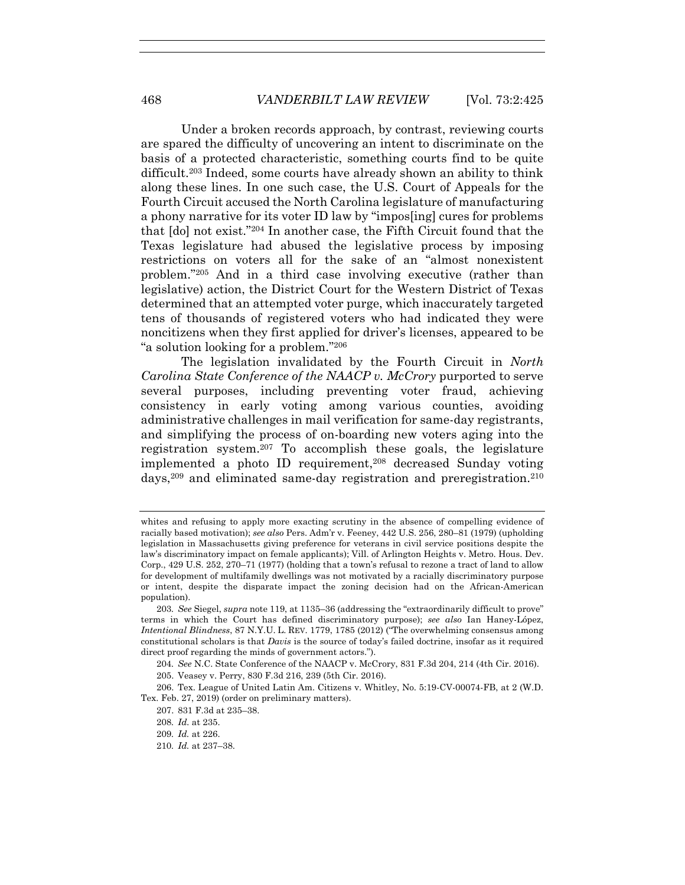Under a broken records approach, by contrast, reviewing courts are spared the difficulty of uncovering an intent to discriminate on the basis of a protected characteristic, something courts find to be quite difficult.203 Indeed, some courts have already shown an ability to think along these lines. In one such case, the U.S. Court of Appeals for the Fourth Circuit accused the North Carolina legislature of manufacturing a phony narrative for its voter ID law by "impos[ing] cures for problems that [do] not exist."204 In another case, the Fifth Circuit found that the Texas legislature had abused the legislative process by imposing restrictions on voters all for the sake of an "almost nonexistent problem."205 And in a third case involving executive (rather than legislative) action, the District Court for the Western District of Texas determined that an attempted voter purge, which inaccurately targeted tens of thousands of registered voters who had indicated they were noncitizens when they first applied for driver's licenses, appeared to be "a solution looking for a problem."206

The legislation invalidated by the Fourth Circuit in *North Carolina State Conference of the NAACP v. McCrory* purported to serve several purposes, including preventing voter fraud, achieving consistency in early voting among various counties, avoiding administrative challenges in mail verification for same-day registrants, and simplifying the process of on-boarding new voters aging into the registration system.207 To accomplish these goals, the legislature implemented a photo ID requirement,208 decreased Sunday voting days,<sup>209</sup> and eliminated same-day registration and preregistration.<sup>210</sup>

210*. Id.* at 237–38.

whites and refusing to apply more exacting scrutiny in the absence of compelling evidence of racially based motivation); *see also* Pers. Adm'r v. Feeney, 442 U.S. 256, 280–81 (1979) (upholding legislation in Massachusetts giving preference for veterans in civil service positions despite the law's discriminatory impact on female applicants); Vill. of Arlington Heights v. Metro. Hous. Dev. Corp., 429 U.S. 252, 270–71 (1977) (holding that a town's refusal to rezone a tract of land to allow for development of multifamily dwellings was not motivated by a racially discriminatory purpose or intent, despite the disparate impact the zoning decision had on the African-American population).

<sup>203</sup>*. See* Siegel, *supra* note 119, at 1135–36 (addressing the "extraordinarily difficult to prove" terms in which the Court has defined discriminatory purpose); *see also* Ian Haney-López, *Intentional Blindness*, 87 N.Y.U. L. REV. 1779, 1785 (2012) ("The overwhelming consensus among constitutional scholars is that *Davis* is the source of today's failed doctrine, insofar as it required direct proof regarding the minds of government actors.").

<sup>204</sup>*. See* N.C. State Conference of the NAACP v. McCrory, 831 F.3d 204, 214 (4th Cir. 2016).

 <sup>205.</sup> Veasey v. Perry, 830 F.3d 216, 239 (5th Cir. 2016).

 <sup>206.</sup> Tex. League of United Latin Am. Citizens v. Whitley, No. 5:19-CV-00074-FB, at 2 (W.D. Tex. Feb. 27, 2019) (order on preliminary matters).

 <sup>207. 831</sup> F.3d at 235–38.

<sup>208</sup>*. Id.* at 235.

<sup>209</sup>*. Id.* at 226.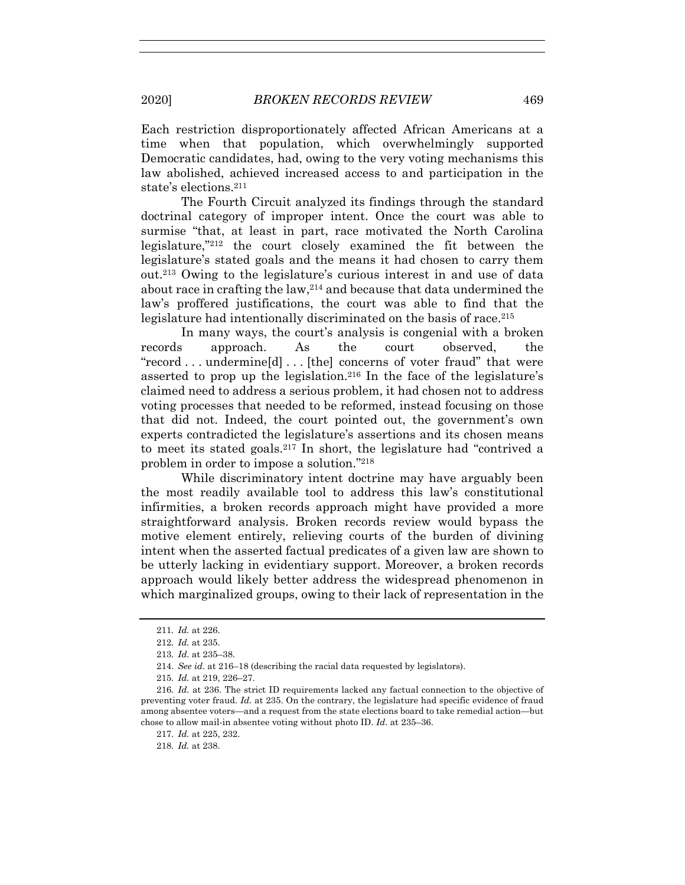Each restriction disproportionately affected African Americans at a time when that population, which overwhelmingly supported Democratic candidates, had, owing to the very voting mechanisms this law abolished, achieved increased access to and participation in the state's elections.211

The Fourth Circuit analyzed its findings through the standard doctrinal category of improper intent. Once the court was able to surmise "that, at least in part, race motivated the North Carolina legislature,"212 the court closely examined the fit between the legislature's stated goals and the means it had chosen to carry them out.213 Owing to the legislature's curious interest in and use of data about race in crafting the law,<sup>214</sup> and because that data undermined the law's proffered justifications, the court was able to find that the legislature had intentionally discriminated on the basis of race.<sup>215</sup>

In many ways, the court's analysis is congenial with a broken records approach. As the court observed, the "record . . . undermine[d] . . . [the] concerns of voter fraud" that were asserted to prop up the legislation.216 In the face of the legislature's claimed need to address a serious problem, it had chosen not to address voting processes that needed to be reformed, instead focusing on those that did not. Indeed, the court pointed out, the government's own experts contradicted the legislature's assertions and its chosen means to meet its stated goals.217 In short, the legislature had "contrived a problem in order to impose a solution."218

While discriminatory intent doctrine may have arguably been the most readily available tool to address this law's constitutional infirmities, a broken records approach might have provided a more straightforward analysis. Broken records review would bypass the motive element entirely, relieving courts of the burden of divining intent when the asserted factual predicates of a given law are shown to be utterly lacking in evidentiary support. Moreover, a broken records approach would likely better address the widespread phenomenon in which marginalized groups, owing to their lack of representation in the

218*. Id.* at 238.

<sup>211</sup>*. Id.* at 226.

<sup>212</sup>*. Id.* at 235.

<sup>213</sup>*. Id.* at 235–38.

 <sup>214.</sup> *See id.* at 216–18 (describing the racial data requested by legislators).

<sup>215</sup>*. Id.* at 219, 226–27.

<sup>216</sup>*. Id.* at 236. The strict ID requirements lacked any factual connection to the objective of preventing voter fraud. *Id.* at 235. On the contrary, the legislature had specific evidence of fraud among absentee voters—and a request from the state elections board to take remedial action—but chose to allow mail-in absentee voting without photo ID. *Id*. at 235–36.

<sup>217</sup>*. Id.* at 225, 232.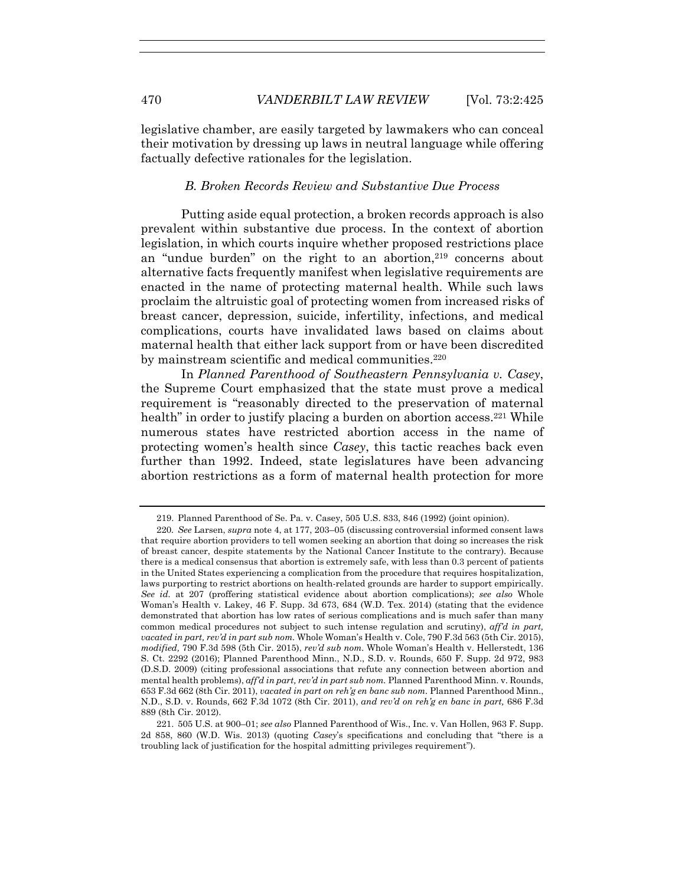legislative chamber, are easily targeted by lawmakers who can conceal their motivation by dressing up laws in neutral language while offering factually defective rationales for the legislation.

## *B. Broken Records Review and Substantive Due Process*

Putting aside equal protection, a broken records approach is also prevalent within substantive due process. In the context of abortion legislation, in which courts inquire whether proposed restrictions place an "undue burden" on the right to an abortion,<sup>219</sup> concerns about alternative facts frequently manifest when legislative requirements are enacted in the name of protecting maternal health. While such laws proclaim the altruistic goal of protecting women from increased risks of breast cancer, depression, suicide, infertility, infections, and medical complications, courts have invalidated laws based on claims about maternal health that either lack support from or have been discredited by mainstream scientific and medical communities.<sup>220</sup>

In *Planned Parenthood of Southeastern Pennsylvania v. Casey*, the Supreme Court emphasized that the state must prove a medical requirement is "reasonably directed to the preservation of maternal health" in order to justify placing a burden on abortion access.<sup>221</sup> While numerous states have restricted abortion access in the name of protecting women's health since *Casey*, this tactic reaches back even further than 1992. Indeed, state legislatures have been advancing abortion restrictions as a form of maternal health protection for more

 <sup>219.</sup> Planned Parenthood of Se. Pa. v. Casey, 505 U.S. 833, 846 (1992) (joint opinion).

<sup>220</sup>*. See* Larsen, *supra* note 4, at 177, 203–05 (discussing controversial informed consent laws that require abortion providers to tell women seeking an abortion that doing so increases the risk of breast cancer, despite statements by the National Cancer Institute to the contrary). Because there is a medical consensus that abortion is extremely safe, with less than 0.3 percent of patients in the United States experiencing a complication from the procedure that requires hospitalization, laws purporting to restrict abortions on health-related grounds are harder to support empirically. *See id.* at 207 (proffering statistical evidence about abortion complications); *see also* Whole Woman's Health v. Lakey, 46 F. Supp. 3d 673, 684 (W.D. Tex. 2014) (stating that the evidence demonstrated that abortion has low rates of serious complications and is much safer than many common medical procedures not subject to such intense regulation and scrutiny), *aff'd in part, vacated in part, rev'd in part sub nom.* Whole Woman's Health v. Cole, 790 F.3d 563 (5th Cir. 2015), *modified,* 790 F.3d 598 (5th Cir. 2015), *rev'd sub nom.* Whole Woman's Health v. Hellerstedt, 136 S. Ct. 2292 (2016); Planned Parenthood Minn., N.D., S.D. v. Rounds, 650 F. Supp. 2d 972, 983 (D.S.D. 2009) (citing professional associations that refute any connection between abortion and mental health problems), *aff'd in part, rev'd in part sub nom.* Planned Parenthood Minn. v. Rounds, 653 F.3d 662 (8th Cir. 2011), *vacated in part on reh'g en banc sub nom.* Planned Parenthood Minn., N.D., S.D. v. Rounds, 662 F.3d 1072 (8th Cir. 2011), *and rev'd on reh'g en banc in part,* 686 F.3d 889 (8th Cir. 2012).

 <sup>221. 505</sup> U.S. at 900–01; *see also* Planned Parenthood of Wis., Inc. v. Van Hollen, 963 F. Supp. 2d 858, 860 (W.D. Wis. 2013) (quoting *Casey*'s specifications and concluding that "there is a troubling lack of justification for the hospital admitting privileges requirement").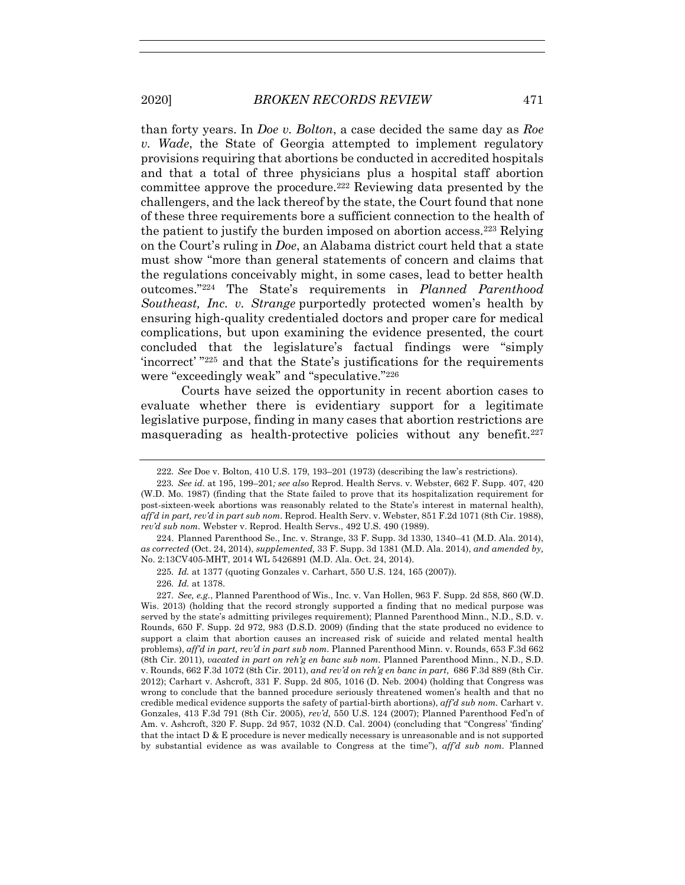than forty years. In *Doe v. Bolton*, a case decided the same day as *Roe v. Wade*, the State of Georgia attempted to implement regulatory provisions requiring that abortions be conducted in accredited hospitals and that a total of three physicians plus a hospital staff abortion committee approve the procedure.222 Reviewing data presented by the challengers, and the lack thereof by the state, the Court found that none of these three requirements bore a sufficient connection to the health of the patient to justify the burden imposed on abortion access.223 Relying on the Court's ruling in *Doe*, an Alabama district court held that a state must show "more than general statements of concern and claims that the regulations conceivably might, in some cases, lead to better health outcomes."224 The State's requirements in *Planned Parenthood Southeast, Inc. v. Strange* purportedly protected women's health by ensuring high-quality credentialed doctors and proper care for medical complications, but upon examining the evidence presented, the court concluded that the legislature's factual findings were "simply 'incorrect' "225 and that the State's justifications for the requirements were "exceedingly weak" and "speculative."226

Courts have seized the opportunity in recent abortion cases to evaluate whether there is evidentiary support for a legitimate legislative purpose, finding in many cases that abortion restrictions are masquerading as health-protective policies without any benefit.<sup>227</sup>

<sup>222</sup>*. See* Doe v. Bolton, 410 U.S. 179, 193–201 (1973) (describing the law's restrictions).

<sup>223</sup>*. See id.* at 195, 199–201*; see also* Reprod. Health Servs. v. Webster, 662 F. Supp. 407, 420 (W.D. Mo. 1987) (finding that the State failed to prove that its hospitalization requirement for post-sixteen-week abortions was reasonably related to the State's interest in maternal health), *aff'd in part, rev'd in part sub nom.* Reprod. Health Serv. v. Webster, 851 F.2d 1071 (8th Cir. 1988), *rev'd sub nom.* Webster v. Reprod. Health Servs., 492 U.S. 490 (1989).

 <sup>224.</sup> Planned Parenthood Se., Inc. v. Strange, 33 F. Supp. 3d 1330, 1340–41 (M.D. Ala. 2014), *as corrected* (Oct. 24, 2014), *supplemented,* 33 F. Supp. 3d 1381 (M.D. Ala. 2014), *and amended by,* No. 2:13CV405-MHT, 2014 WL 5426891 (M.D. Ala. Oct. 24, 2014).

<sup>225</sup>*. Id.* at 1377 (quoting Gonzales v. Carhart, 550 U.S. 124, 165 (2007)). 226*. Id.* at 1378.

<sup>227</sup>*. See, e.g.*, Planned Parenthood of Wis., Inc. v. Van Hollen, 963 F. Supp. 2d 858, 860 (W.D. Wis. 2013) (holding that the record strongly supported a finding that no medical purpose was served by the state's admitting privileges requirement); Planned Parenthood Minn., N.D., S.D. v. Rounds, 650 F. Supp. 2d 972, 983 (D.S.D. 2009) (finding that the state produced no evidence to support a claim that abortion causes an increased risk of suicide and related mental health problems), *aff'd in part, rev'd in part sub nom.* Planned Parenthood Minn. v. Rounds, 653 F.3d 662 (8th Cir. 2011), *vacated in part on reh'g en banc sub nom.* Planned Parenthood Minn., N.D., S.D. v. Rounds, 662 F.3d 1072 (8th Cir. 2011), *and rev'd on reh'g en banc in part,* 686 F.3d 889 (8th Cir. 2012); Carhart v. Ashcroft, 331 F. Supp. 2d 805, 1016 (D. Neb. 2004) (holding that Congress was wrong to conclude that the banned procedure seriously threatened women's health and that no credible medical evidence supports the safety of partial-birth abortions), *aff'd sub nom.* Carhart v. Gonzales, 413 F.3d 791 (8th Cir. 2005), *rev'd,* 550 U.S. 124 (2007); Planned Parenthood Fed'n of Am. v. Ashcroft, 320 F. Supp. 2d 957, 1032 (N.D. Cal. 2004) (concluding that "Congress' 'finding' that the intact D & E procedure is never medically necessary is unreasonable and is not supported by substantial evidence as was available to Congress at the time"), *aff'd sub nom.* Planned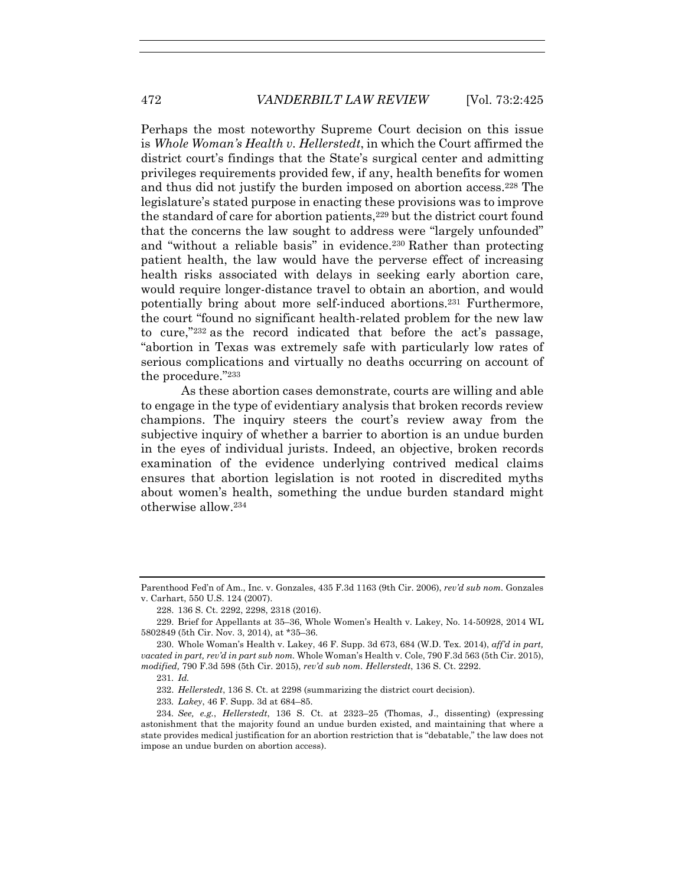Perhaps the most noteworthy Supreme Court decision on this issue is *Whole Woman's Health v. Hellerstedt*, in which the Court affirmed the district court's findings that the State's surgical center and admitting privileges requirements provided few, if any, health benefits for women and thus did not justify the burden imposed on abortion access.228 The legislature's stated purpose in enacting these provisions was to improve the standard of care for abortion patients,<sup>229</sup> but the district court found that the concerns the law sought to address were "largely unfounded" and "without a reliable basis" in evidence.<sup>230</sup> Rather than protecting patient health, the law would have the perverse effect of increasing health risks associated with delays in seeking early abortion care, would require longer-distance travel to obtain an abortion, and would potentially bring about more self-induced abortions.231 Furthermore, the court "found no significant health-related problem for the new law to cure,"232 as the record indicated that before the act's passage, "abortion in Texas was extremely safe with particularly low rates of serious complications and virtually no deaths occurring on account of the procedure."233

As these abortion cases demonstrate, courts are willing and able to engage in the type of evidentiary analysis that broken records review champions. The inquiry steers the court's review away from the subjective inquiry of whether a barrier to abortion is an undue burden in the eyes of individual jurists. Indeed, an objective, broken records examination of the evidence underlying contrived medical claims ensures that abortion legislation is not rooted in discredited myths about women's health, something the undue burden standard might otherwise allow.234

233*. Lakey*, 46 F. Supp. 3d at 684–85.

Parenthood Fed'n of Am., Inc. v. Gonzales, 435 F.3d 1163 (9th Cir. 2006), *rev'd sub nom.* Gonzales v. Carhart, 550 U.S. 124 (2007).

 <sup>228. 136</sup> S. Ct. 2292, 2298, 2318 (2016).

 <sup>229.</sup> Brief for Appellants at 35–36, Whole Women's Health v. Lakey, No. 14-50928, 2014 WL 5802849 (5th Cir. Nov. 3, 2014), at \*35–36.

 <sup>230.</sup> Whole Woman's Health v. Lakey, 46 F. Supp. 3d 673, 684 (W.D. Tex. 2014), *aff'd in part, vacated in part, rev'd in part sub nom.* Whole Woman's Health v. Cole, 790 F.3d 563 (5th Cir. 2015), *modified,* 790 F.3d 598 (5th Cir. 2015), *rev'd sub nom. Hellerstedt*, 136 S. Ct. 2292.

<sup>231</sup>*. Id.*

 <sup>232.</sup> *Hellerstedt*, 136 S. Ct. at 2298 (summarizing the district court decision).

<sup>234</sup>*. See, e.g.*, *Hellerstedt*, 136 S. Ct. at 2323–25 (Thomas, J., dissenting) (expressing astonishment that the majority found an undue burden existed, and maintaining that where a state provides medical justification for an abortion restriction that is "debatable," the law does not impose an undue burden on abortion access).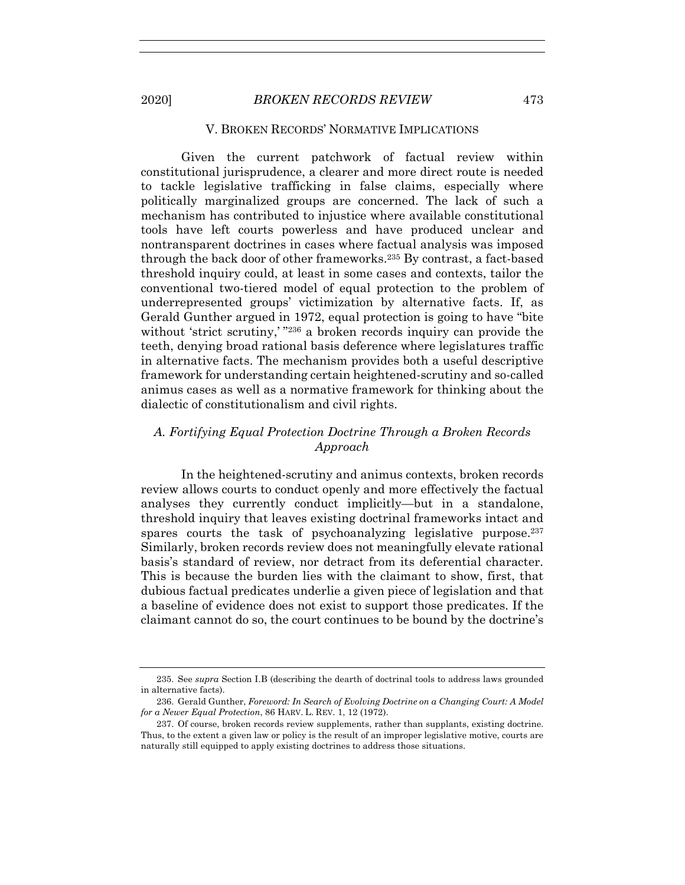## V. BROKEN RECORDS' NORMATIVE IMPLICATIONS

Given the current patchwork of factual review within constitutional jurisprudence, a clearer and more direct route is needed to tackle legislative trafficking in false claims, especially where politically marginalized groups are concerned. The lack of such a mechanism has contributed to injustice where available constitutional tools have left courts powerless and have produced unclear and nontransparent doctrines in cases where factual analysis was imposed through the back door of other frameworks.235 By contrast, a fact-based threshold inquiry could, at least in some cases and contexts, tailor the conventional two-tiered model of equal protection to the problem of underrepresented groups' victimization by alternative facts. If, as Gerald Gunther argued in 1972, equal protection is going to have "bite without 'strict scrutiny,' "236 a broken records inquiry can provide the teeth, denying broad rational basis deference where legislatures traffic in alternative facts. The mechanism provides both a useful descriptive framework for understanding certain heightened-scrutiny and so-called animus cases as well as a normative framework for thinking about the dialectic of constitutionalism and civil rights.

# *A. Fortifying Equal Protection Doctrine Through a Broken Records Approach*

In the heightened-scrutiny and animus contexts, broken records review allows courts to conduct openly and more effectively the factual analyses they currently conduct implicitly—but in a standalone, threshold inquiry that leaves existing doctrinal frameworks intact and spares courts the task of psychoanalyzing legislative purpose.<sup>237</sup> Similarly, broken records review does not meaningfully elevate rational basis's standard of review, nor detract from its deferential character. This is because the burden lies with the claimant to show, first, that dubious factual predicates underlie a given piece of legislation and that a baseline of evidence does not exist to support those predicates. If the claimant cannot do so, the court continues to be bound by the doctrine's

 <sup>235.</sup> See *supra* Section I.B (describing the dearth of doctrinal tools to address laws grounded in alternative facts).

 <sup>236.</sup> Gerald Gunther, *Foreword: In Search of Evolving Doctrine on a Changing Court: A Model for a Newer Equal Protection*, 86 HARV. L. REV. 1, 12 (1972).

 <sup>237.</sup> Of course, broken records review supplements, rather than supplants, existing doctrine. Thus, to the extent a given law or policy is the result of an improper legislative motive, courts are naturally still equipped to apply existing doctrines to address those situations.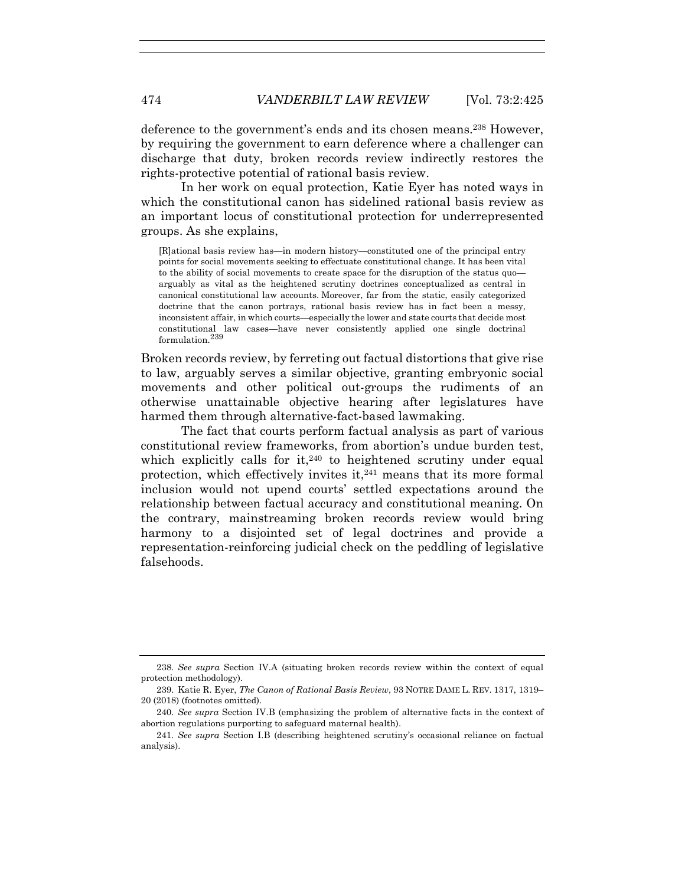deference to the government's ends and its chosen means.238 However, by requiring the government to earn deference where a challenger can discharge that duty, broken records review indirectly restores the rights-protective potential of rational basis review.

In her work on equal protection, Katie Eyer has noted ways in which the constitutional canon has sidelined rational basis review as an important locus of constitutional protection for underrepresented groups. As she explains,

[R]ational basis review has—in modern history—constituted one of the principal entry points for social movements seeking to effectuate constitutional change. It has been vital to the ability of social movements to create space for the disruption of the status quo arguably as vital as the heightened scrutiny doctrines conceptualized as central in canonical constitutional law accounts. Moreover, far from the static, easily categorized doctrine that the canon portrays, rational basis review has in fact been a messy, inconsistent affair, in which courts—especially the lower and state courts that decide most constitutional law cases—have never consistently applied one single doctrinal formulation.<sup>239</sup>

Broken records review, by ferreting out factual distortions that give rise to law, arguably serves a similar objective, granting embryonic social movements and other political out-groups the rudiments of an otherwise unattainable objective hearing after legislatures have harmed them through alternative-fact-based lawmaking.

The fact that courts perform factual analysis as part of various constitutional review frameworks, from abortion's undue burden test, which explicitly calls for it, $240$  to heightened scrutiny under equal protection, which effectively invites it,<sup>241</sup> means that its more formal inclusion would not upend courts' settled expectations around the relationship between factual accuracy and constitutional meaning. On the contrary, mainstreaming broken records review would bring harmony to a disjointed set of legal doctrines and provide a representation-reinforcing judicial check on the peddling of legislative falsehoods.

<sup>238</sup>*. See supra* Section IV.A (situating broken records review within the context of equal protection methodology).

 <sup>239.</sup> Katie R. Eyer, *The Canon of Rational Basis Review*, 93 NOTRE DAME L. REV. 1317, 1319– 20 (2018) (footnotes omitted).

<sup>240</sup>*. See supra* Section IV.B (emphasizing the problem of alternative facts in the context of abortion regulations purporting to safeguard maternal health).

<sup>241</sup>*. See supra* Section I.B (describing heightened scrutiny's occasional reliance on factual analysis).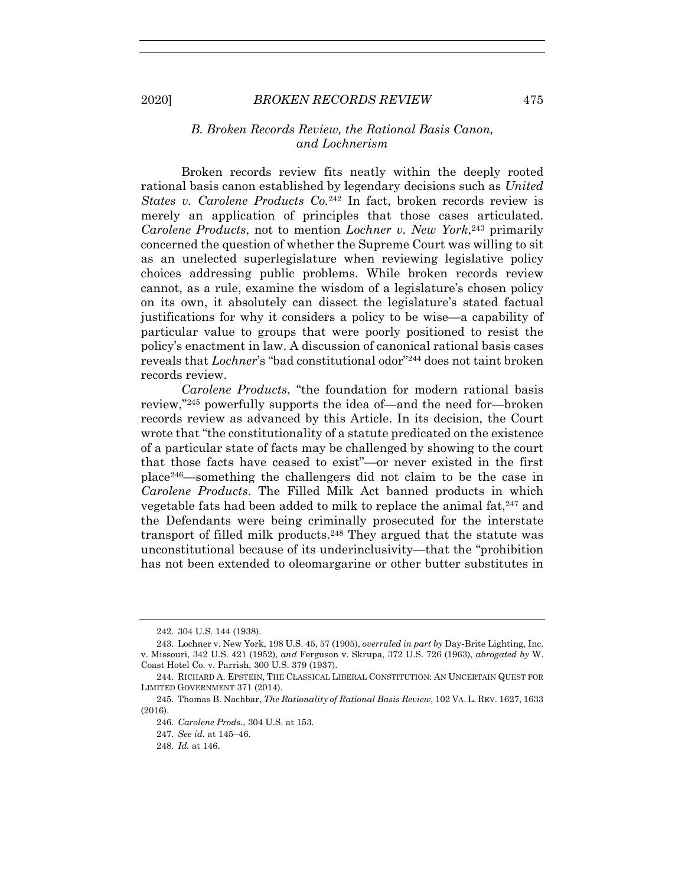## *B. Broken Records Review, the Rational Basis Canon, and Lochnerism*

Broken records review fits neatly within the deeply rooted rational basis canon established by legendary decisions such as *United States v. Carolene Products Co.*<sup>242</sup> In fact, broken records review is merely an application of principles that those cases articulated. *Carolene Products*, not to mention *Lochner v. New York*,243 primarily concerned the question of whether the Supreme Court was willing to sit as an unelected superlegislature when reviewing legislative policy choices addressing public problems. While broken records review cannot, as a rule, examine the wisdom of a legislature's chosen policy on its own, it absolutely can dissect the legislature's stated factual justifications for why it considers a policy to be wise—a capability of particular value to groups that were poorly positioned to resist the policy's enactment in law. A discussion of canonical rational basis cases reveals that *Lochner*'s "bad constitutional odor"244 does not taint broken records review.

*Carolene Products*, "the foundation for modern rational basis review,"245 powerfully supports the idea of—and the need for—broken records review as advanced by this Article. In its decision, the Court wrote that "the constitutionality of a statute predicated on the existence of a particular state of facts may be challenged by showing to the court that those facts have ceased to exist"—or never existed in the first place246—something the challengers did not claim to be the case in *Carolene Products*. The Filled Milk Act banned products in which vegetable fats had been added to milk to replace the animal fat, $247$  and the Defendants were being criminally prosecuted for the interstate transport of filled milk products.248 They argued that the statute was unconstitutional because of its underinclusivity—that the "prohibition has not been extended to oleomargarine or other butter substitutes in

 <sup>242. 304</sup> U.S. 144 (1938).

<sup>243</sup>*.* Lochner v. New York, 198 U.S. 45, 57 (1905), *overruled in part by* Day-Brite Lighting, Inc. v. Missouri, 342 U.S. 421 (1952), *and* Ferguson v. Skrupa, 372 U.S. 726 (1963), *abrogated by* W. Coast Hotel Co. v. Parrish, 300 U.S. 379 (1937).

 <sup>244.</sup> RICHARD A. EPSTEIN, THE CLASSICAL LIBERAL CONSTITUTION: AN UNCERTAIN QUEST FOR LIMITED GOVERNMENT 371 (2014).

 <sup>245.</sup> Thomas B. Nachbar, *The Rationality of Rational Basis Review*, 102 VA. L. REV. 1627, 1633 (2016).

<sup>246</sup>*. Carolene Prods.*, 304 U.S. at 153.

<sup>247</sup>*. See id.* at 145–46.

<sup>248</sup>*. Id.* at 146.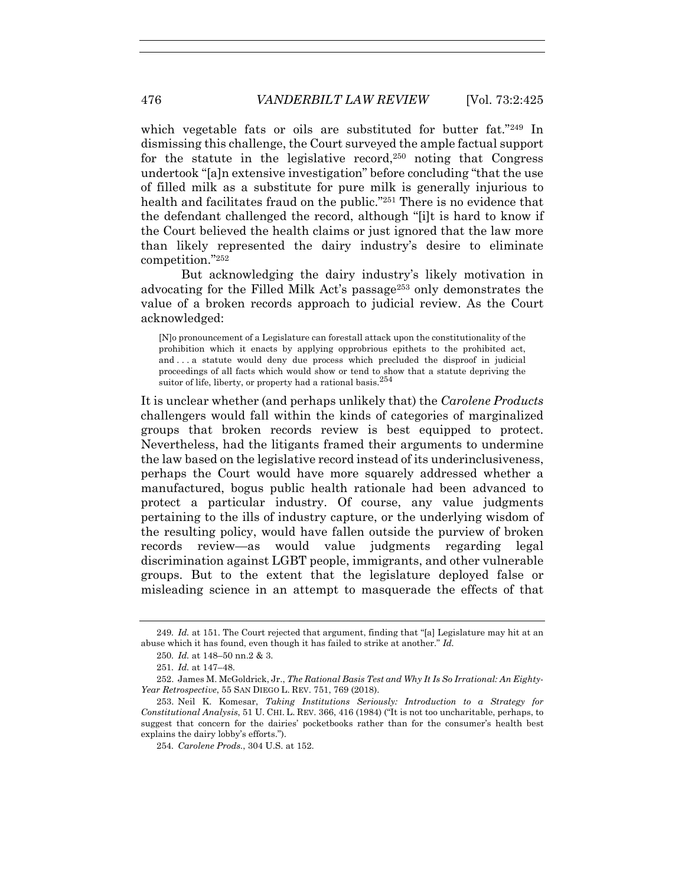which vegetable fats or oils are substituted for butter fat."249 In dismissing this challenge, the Court surveyed the ample factual support for the statute in the legislative record,<sup>250</sup> noting that Congress undertook "[a]n extensive investigation" before concluding "that the use of filled milk as a substitute for pure milk is generally injurious to health and facilitates fraud on the public."<sup>251</sup> There is no evidence that the defendant challenged the record, although "[i]t is hard to know if the Court believed the health claims or just ignored that the law more than likely represented the dairy industry's desire to eliminate competition."252

But acknowledging the dairy industry's likely motivation in advocating for the Filled Milk Act's passage253 only demonstrates the value of a broken records approach to judicial review. As the Court acknowledged:

[N]o pronouncement of a Legislature can forestall attack upon the constitutionality of the prohibition which it enacts by applying opprobrious epithets to the prohibited act, and . . . a statute would deny due process which precluded the disproof in judicial proceedings of all facts which would show or tend to show that a statute depriving the suitor of life, liberty, or property had a rational basis.<sup>254</sup>

It is unclear whether (and perhaps unlikely that) the *Carolene Products*  challengers would fall within the kinds of categories of marginalized groups that broken records review is best equipped to protect. Nevertheless, had the litigants framed their arguments to undermine the law based on the legislative record instead of its underinclusiveness, perhaps the Court would have more squarely addressed whether a manufactured, bogus public health rationale had been advanced to protect a particular industry. Of course, any value judgments pertaining to the ills of industry capture, or the underlying wisdom of the resulting policy, would have fallen outside the purview of broken records review—as would value judgments regarding legal discrimination against LGBT people, immigrants, and other vulnerable groups. But to the extent that the legislature deployed false or misleading science in an attempt to masquerade the effects of that

<sup>249</sup>*. Id.* at 151. The Court rejected that argument, finding that "[a] Legislature may hit at an abuse which it has found, even though it has failed to strike at another." *Id.* 

<sup>250</sup>*. Id.* at 148–50 nn.2 & 3.

<sup>251</sup>*. Id.* at 147–48.

 <sup>252.</sup> James M. McGoldrick, Jr., *The Rational Basis Test and Why It Is So Irrational: An Eighty-Year Retrospective*, 55 SAN DIEGO L. REV. 751, 769 (2018).

 <sup>253.</sup> Neil K. Komesar, *Taking Institutions Seriously: Introduction to a Strategy for Constitutional Analysis*, 51 U. CHI. L. REV. 366, 416 (1984) ("It is not too uncharitable, perhaps, to suggest that concern for the dairies' pocketbooks rather than for the consumer's health best explains the dairy lobby's efforts.").

<sup>254</sup>*. Carolene Prods.*, 304 U.S. at 152.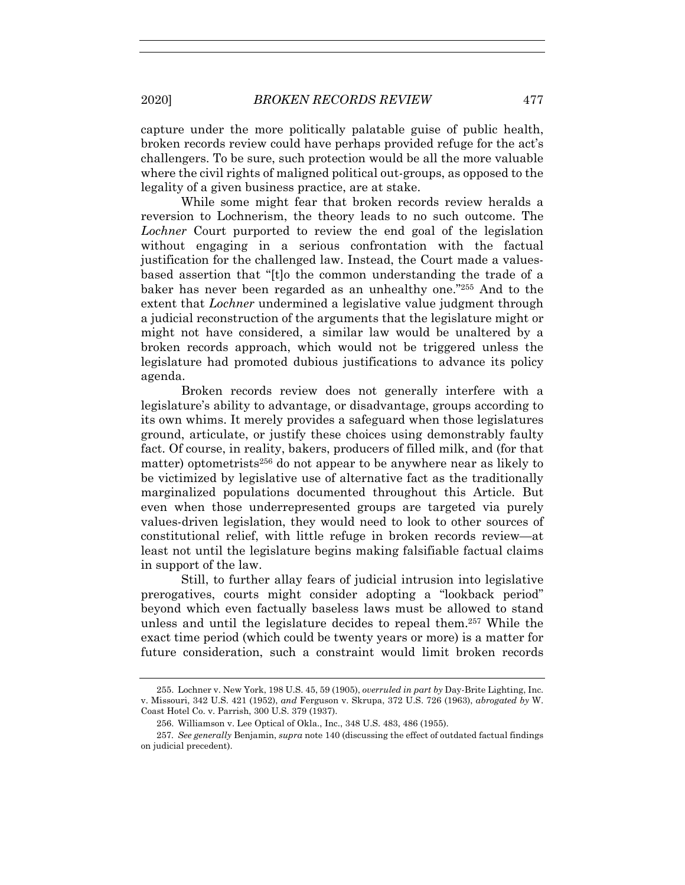capture under the more politically palatable guise of public health, broken records review could have perhaps provided refuge for the act's challengers. To be sure, such protection would be all the more valuable where the civil rights of maligned political out-groups, as opposed to the legality of a given business practice, are at stake.

While some might fear that broken records review heralds a reversion to Lochnerism, the theory leads to no such outcome. The *Lochner* Court purported to review the end goal of the legislation without engaging in a serious confrontation with the factual justification for the challenged law. Instead, the Court made a valuesbased assertion that "[t]o the common understanding the trade of a baker has never been regarded as an unhealthy one."255 And to the extent that *Lochner* undermined a legislative value judgment through a judicial reconstruction of the arguments that the legislature might or might not have considered, a similar law would be unaltered by a broken records approach, which would not be triggered unless the legislature had promoted dubious justifications to advance its policy agenda.

Broken records review does not generally interfere with a legislature's ability to advantage, or disadvantage, groups according to its own whims. It merely provides a safeguard when those legislatures ground, articulate, or justify these choices using demonstrably faulty fact. Of course, in reality, bakers, producers of filled milk, and (for that matter) optometrists256 do not appear to be anywhere near as likely to be victimized by legislative use of alternative fact as the traditionally marginalized populations documented throughout this Article. But even when those underrepresented groups are targeted via purely values-driven legislation, they would need to look to other sources of constitutional relief, with little refuge in broken records review—at least not until the legislature begins making falsifiable factual claims in support of the law.

Still, to further allay fears of judicial intrusion into legislative prerogatives, courts might consider adopting a "lookback period" beyond which even factually baseless laws must be allowed to stand unless and until the legislature decides to repeal them.257 While the exact time period (which could be twenty years or more) is a matter for future consideration, such a constraint would limit broken records

 <sup>255.</sup> Lochner v. New York, 198 U.S. 45, 59 (1905), *overruled in part by* Day-Brite Lighting, Inc. v. Missouri, 342 U.S. 421 (1952), *and* Ferguson v. Skrupa, 372 U.S. 726 (1963), *abrogated by* W. Coast Hotel Co. v. Parrish, 300 U.S. 379 (1937).

 <sup>256.</sup> Williamson v. Lee Optical of Okla., Inc., 348 U.S. 483, 486 (1955).

<sup>257</sup>*. See generally* Benjamin, *supra* note 140 (discussing the effect of outdated factual findings on judicial precedent).